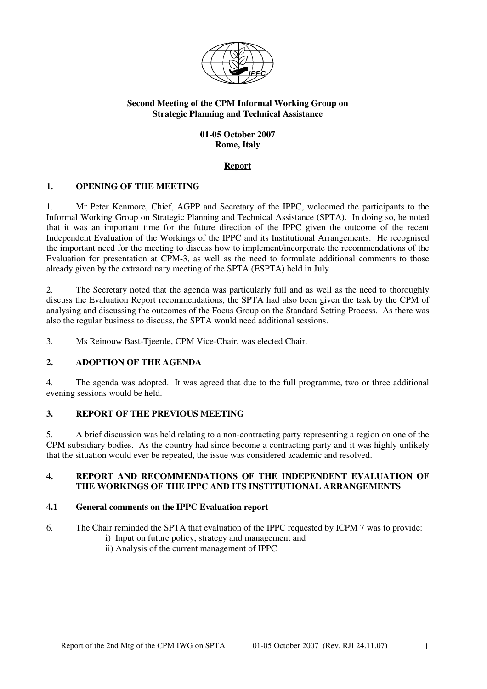

## **Second Meeting of the CPM Informal Working Group on Strategic Planning and Technical Assistance**

## **01-05 October 2007 Rome, Italy**

## **Report**

## **1. OPENING OF THE MEETING**

1. Mr Peter Kenmore, Chief, AGPP and Secretary of the IPPC, welcomed the participants to the Informal Working Group on Strategic Planning and Technical Assistance (SPTA). In doing so, he noted that it was an important time for the future direction of the IPPC given the outcome of the recent Independent Evaluation of the Workings of the IPPC and its Institutional Arrangements. He recognised the important need for the meeting to discuss how to implement/incorporate the recommendations of the Evaluation for presentation at CPM-3, as well as the need to formulate additional comments to those already given by the extraordinary meeting of the SPTA (ESPTA) held in July.

2. The Secretary noted that the agenda was particularly full and as well as the need to thoroughly discuss the Evaluation Report recommendations, the SPTA had also been given the task by the CPM of analysing and discussing the outcomes of the Focus Group on the Standard Setting Process. As there was also the regular business to discuss, the SPTA would need additional sessions.

3. Ms Reinouw Bast-Tjeerde, CPM Vice-Chair, was elected Chair.

## **2. ADOPTION OF THE AGENDA**

4. The agenda was adopted. It was agreed that due to the full programme, two or three additional evening sessions would be held.

## **3. REPORT OF THE PREVIOUS MEETING**

5. A brief discussion was held relating to a non-contracting party representing a region on one of the CPM subsidiary bodies. As the country had since become a contracting party and it was highly unlikely that the situation would ever be repeated, the issue was considered academic and resolved.

## **4. REPORT AND RECOMMENDATIONS OF THE INDEPENDENT EVALUATION OF THE WORKINGS OF THE IPPC AND ITS INSTITUTIONAL ARRANGEMENTS**

#### **4.1 General comments on the IPPC Evaluation report**

6. The Chair reminded the SPTA that evaluation of the IPPC requested by ICPM 7 was to provide:

- i) Input on future policy, strategy and management and
- ii) Analysis of the current management of IPPC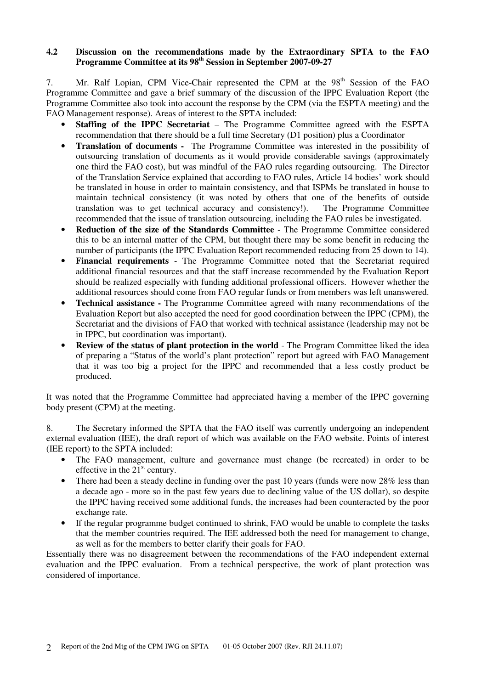#### **4.2 Discussion on the recommendations made by the Extraordinary SPTA to the FAO Programme Committee at its 98th Session in September 2007-09-27**

7. Mr. Ralf Lopian, CPM Vice-Chair represented the CPM at the 98<sup>th</sup> Session of the FAO Programme Committee and gave a brief summary of the discussion of the IPPC Evaluation Report (the Programme Committee also took into account the response by the CPM (via the ESPTA meeting) and the FAO Management response). Areas of interest to the SPTA included:

- **Staffing of the IPPC Secretariat** The Programme Committee agreed with the ESPTA recommendation that there should be a full time Secretary (D1 position) plus a Coordinator
- **Translation of documents** The Programme Committee was interested in the possibility of outsourcing translation of documents as it would provide considerable savings (approximately one third the FAO cost), but was mindful of the FAO rules regarding outsourcing. The Director of the Translation Service explained that according to FAO rules, Article 14 bodies' work should be translated in house in order to maintain consistency, and that ISPMs be translated in house to maintain technical consistency (it was noted by others that one of the benefits of outside translation was to get technical accuracy and consistency!). The Programme Committee recommended that the issue of translation outsourcing, including the FAO rules be investigated.
- **Reduction of the size of the Standards Committee** The Programme Committee considered this to be an internal matter of the CPM, but thought there may be some benefit in reducing the number of participants (the IPPC Evaluation Report recommended reducing from 25 down to 14).
- **Financial requirements**  The Programme Committee noted that the Secretariat required additional financial resources and that the staff increase recommended by the Evaluation Report should be realized especially with funding additional professional officers. However whether the additional resources should come from FAO regular funds or from members was left unanswered.
- **Technical assistance** The Programme Committee agreed with many recommendations of the Evaluation Report but also accepted the need for good coordination between the IPPC (CPM), the Secretariat and the divisions of FAO that worked with technical assistance (leadership may not be in IPPC, but coordination was important).
- **Review of the status of plant protection in the world** The Program Committee liked the idea of preparing a "Status of the world's plant protection" report but agreed with FAO Management that it was too big a project for the IPPC and recommended that a less costly product be produced.

It was noted that the Programme Committee had appreciated having a member of the IPPC governing body present (CPM) at the meeting.

8. The Secretary informed the SPTA that the FAO itself was currently undergoing an independent external evaluation (IEE), the draft report of which was available on the FAO website. Points of interest (IEE report) to the SPTA included:

- The FAO management, culture and governance must change (be recreated) in order to be effective in the  $21<sup>st</sup>$  century.
- There had been a steady decline in funding over the past 10 years (funds were now 28% less than a decade ago - more so in the past few years due to declining value of the US dollar), so despite the IPPC having received some additional funds, the increases had been counteracted by the poor exchange rate.
- If the regular programme budget continued to shrink, FAO would be unable to complete the tasks that the member countries required. The IEE addressed both the need for management to change, as well as for the members to better clarify their goals for FAO.

Essentially there was no disagreement between the recommendations of the FAO independent external evaluation and the IPPC evaluation. From a technical perspective, the work of plant protection was considered of importance.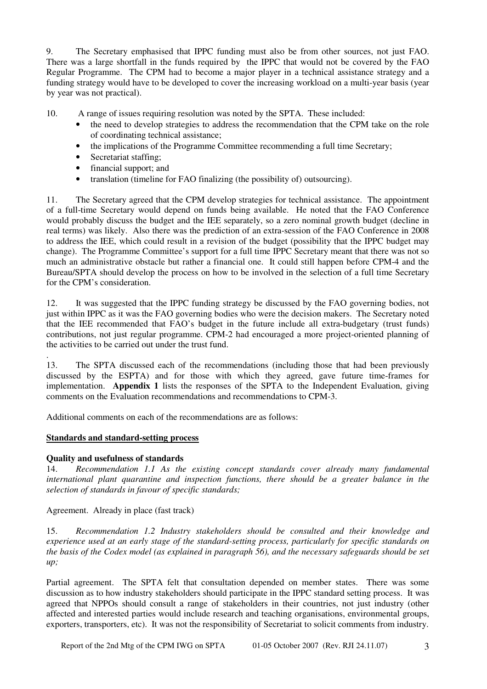9. The Secretary emphasised that IPPC funding must also be from other sources, not just FAO. There was a large shortfall in the funds required by the IPPC that would not be covered by the FAO Regular Programme. The CPM had to become a major player in a technical assistance strategy and a funding strategy would have to be developed to cover the increasing workload on a multi-year basis (year by year was not practical).

10. A range of issues requiring resolution was noted by the SPTA. These included:

- the need to develop strategies to address the recommendation that the CPM take on the role of coordinating technical assistance;
- the implications of the Programme Committee recommending a full time Secretary;
- Secretariat staffing;
- financial support; and
- translation (timeline for FAO finalizing (the possibility of) outsourcing).

11. The Secretary agreed that the CPM develop strategies for technical assistance. The appointment of a full-time Secretary would depend on funds being available. He noted that the FAO Conference would probably discuss the budget and the IEE separately, so a zero nominal growth budget (decline in real terms) was likely. Also there was the prediction of an extra-session of the FAO Conference in 2008 to address the IEE, which could result in a revision of the budget (possibility that the IPPC budget may change). The Programme Committee's support for a full time IPPC Secretary meant that there was not so much an administrative obstacle but rather a financial one. It could still happen before CPM-4 and the Bureau/SPTA should develop the process on how to be involved in the selection of a full time Secretary for the CPM's consideration.

12. It was suggested that the IPPC funding strategy be discussed by the FAO governing bodies, not just within IPPC as it was the FAO governing bodies who were the decision makers. The Secretary noted that the IEE recommended that FAO's budget in the future include all extra-budgetary (trust funds) contributions, not just regular programme. CPM-2 had encouraged a more project-oriented planning of the activities to be carried out under the trust fund.

13. The SPTA discussed each of the recommendations (including those that had been previously discussed by the ESPTA) and for those with which they agreed, gave future time-frames for implementation. **Appendix 1** lists the responses of the SPTA to the Independent Evaluation, giving comments on the Evaluation recommendations and recommendations to CPM-3.

Additional comments on each of the recommendations are as follows:

## **Standards and standard-setting process**

## **Quality and usefulness of standards**

.

14. *Recommendation 1.1 As the existing concept standards cover already many fundamental international plant quarantine and inspection functions, there should be a greater balance in the selection of standards in favour of specific standards;* 

Agreement. Already in place (fast track)

15. *Recommendation 1.2 Industry stakeholders should be consulted and their knowledge and experience used at an early stage of the standard-setting process, particularly for specific standards on the basis of the Codex model (as explained in paragraph 56), and the necessary safeguards should be set up;* 

Partial agreement. The SPTA felt that consultation depended on member states. There was some discussion as to how industry stakeholders should participate in the IPPC standard setting process. It was agreed that NPPOs should consult a range of stakeholders in their countries, not just industry (other affected and interested parties would include research and teaching organisations, environmental groups, exporters, transporters, etc). It was not the responsibility of Secretariat to solicit comments from industry.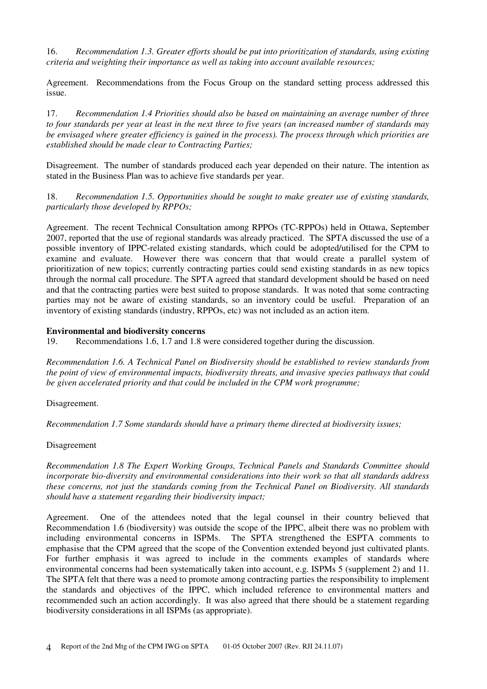16. *Recommendation 1.3. Greater efforts should be put into prioritization of standards, using existing criteria and weighting their importance as well as taking into account available resources;* 

Agreement. Recommendations from the Focus Group on the standard setting process addressed this issue.

17. *Recommendation 1.4 Priorities should also be based on maintaining an average number of three to four standards per year at least in the next three to five years (an increased number of standards may be envisaged where greater efficiency is gained in the process). The process through which priorities are established should be made clear to Contracting Parties;* 

Disagreement. The number of standards produced each year depended on their nature. The intention as stated in the Business Plan was to achieve five standards per year.

18. *Recommendation 1.5. Opportunities should be sought to make greater use of existing standards, particularly those developed by RPPOs;* 

Agreement. The recent Technical Consultation among RPPOs (TC-RPPOs) held in Ottawa, September 2007, reported that the use of regional standards was already practiced. The SPTA discussed the use of a possible inventory of IPPC-related existing standards, which could be adopted/utilised for the CPM to examine and evaluate. However there was concern that that would create a parallel system of prioritization of new topics; currently contracting parties could send existing standards in as new topics through the normal call procedure. The SPTA agreed that standard development should be based on need and that the contracting parties were best suited to propose standards. It was noted that some contracting parties may not be aware of existing standards, so an inventory could be useful. Preparation of an inventory of existing standards (industry, RPPOs, etc) was not included as an action item.

#### **Environmental and biodiversity concerns**

19. Recommendations 1.6, 1.7 and 1.8 were considered together during the discussion.

*Recommendation 1.6. A Technical Panel on Biodiversity should be established to review standards from the point of view of environmental impacts, biodiversity threats, and invasive species pathways that could be given accelerated priority and that could be included in the CPM work programme;* 

Disagreement.

*Recommendation 1.7 Some standards should have a primary theme directed at biodiversity issues;*

#### Disagreement

*Recommendation 1.8 The Expert Working Groups, Technical Panels and Standards Committee should incorporate bio-diversity and environmental considerations into their work so that all standards address these concerns, not just the standards coming from the Technical Panel on Biodiversity. All standards should have a statement regarding their biodiversity impact;* 

Agreement. One of the attendees noted that the legal counsel in their country believed that Recommendation 1.6 (biodiversity) was outside the scope of the IPPC, albeit there was no problem with including environmental concerns in ISPMs. The SPTA strengthened the ESPTA comments to emphasise that the CPM agreed that the scope of the Convention extended beyond just cultivated plants. For further emphasis it was agreed to include in the comments examples of standards where environmental concerns had been systematically taken into account, e.g. ISPMs 5 (supplement 2) and 11. The SPTA felt that there was a need to promote among contracting parties the responsibility to implement the standards and objectives of the IPPC, which included reference to environmental matters and recommended such an action accordingly. It was also agreed that there should be a statement regarding biodiversity considerations in all ISPMs (as appropriate).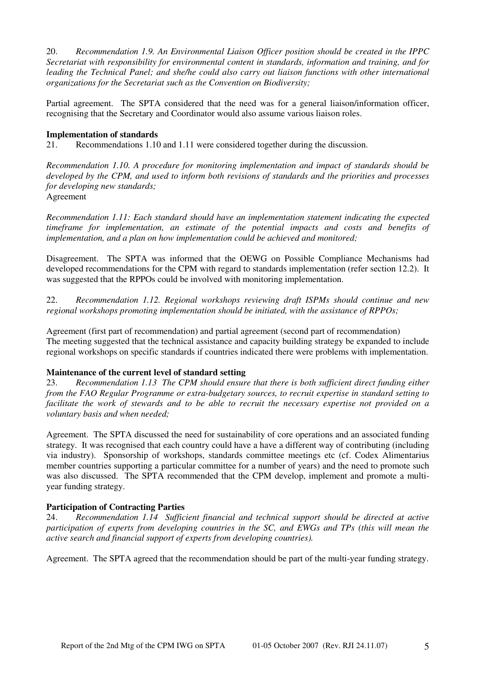20. *Recommendation 1.9. An Environmental Liaison Officer position should be created in the IPPC Secretariat with responsibility for environmental content in standards, information and training, and for leading the Technical Panel; and she/he could also carry out liaison functions with other international organizations for the Secretariat such as the Convention on Biodiversity;* 

Partial agreement. The SPTA considered that the need was for a general liaison/information officer, recognising that the Secretary and Coordinator would also assume various liaison roles.

## **Implementation of standards**

21. Recommendations 1.10 and 1.11 were considered together during the discussion.

*Recommendation 1.10. A procedure for monitoring implementation and impact of standards should be developed by the CPM, and used to inform both revisions of standards and the priorities and processes for developing new standards;* 

Agreement

*Recommendation 1.11: Each standard should have an implementation statement indicating the expected timeframe for implementation, an estimate of the potential impacts and costs and benefits of implementation, and a plan on how implementation could be achieved and monitored;* 

Disagreement. The SPTA was informed that the OEWG on Possible Compliance Mechanisms had developed recommendations for the CPM with regard to standards implementation (refer section 12.2). It was suggested that the RPPOs could be involved with monitoring implementation.

22. *Recommendation 1.12. Regional workshops reviewing draft ISPMs should continue and new regional workshops promoting implementation should be initiated, with the assistance of RPPOs;* 

Agreement (first part of recommendation) and partial agreement (second part of recommendation) The meeting suggested that the technical assistance and capacity building strategy be expanded to include regional workshops on specific standards if countries indicated there were problems with implementation.

## **Maintenance of the current level of standard setting**

23. *Recommendation 1.13 The CPM should ensure that there is both sufficient direct funding either from the FAO Regular Programme or extra-budgetary sources, to recruit expertise in standard setting to facilitate the work of stewards and to be able to recruit the necessary expertise not provided on a voluntary basis and when needed;* 

Agreement. The SPTA discussed the need for sustainability of core operations and an associated funding strategy. It was recognised that each country could have a have a different way of contributing (including via industry). Sponsorship of workshops, standards committee meetings etc (cf. Codex Alimentarius member countries supporting a particular committee for a number of years) and the need to promote such was also discussed. The SPTA recommended that the CPM develop, implement and promote a multiyear funding strategy.

## **Participation of Contracting Parties**

24. *Recommendation 1.14 Sufficient financial and technical support should be directed at active participation of experts from developing countries in the SC, and EWGs and TPs (this will mean the active search and financial support of experts from developing countries).* 

Agreement. The SPTA agreed that the recommendation should be part of the multi-year funding strategy.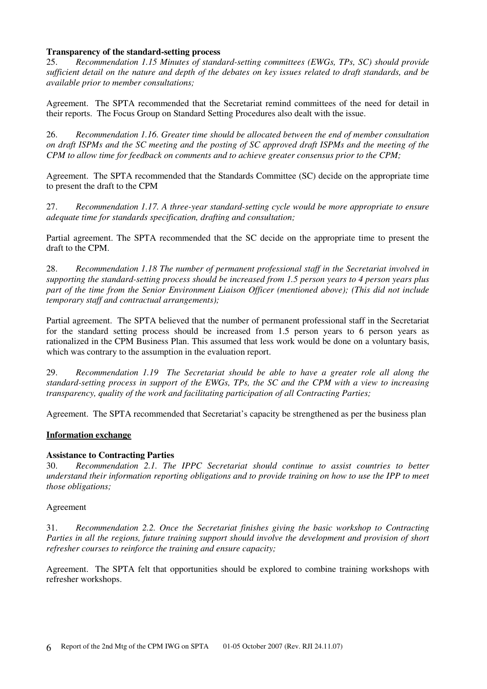#### **Transparency of the standard-setting process**

25. *Recommendation 1.15 Minutes of standard-setting committees (EWGs, TPs, SC) should provide sufficient detail on the nature and depth of the debates on key issues related to draft standards, and be available prior to member consultations;* 

Agreement. The SPTA recommended that the Secretariat remind committees of the need for detail in their reports. The Focus Group on Standard Setting Procedures also dealt with the issue.

26. *Recommendation 1.16. Greater time should be allocated between the end of member consultation on draft ISPMs and the SC meeting and the posting of SC approved draft ISPMs and the meeting of the CPM to allow time for feedback on comments and to achieve greater consensus prior to the CPM;* 

Agreement. The SPTA recommended that the Standards Committee (SC) decide on the appropriate time to present the draft to the CPM

27. *Recommendation 1.17. A three-year standard-setting cycle would be more appropriate to ensure adequate time for standards specification, drafting and consultation;* 

Partial agreement. The SPTA recommended that the SC decide on the appropriate time to present the draft to the CPM.

28. *Recommendation 1.18 The number of permanent professional staff in the Secretariat involved in supporting the standard-setting process should be increased from 1.5 person years to 4 person years plus part of the time from the Senior Environment Liaison Officer (mentioned above); (This did not include temporary staff and contractual arrangements);* 

Partial agreement. The SPTA believed that the number of permanent professional staff in the Secretariat for the standard setting process should be increased from 1.5 person years to 6 person years as rationalized in the CPM Business Plan. This assumed that less work would be done on a voluntary basis, which was contrary to the assumption in the evaluation report.

29. *Recommendation 1.19 The Secretariat should be able to have a greater role all along the standard-setting process in support of the EWGs, TPs, the SC and the CPM with a view to increasing transparency, quality of the work and facilitating participation of all Contracting Parties;* 

Agreement. The SPTA recommended that Secretariat's capacity be strengthened as per the business plan

#### **Information exchange**

#### **Assistance to Contracting Parties**

30. *Recommendation 2.1. The IPPC Secretariat should continue to assist countries to better understand their information reporting obligations and to provide training on how to use the IPP to meet those obligations;* 

#### Agreement

31. *Recommendation 2.2. Once the Secretariat finishes giving the basic workshop to Contracting Parties in all the regions, future training support should involve the development and provision of short refresher courses to reinforce the training and ensure capacity;* 

Agreement. The SPTA felt that opportunities should be explored to combine training workshops with refresher workshops.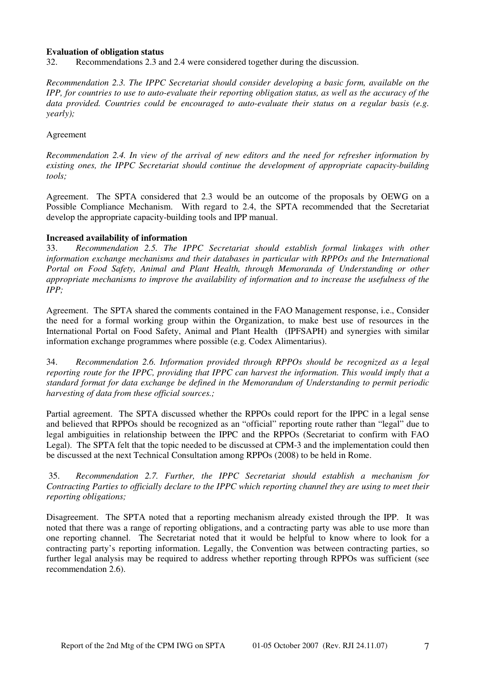#### **Evaluation of obligation status**

32. Recommendations 2.3 and 2.4 were considered together during the discussion.

*Recommendation 2.3. The IPPC Secretariat should consider developing a basic form, available on the IPP, for countries to use to auto-evaluate their reporting obligation status, as well as the accuracy of the data provided. Countries could be encouraged to auto-evaluate their status on a regular basis (e.g. yearly);* 

#### Agreement

*Recommendation 2.4. In view of the arrival of new editors and the need for refresher information by existing ones, the IPPC Secretariat should continue the development of appropriate capacity-building tools;* 

Agreement. The SPTA considered that 2.3 would be an outcome of the proposals by OEWG on a Possible Compliance Mechanism. With regard to 2.4, the SPTA recommended that the Secretariat develop the appropriate capacity-building tools and IPP manual.

#### **Increased availability of information**

33. *Recommendation 2.5. The IPPC Secretariat should establish formal linkages with other information exchange mechanisms and their databases in particular with RPPOs and the International Portal on Food Safety, Animal and Plant Health, through Memoranda of Understanding or other appropriate mechanisms to improve the availability of information and to increase the usefulness of the IPP;* 

Agreement. The SPTA shared the comments contained in the FAO Management response, i.e., Consider the need for a formal working group within the Organization, to make best use of resources in the International Portal on Food Safety, Animal and Plant Health (IPFSAPH) and synergies with similar information exchange programmes where possible (e.g. Codex Alimentarius).

34. *Recommendation 2.6. Information provided through RPPOs should be recognized as a legal reporting route for the IPPC, providing that IPPC can harvest the information. This would imply that a standard format for data exchange be defined in the Memorandum of Understanding to permit periodic harvesting of data from these official sources.;* 

Partial agreement. The SPTA discussed whether the RPPOs could report for the IPPC in a legal sense and believed that RPPOs should be recognized as an "official" reporting route rather than "legal" due to legal ambiguities in relationship between the IPPC and the RPPOs (Secretariat to confirm with FAO Legal). The SPTA felt that the topic needed to be discussed at CPM-3 and the implementation could then be discussed at the next Technical Consultation among RPPOs (2008) to be held in Rome.

35. *Recommendation 2.7. Further, the IPPC Secretariat should establish a mechanism for Contracting Parties to officially declare to the IPPC which reporting channel they are using to meet their reporting obligations;*

Disagreement. The SPTA noted that a reporting mechanism already existed through the IPP. It was noted that there was a range of reporting obligations, and a contracting party was able to use more than one reporting channel. The Secretariat noted that it would be helpful to know where to look for a contracting party's reporting information. Legally, the Convention was between contracting parties, so further legal analysis may be required to address whether reporting through RPPOs was sufficient (see recommendation 2.6).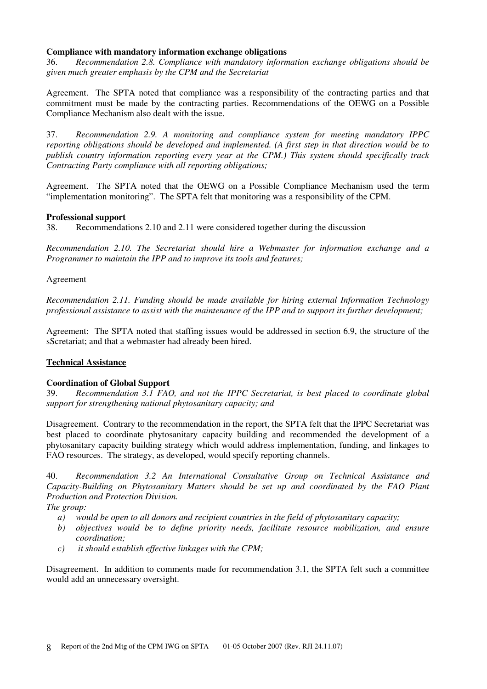#### **Compliance with mandatory information exchange obligations**

36. *Recommendation 2.8. Compliance with mandatory information exchange obligations should be given much greater emphasis by the CPM and the Secretariat*

Agreement. The SPTA noted that compliance was a responsibility of the contracting parties and that commitment must be made by the contracting parties. Recommendations of the OEWG on a Possible Compliance Mechanism also dealt with the issue.

37. *Recommendation 2.9. A monitoring and compliance system for meeting mandatory IPPC reporting obligations should be developed and implemented. (A first step in that direction would be to publish country information reporting every year at the CPM.) This system should specifically track Contracting Party compliance with all reporting obligations;* 

Agreement. The SPTA noted that the OEWG on a Possible Compliance Mechanism used the term "implementation monitoring". The SPTA felt that monitoring was a responsibility of the CPM.

#### **Professional support**

38. Recommendations 2.10 and 2.11 were considered together during the discussion

*Recommendation 2.10. The Secretariat should hire a Webmaster for information exchange and a Programmer to maintain the IPP and to improve its tools and features;* 

Agreement

*Recommendation 2.11. Funding should be made available for hiring external Information Technology professional assistance to assist with the maintenance of the IPP and to support its further development;* 

Agreement: The SPTA noted that staffing issues would be addressed in section 6.9, the structure of the sScretariat; and that a webmaster had already been hired.

#### **Technical Assistance**

#### **Coordination of Global Support**

39. *Recommendation 3.1 FAO, and not the IPPC Secretariat, is best placed to coordinate global support for strengthening national phytosanitary capacity; and* 

Disagreement. Contrary to the recommendation in the report, the SPTA felt that the IPPC Secretariat was best placed to coordinate phytosanitary capacity building and recommended the development of a phytosanitary capacity building strategy which would address implementation, funding, and linkages to FAO resources. The strategy, as developed, would specify reporting channels.

40. *Recommendation 3.2 An International Consultative Group on Technical Assistance and Capacity-Building on Phytosanitary Matters should be set up and coordinated by the FAO Plant Production and Protection Division.* 

*The group:* 

- *a) would be open to all donors and recipient countries in the field of phytosanitary capacity;*
- *b) objectives would be to define priority needs, facilitate resource mobilization, and ensure coordination;*
- *c) it should establish effective linkages with the CPM;*

Disagreement. In addition to comments made for recommendation 3.1, the SPTA felt such a committee would add an unnecessary oversight.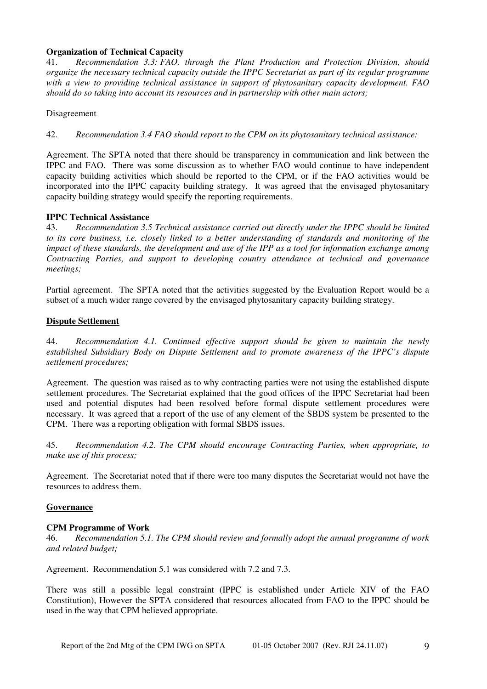## **Organization of Technical Capacity**

41. *Recommendation 3.3: FAO, through the Plant Production and Protection Division, should organize the necessary technical capacity outside the IPPC Secretariat as part of its regular programme with a view to providing technical assistance in support of phytosanitary capacity development. FAO should do so taking into account its resources and in partnership with other main actors;* 

#### Disagreement

42. *Recommendation 3.4 FAO should report to the CPM on its phytosanitary technical assistance;* 

Agreement. The SPTA noted that there should be transparency in communication and link between the IPPC and FAO. There was some discussion as to whether FAO would continue to have independent capacity building activities which should be reported to the CPM, or if the FAO activities would be incorporated into the IPPC capacity building strategy. It was agreed that the envisaged phytosanitary capacity building strategy would specify the reporting requirements.

## **IPPC Technical Assistance**

43. *Recommendation 3.5 Technical assistance carried out directly under the IPPC should be limited to its core business, i.e. closely linked to a better understanding of standards and monitoring of the impact of these standards, the development and use of the IPP as a tool for information exchange among Contracting Parties, and support to developing country attendance at technical and governance meetings;* 

Partial agreement. The SPTA noted that the activities suggested by the Evaluation Report would be a subset of a much wider range covered by the envisaged phytosanitary capacity building strategy.

## **Dispute Settlement**

44. *Recommendation 4.1. Continued effective support should be given to maintain the newly established Subsidiary Body on Dispute Settlement and to promote awareness of the IPPC's dispute settlement procedures;* 

Agreement. The question was raised as to why contracting parties were not using the established dispute settlement procedures. The Secretariat explained that the good offices of the IPPC Secretariat had been used and potential disputes had been resolved before formal dispute settlement procedures were necessary. It was agreed that a report of the use of any element of the SBDS system be presented to the CPM. There was a reporting obligation with formal SBDS issues.

45. *Recommendation 4.2. The CPM should encourage Contracting Parties, when appropriate, to make use of this process;* 

Agreement. The Secretariat noted that if there were too many disputes the Secretariat would not have the resources to address them.

#### **Governance**

#### **CPM Programme of Work**

46. *Recommendation 5.1. The CPM should review and formally adopt the annual programme of work and related budget;* 

Agreement. Recommendation 5.1 was considered with 7.2 and 7.3.

There was still a possible legal constraint (IPPC is established under Article XIV of the FAO Constitution), However the SPTA considered that resources allocated from FAO to the IPPC should be used in the way that CPM believed appropriate.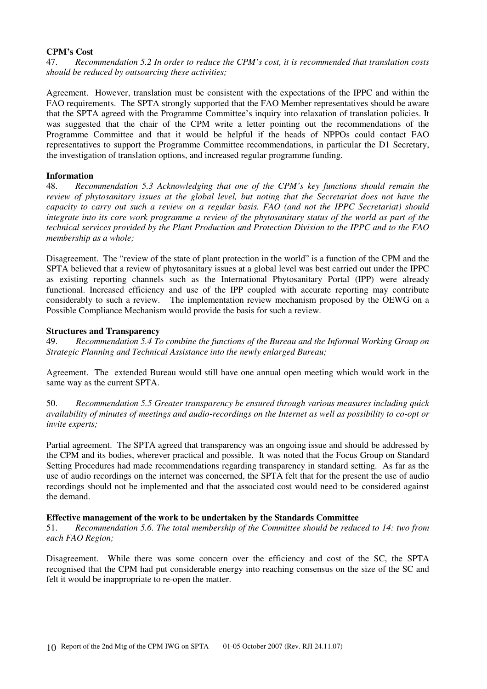#### **CPM's Cost**

47. *Recommendation 5.2 In order to reduce the CPM's cost, it is recommended that translation costs should be reduced by outsourcing these activities;* 

Agreement. However, translation must be consistent with the expectations of the IPPC and within the FAO requirements. The SPTA strongly supported that the FAO Member representatives should be aware that the SPTA agreed with the Programme Committee's inquiry into relaxation of translation policies. It was suggested that the chair of the CPM write a letter pointing out the recommendations of the Programme Committee and that it would be helpful if the heads of NPPOs could contact FAO representatives to support the Programme Committee recommendations, in particular the D1 Secretary, the investigation of translation options, and increased regular programme funding.

#### **Information**

48. *Recommendation 5.3 Acknowledging that one of the CPM's key functions should remain the review of phytosanitary issues at the global level, but noting that the Secretariat does not have the capacity to carry out such a review on a regular basis. FAO (and not the IPPC Secretariat) should integrate into its core work programme a review of the phytosanitary status of the world as part of the technical services provided by the Plant Production and Protection Division to the IPPC and to the FAO membership as a whole;* 

Disagreement. The "review of the state of plant protection in the world" is a function of the CPM and the SPTA believed that a review of phytosanitary issues at a global level was best carried out under the IPPC as existing reporting channels such as the International Phytosanitary Portal (IPP) were already functional. Increased efficiency and use of the IPP coupled with accurate reporting may contribute considerably to such a review. The implementation review mechanism proposed by the OEWG on a Possible Compliance Mechanism would provide the basis for such a review.

#### **Structures and Transparency**

49. *Recommendation 5.4 To combine the functions of the Bureau and the Informal Working Group on Strategic Planning and Technical Assistance into the newly enlarged Bureau;* 

Agreement. The extended Bureau would still have one annual open meeting which would work in the same way as the current SPTA.

50. *Recommendation 5.5 Greater transparency be ensured through various measures including quick availability of minutes of meetings and audio-recordings on the Internet as well as possibility to co-opt or invite experts;* 

Partial agreement. The SPTA agreed that transparency was an ongoing issue and should be addressed by the CPM and its bodies, wherever practical and possible. It was noted that the Focus Group on Standard Setting Procedures had made recommendations regarding transparency in standard setting. As far as the use of audio recordings on the internet was concerned, the SPTA felt that for the present the use of audio recordings should not be implemented and that the associated cost would need to be considered against the demand.

#### **Effective management of the work to be undertaken by the Standards Committee**

51. *Recommendation 5.6. The total membership of the Committee should be reduced to 14: two from each FAO Region;* 

Disagreement. While there was some concern over the efficiency and cost of the SC, the SPTA recognised that the CPM had put considerable energy into reaching consensus on the size of the SC and felt it would be inappropriate to re-open the matter.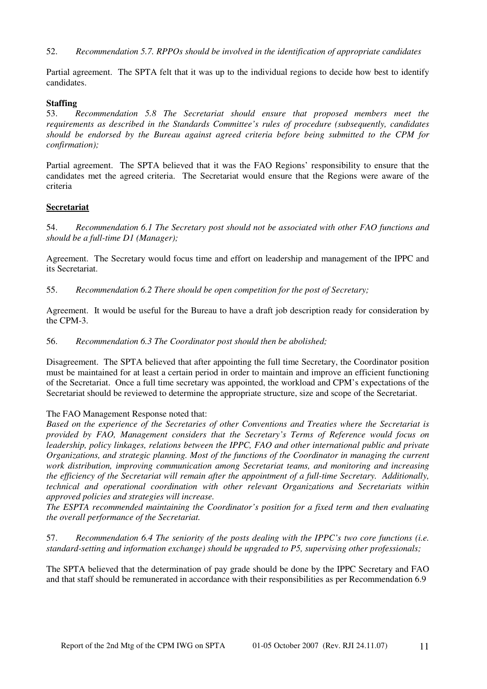52. *Recommendation 5.7. RPPOs should be involved in the identification of appropriate candidates*

Partial agreement. The SPTA felt that it was up to the individual regions to decide how best to identify candidates.

#### **Staffing**

53. *Recommendation 5.8 The Secretariat should ensure that proposed members meet the requirements as described in the Standards Committee's rules of procedure (subsequently, candidates should be endorsed by the Bureau against agreed criteria before being submitted to the CPM for confirmation);* 

Partial agreement. The SPTA believed that it was the FAO Regions' responsibility to ensure that the candidates met the agreed criteria. The Secretariat would ensure that the Regions were aware of the criteria

## **Secretariat**

54. *Recommendation 6.1 The Secretary post should not be associated with other FAO functions and should be a full-time D1 (Manager);* 

Agreement. The Secretary would focus time and effort on leadership and management of the IPPC and its Secretariat.

55. *Recommendation 6.2 There should be open competition for the post of Secretary;* 

Agreement. It would be useful for the Bureau to have a draft job description ready for consideration by the CPM-3.

56. *Recommendation 6.3 The Coordinator post should then be abolished;*

Disagreement. The SPTA believed that after appointing the full time Secretary, the Coordinator position must be maintained for at least a certain period in order to maintain and improve an efficient functioning of the Secretariat. Once a full time secretary was appointed, the workload and CPM's expectations of the Secretariat should be reviewed to determine the appropriate structure, size and scope of the Secretariat.

#### The FAO Management Response noted that:

*Based on the experience of the Secretaries of other Conventions and Treaties where the Secretariat is provided by FAO, Management considers that the Secretary's Terms of Reference would focus on leadership, policy linkages, relations between the IPPC, FAO and other international public and private Organizations, and strategic planning. Most of the functions of the Coordinator in managing the current work distribution, improving communication among Secretariat teams, and monitoring and increasing the efficiency of the Secretariat will remain after the appointment of a full-time Secretary. Additionally, technical and operational coordination with other relevant Organizations and Secretariats within approved policies and strategies will increase.* 

*The ESPTA recommended maintaining the Coordinator's position for a fixed term and then evaluating the overall performance of the Secretariat.*

57. *Recommendation 6.4 The seniority of the posts dealing with the IPPC's two core functions (i.e. standard-setting and information exchange) should be upgraded to P5, supervising other professionals;* 

The SPTA believed that the determination of pay grade should be done by the IPPC Secretary and FAO and that staff should be remunerated in accordance with their responsibilities as per Recommendation 6.9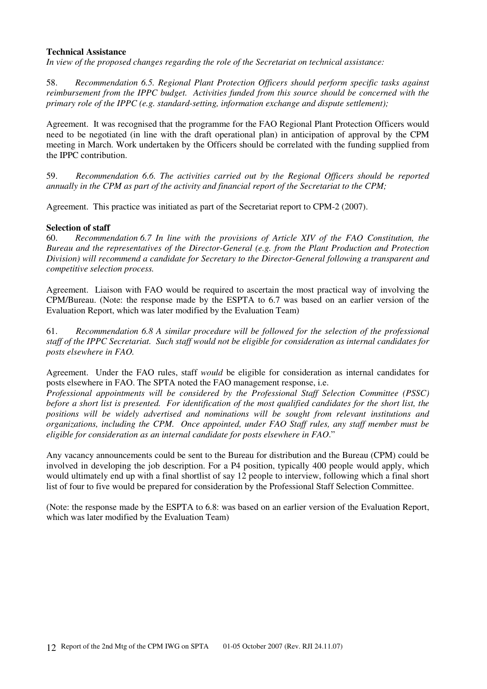#### **Technical Assistance**

*In view of the proposed changes regarding the role of the Secretariat on technical assistance:* 

58. *Recommendation 6.5. Regional Plant Protection Officers should perform specific tasks against reimbursement from the IPPC budget. Activities funded from this source should be concerned with the primary role of the IPPC (e.g. standard-setting, information exchange and dispute settlement);* 

Agreement. It was recognised that the programme for the FAO Regional Plant Protection Officers would need to be negotiated (in line with the draft operational plan) in anticipation of approval by the CPM meeting in March. Work undertaken by the Officers should be correlated with the funding supplied from the IPPC contribution.

59. *Recommendation 6.6. The activities carried out by the Regional Officers should be reported annually in the CPM as part of the activity and financial report of the Secretariat to the CPM;* 

Agreement. This practice was initiated as part of the Secretariat report to CPM-2 (2007).

#### **Selection of staff**

60. *Recommendation 6.7 In line with the provisions of Article XIV of the FAO Constitution, the Bureau and the representatives of the Director-General (e.g. from the Plant Production and Protection Division) will recommend a candidate for Secretary to the Director-General following a transparent and competitive selection process.* 

Agreement. Liaison with FAO would be required to ascertain the most practical way of involving the CPM/Bureau. (Note: the response made by the ESPTA to 6.7 was based on an earlier version of the Evaluation Report, which was later modified by the Evaluation Team)

61. *Recommendation 6.8 A similar procedure will be followed for the selection of the professional staff of the IPPC Secretariat. Such staff would not be eligible for consideration as internal candidates for posts elsewhere in FAO.*

Agreement. Under the FAO rules, staff *would* be eligible for consideration as internal candidates for posts elsewhere in FAO. The SPTA noted the FAO management response, i.e.

*Professional appointments will be considered by the Professional Staff Selection Committee (PSSC) before a short list is presented. For identification of the most qualified candidates for the short list, the positions will be widely advertised and nominations will be sought from relevant institutions and organizations, including the CPM. Once appointed, under FAO Staff rules, any staff member must be eligible for consideration as an internal candidate for posts elsewhere in FAO*."

Any vacancy announcements could be sent to the Bureau for distribution and the Bureau (CPM) could be involved in developing the job description. For a P4 position, typically 400 people would apply, which would ultimately end up with a final shortlist of say 12 people to interview, following which a final short list of four to five would be prepared for consideration by the Professional Staff Selection Committee.

(Note: the response made by the ESPTA to 6.8: was based on an earlier version of the Evaluation Report, which was later modified by the Evaluation Team)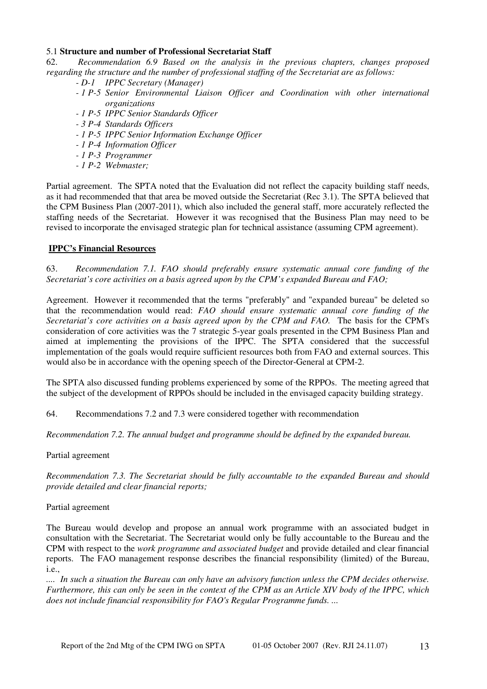#### 5.1 **Structure and number of Professional Secretariat Staff**

62. *Recommendation 6.9 Based on the analysis in the previous chapters, changes proposed regarding the structure and the number of professional staffing of the Secretariat are as follows:* 

- *D-1 IPPC Secretary (Manager)*
- *1 P-5 Senior Environmental Liaison Officer and Coordination with other international organizations*
- *1 P-5 IPPC Senior Standards Officer*
- *3 P-4 Standards Officers*
- *1 P-5 IPPC Senior Information Exchange Officer*
- *1 P-4 Information Officer*
- *1 P-3 Programmer*
- *1 P-2 Webmaster;*

Partial agreement. The SPTA noted that the Evaluation did not reflect the capacity building staff needs, as it had recommended that that area be moved outside the Secretariat (Rec 3.1). The SPTA believed that the CPM Business Plan (2007-2011), which also included the general staff, more accurately reflected the staffing needs of the Secretariat. However it was recognised that the Business Plan may need to be revised to incorporate the envisaged strategic plan for technical assistance (assuming CPM agreement).

#### **IPPC's Financial Resources**

63. *Recommendation 7.1. FAO should preferably ensure systematic annual core funding of the Secretariat's core activities on a basis agreed upon by the CPM's expanded Bureau and FAO;* 

Agreement. However it recommended that the terms "preferably" and "expanded bureau" be deleted so that the recommendation would read: *FAO should ensure systematic annual core funding of the*  Secretariat's core activities on a basis agreed upon by the CPM and FAO. The basis for the CPM's consideration of core activities was the 7 strategic 5-year goals presented in the CPM Business Plan and aimed at implementing the provisions of the IPPC. The SPTA considered that the successful implementation of the goals would require sufficient resources both from FAO and external sources. This would also be in accordance with the opening speech of the Director-General at CPM-2.

The SPTA also discussed funding problems experienced by some of the RPPOs. The meeting agreed that the subject of the development of RPPOs should be included in the envisaged capacity building strategy.

64. Recommendations 7.2 and 7.3 were considered together with recommendation

*Recommendation 7.2. The annual budget and programme should be defined by the expanded bureau.* 

#### Partial agreement

*Recommendation 7.3. The Secretariat should be fully accountable to the expanded Bureau and should provide detailed and clear financial reports;* 

#### Partial agreement

The Bureau would develop and propose an annual work programme with an associated budget in consultation with the Secretariat. The Secretariat would only be fully accountable to the Bureau and the CPM with respect to the *work programme and associated budget* and provide detailed and clear financial reports. The FAO management response describes the financial responsibility (limited) of the Bureau, i.e.,

*.... In such a situation the Bureau can only have an advisory function unless the CPM decides otherwise. Furthermore, this can only be seen in the context of the CPM as an Article XIV body of the IPPC, which does not include financial responsibility for FAO's Regular Programme funds. ...*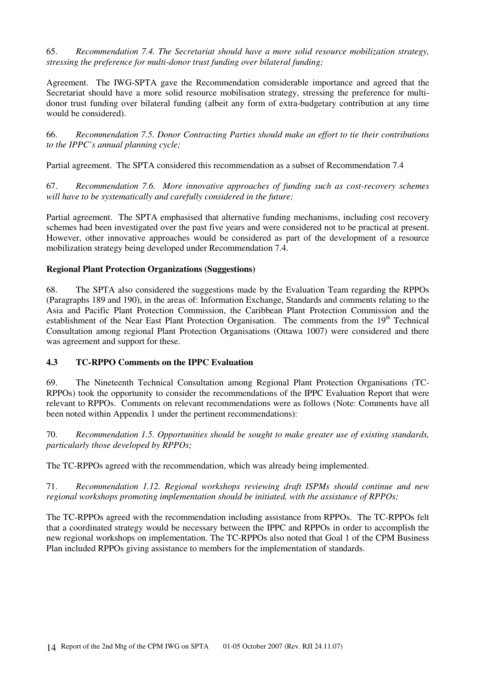65. *Recommendation 7.4. The Secretariat should have a more solid resource mobilization strategy, stressing the preference for multi-donor trust funding over bilateral funding;* 

Agreement. The IWG-SPTA gave the Recommendation considerable importance and agreed that the Secretariat should have a more solid resource mobilisation strategy, stressing the preference for multidonor trust funding over bilateral funding (albeit any form of extra-budgetary contribution at any time would be considered).

66. *Recommendation 7.5. Donor Contracting Parties should make an effort to tie their contributions to the IPPC's annual planning cycle;*

Partial agreement. The SPTA considered this recommendation as a subset of Recommendation 7.4

67. *Recommendation 7.6. More innovative approaches of funding such as cost-recovery schemes will have to be systematically and carefully considered in the future;* 

Partial agreement. The SPTA emphasised that alternative funding mechanisms, including cost recovery schemes had been investigated over the past five years and were considered not to be practical at present. However, other innovative approaches would be considered as part of the development of a resource mobilization strategy being developed under Recommendation 7.4.

## **Regional Plant Protection Organizations (Suggestions)**

68. The SPTA also considered the suggestions made by the Evaluation Team regarding the RPPOs (Paragraphs 189 and 190), in the areas of: Information Exchange, Standards and comments relating to the Asia and Pacific Plant Protection Commission, the Caribbean Plant Protection Commission and the establishment of the Near East Plant Protection Organisation. The comments from the  $19<sup>th</sup>$  Technical Consultation among regional Plant Protection Organisations (Ottawa 1007) were considered and there was agreement and support for these.

#### **4.3 TC-RPPO Comments on the IPPC Evaluation**

69. The Nineteenth Technical Consultation among Regional Plant Protection Organisations (TC-RPPOs) took the opportunity to consider the recommendations of the IPPC Evaluation Report that were relevant to RPPOs. Comments on relevant recommendations were as follows (Note: Comments have all been noted within Appendix 1 under the pertinent recommendations):

70. *Recommendation 1.5. Opportunities should be sought to make greater use of existing standards, particularly those developed by RPPOs;*

The TC-RPPOs agreed with the recommendation, which was already being implemented.

71. *Recommendation 1.12. Regional workshops reviewing draft ISPMs should continue and new regional workshops promoting implementation should be initiated, with the assistance of RPPOs;* 

The TC-RPPOs agreed with the recommendation including assistance from RPPOs. The TC-RPPOs felt that a coordinated strategy would be necessary between the IPPC and RPPOs in order to accomplish the new regional workshops on implementation. The TC-RPPOs also noted that Goal 1 of the CPM Business Plan included RPPOs giving assistance to members for the implementation of standards.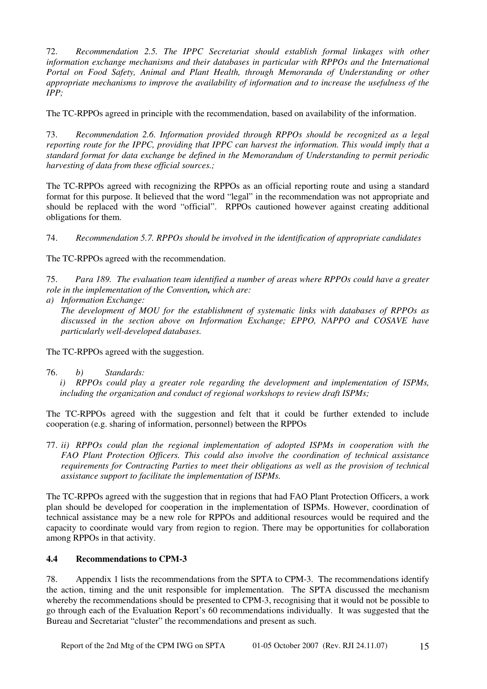72. *Recommendation 2.5. The IPPC Secretariat should establish formal linkages with other information exchange mechanisms and their databases in particular with RPPOs and the International Portal on Food Safety, Animal and Plant Health, through Memoranda of Understanding or other appropriate mechanisms to improve the availability of information and to increase the usefulness of the IPP;* 

The TC-RPPOs agreed in principle with the recommendation, based on availability of the information.

73. *Recommendation 2.6. Information provided through RPPOs should be recognized as a legal reporting route for the IPPC, providing that IPPC can harvest the information. This would imply that a standard format for data exchange be defined in the Memorandum of Understanding to permit periodic harvesting of data from these official sources.;* 

The TC-RPPOs agreed with recognizing the RPPOs as an official reporting route and using a standard format for this purpose. It believed that the word "legal" in the recommendation was not appropriate and should be replaced with the word "official". RPPOs cautioned however against creating additional obligations for them.

74. *Recommendation 5.7. RPPOs should be involved in the identification of appropriate candidates*

The TC-RPPOs agreed with the recommendation.

75. *Para 189. The evaluation team identified a number of areas where RPPOs could have a greater role in the implementation of the Convention, which are:* 

*a) Information Exchange:* 

 *The development of MOU for the establishment of systematic links with databases of RPPOs as discussed in the section above on Information Exchange; EPPO, NAPPO and COSAVE have particularly well-developed databases.* 

The TC-RPPOs agreed with the suggestion.

76. *b) Standards:* 

 *i) RPPOs could play a greater role regarding the development and implementation of ISPMs, including the organization and conduct of regional workshops to review draft ISPMs;*

The TC-RPPOs agreed with the suggestion and felt that it could be further extended to include cooperation (e.g. sharing of information, personnel) between the RPPOs

77. *ii) RPPOs could plan the regional implementation of adopted ISPMs in cooperation with the FAO Plant Protection Officers. This could also involve the coordination of technical assistance requirements for Contracting Parties to meet their obligations as well as the provision of technical assistance support to facilitate the implementation of ISPMs.* 

The TC-RPPOs agreed with the suggestion that in regions that had FAO Plant Protection Officers, a work plan should be developed for cooperation in the implementation of ISPMs. However, coordination of technical assistance may be a new role for RPPOs and additional resources would be required and the capacity to coordinate would vary from region to region. There may be opportunities for collaboration among RPPOs in that activity.

## **4.4 Recommendations to CPM-3**

78. Appendix 1 lists the recommendations from the SPTA to CPM-3. The recommendations identify the action, timing and the unit responsible for implementation. The SPTA discussed the mechanism whereby the recommendations should be presented to CPM-3, recognising that it would not be possible to go through each of the Evaluation Report's 60 recommendations individually. It was suggested that the Bureau and Secretariat "cluster" the recommendations and present as such.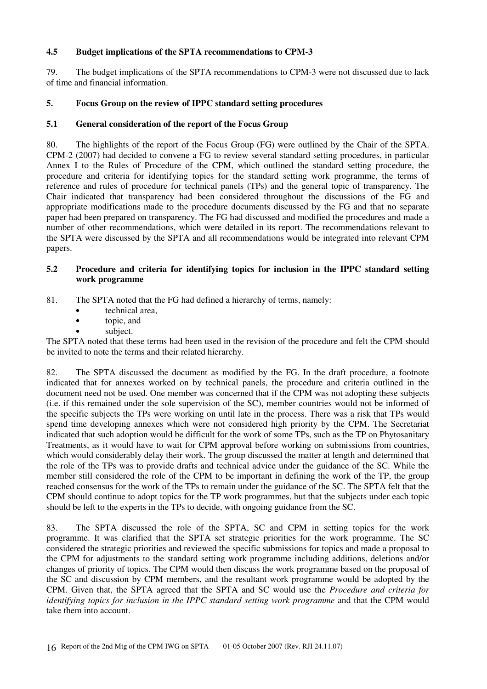## **4.5 Budget implications of the SPTA recommendations to CPM-3**

79. The budget implications of the SPTA recommendations to CPM-3 were not discussed due to lack of time and financial information.

#### **5. Focus Group on the review of IPPC standard setting procedures**

#### **5.1 General consideration of the report of the Focus Group**

80. The highlights of the report of the Focus Group (FG) were outlined by the Chair of the SPTA. CPM-2 (2007) had decided to convene a FG to review several standard setting procedures, in particular Annex I to the Rules of Procedure of the CPM, which outlined the standard setting procedure, the procedure and criteria for identifying topics for the standard setting work programme, the terms of reference and rules of procedure for technical panels (TPs) and the general topic of transparency. The Chair indicated that transparency had been considered throughout the discussions of the FG and appropriate modifications made to the procedure documents discussed by the FG and that no separate paper had been prepared on transparency. The FG had discussed and modified the procedures and made a number of other recommendations, which were detailed in its report. The recommendations relevant to the SPTA were discussed by the SPTA and all recommendations would be integrated into relevant CPM papers.

## **5.2 Procedure and criteria for identifying topics for inclusion in the IPPC standard setting work programme**

- 81. The SPTA noted that the FG had defined a hierarchy of terms, namely:
	- technical area,
	- topic, and
	- subject.

The SPTA noted that these terms had been used in the revision of the procedure and felt the CPM should be invited to note the terms and their related hierarchy.

82. The SPTA discussed the document as modified by the FG. In the draft procedure, a footnote indicated that for annexes worked on by technical panels, the procedure and criteria outlined in the document need not be used. One member was concerned that if the CPM was not adopting these subjects (i.e. if this remained under the sole supervision of the SC), member countries would not be informed of the specific subjects the TPs were working on until late in the process. There was a risk that TPs would spend time developing annexes which were not considered high priority by the CPM. The Secretariat indicated that such adoption would be difficult for the work of some TPs, such as the TP on Phytosanitary Treatments, as it would have to wait for CPM approval before working on submissions from countries, which would considerably delay their work. The group discussed the matter at length and determined that the role of the TPs was to provide drafts and technical advice under the guidance of the SC. While the member still considered the role of the CPM to be important in defining the work of the TP, the group reached consensus for the work of the TPs to remain under the guidance of the SC. The SPTA felt that the CPM should continue to adopt topics for the TP work programmes, but that the subjects under each topic should be left to the experts in the TPs to decide, with ongoing guidance from the SC.

83. The SPTA discussed the role of the SPTA, SC and CPM in setting topics for the work programme. It was clarified that the SPTA set strategic priorities for the work programme. The SC considered the strategic priorities and reviewed the specific submissions for topics and made a proposal to the CPM for adjustments to the standard setting work programme including additions, deletions and/or changes of priority of topics. The CPM would then discuss the work programme based on the proposal of the SC and discussion by CPM members, and the resultant work programme would be adopted by the CPM. Given that, the SPTA agreed that the SPTA and SC would use the *Procedure and criteria for identifying topics for inclusion in the IPPC standard setting work programme* and that the CPM would take them into account.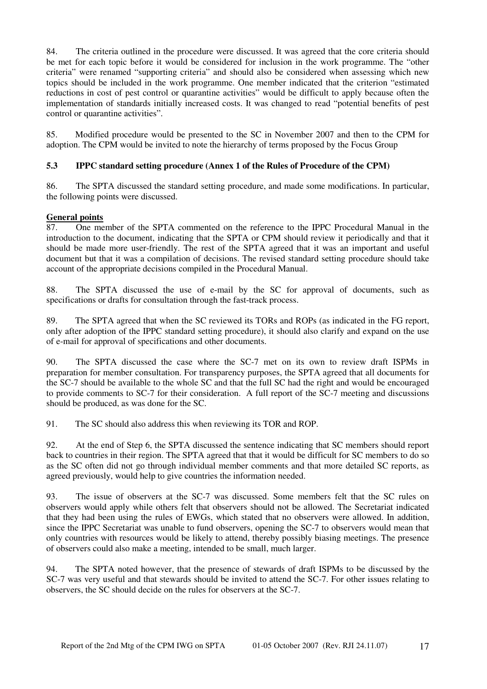84. The criteria outlined in the procedure were discussed. It was agreed that the core criteria should be met for each topic before it would be considered for inclusion in the work programme. The "other criteria" were renamed "supporting criteria" and should also be considered when assessing which new topics should be included in the work programme. One member indicated that the criterion "estimated reductions in cost of pest control or quarantine activities" would be difficult to apply because often the implementation of standards initially increased costs. It was changed to read "potential benefits of pest control or quarantine activities".

85. Modified procedure would be presented to the SC in November 2007 and then to the CPM for adoption. The CPM would be invited to note the hierarchy of terms proposed by the Focus Group

## **5.3 IPPC standard setting procedure (Annex 1 of the Rules of Procedure of the CPM)**

86. The SPTA discussed the standard setting procedure, and made some modifications. In particular, the following points were discussed.

## **General points**

87. One member of the SPTA commented on the reference to the IPPC Procedural Manual in the introduction to the document, indicating that the SPTA or CPM should review it periodically and that it should be made more user-friendly. The rest of the SPTA agreed that it was an important and useful document but that it was a compilation of decisions. The revised standard setting procedure should take account of the appropriate decisions compiled in the Procedural Manual.

88. The SPTA discussed the use of e-mail by the SC for approval of documents, such as specifications or drafts for consultation through the fast-track process.

89. The SPTA agreed that when the SC reviewed its TORs and ROPs (as indicated in the FG report, only after adoption of the IPPC standard setting procedure), it should also clarify and expand on the use of e-mail for approval of specifications and other documents.

90. The SPTA discussed the case where the SC-7 met on its own to review draft ISPMs in preparation for member consultation. For transparency purposes, the SPTA agreed that all documents for the SC-7 should be available to the whole SC and that the full SC had the right and would be encouraged to provide comments to SC-7 for their consideration. A full report of the SC-7 meeting and discussions should be produced, as was done for the SC.

91. The SC should also address this when reviewing its TOR and ROP.

92. At the end of Step 6, the SPTA discussed the sentence indicating that SC members should report back to countries in their region. The SPTA agreed that that it would be difficult for SC members to do so as the SC often did not go through individual member comments and that more detailed SC reports, as agreed previously, would help to give countries the information needed.

93. The issue of observers at the SC-7 was discussed. Some members felt that the SC rules on observers would apply while others felt that observers should not be allowed. The Secretariat indicated that they had been using the rules of EWGs, which stated that no observers were allowed. In addition, since the IPPC Secretariat was unable to fund observers, opening the SC-7 to observers would mean that only countries with resources would be likely to attend, thereby possibly biasing meetings. The presence of observers could also make a meeting, intended to be small, much larger.

94. The SPTA noted however, that the presence of stewards of draft ISPMs to be discussed by the SC-7 was very useful and that stewards should be invited to attend the SC-7. For other issues relating to observers, the SC should decide on the rules for observers at the SC-7.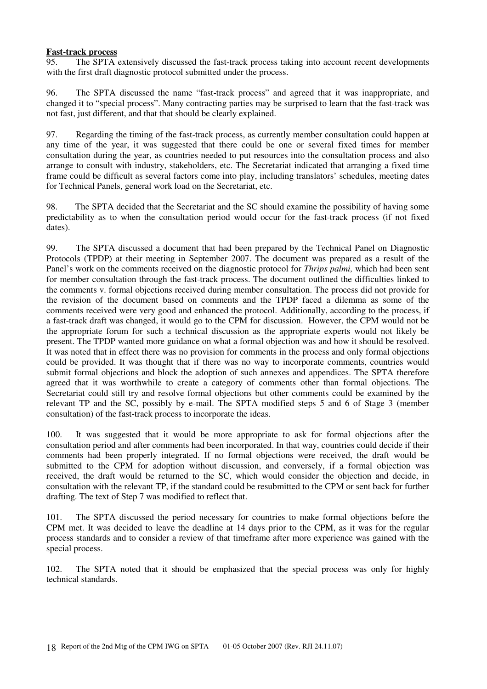#### **Fast-track process**

95. The SPTA extensively discussed the fast-track process taking into account recent developments with the first draft diagnostic protocol submitted under the process.

96. The SPTA discussed the name "fast-track process" and agreed that it was inappropriate, and changed it to "special process". Many contracting parties may be surprised to learn that the fast-track was not fast, just different, and that that should be clearly explained.

97. Regarding the timing of the fast-track process, as currently member consultation could happen at any time of the year, it was suggested that there could be one or several fixed times for member consultation during the year, as countries needed to put resources into the consultation process and also arrange to consult with industry, stakeholders, etc. The Secretariat indicated that arranging a fixed time frame could be difficult as several factors come into play, including translators' schedules, meeting dates for Technical Panels, general work load on the Secretariat, etc.

98. The SPTA decided that the Secretariat and the SC should examine the possibility of having some predictability as to when the consultation period would occur for the fast-track process (if not fixed dates).

99. The SPTA discussed a document that had been prepared by the Technical Panel on Diagnostic Protocols (TPDP) at their meeting in September 2007. The document was prepared as a result of the Panel's work on the comments received on the diagnostic protocol for *Thrips palmi,* which had been sent for member consultation through the fast-track process. The document outlined the difficulties linked to the comments v. formal objections received during member consultation. The process did not provide for the revision of the document based on comments and the TPDP faced a dilemma as some of the comments received were very good and enhanced the protocol. Additionally, according to the process, if a fast-track draft was changed, it would go to the CPM for discussion. However, the CPM would not be the appropriate forum for such a technical discussion as the appropriate experts would not likely be present. The TPDP wanted more guidance on what a formal objection was and how it should be resolved. It was noted that in effect there was no provision for comments in the process and only formal objections could be provided. It was thought that if there was no way to incorporate comments, countries would submit formal objections and block the adoption of such annexes and appendices. The SPTA therefore agreed that it was worthwhile to create a category of comments other than formal objections. The Secretariat could still try and resolve formal objections but other comments could be examined by the relevant TP and the SC, possibly by e-mail. The SPTA modified steps 5 and 6 of Stage 3 (member consultation) of the fast-track process to incorporate the ideas.

100. It was suggested that it would be more appropriate to ask for formal objections after the consultation period and after comments had been incorporated. In that way, countries could decide if their comments had been properly integrated. If no formal objections were received, the draft would be submitted to the CPM for adoption without discussion, and conversely, if a formal objection was received, the draft would be returned to the SC, which would consider the objection and decide, in consultation with the relevant TP, if the standard could be resubmitted to the CPM or sent back for further drafting. The text of Step 7 was modified to reflect that.

101. The SPTA discussed the period necessary for countries to make formal objections before the CPM met. It was decided to leave the deadline at 14 days prior to the CPM, as it was for the regular process standards and to consider a review of that timeframe after more experience was gained with the special process.

102. The SPTA noted that it should be emphasized that the special process was only for highly technical standards.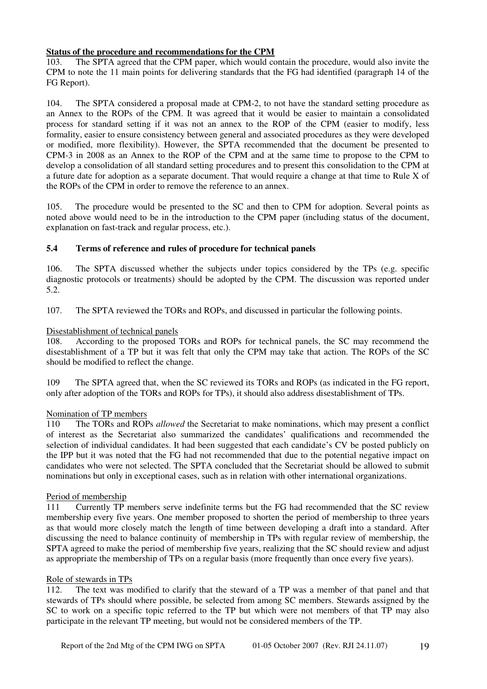## **Status of the procedure and recommendations for the CPM**

103. The SPTA agreed that the CPM paper, which would contain the procedure, would also invite the CPM to note the 11 main points for delivering standards that the FG had identified (paragraph 14 of the FG Report).

104. The SPTA considered a proposal made at CPM-2, to not have the standard setting procedure as an Annex to the ROPs of the CPM. It was agreed that it would be easier to maintain a consolidated process for standard setting if it was not an annex to the ROP of the CPM (easier to modify, less formality, easier to ensure consistency between general and associated procedures as they were developed or modified, more flexibility). However, the SPTA recommended that the document be presented to CPM-3 in 2008 as an Annex to the ROP of the CPM and at the same time to propose to the CPM to develop a consolidation of all standard setting procedures and to present this consolidation to the CPM at a future date for adoption as a separate document. That would require a change at that time to Rule X of the ROPs of the CPM in order to remove the reference to an annex.

105. The procedure would be presented to the SC and then to CPM for adoption. Several points as noted above would need to be in the introduction to the CPM paper (including status of the document, explanation on fast-track and regular process, etc.).

## **5.4 Terms of reference and rules of procedure for technical panels**

106. The SPTA discussed whether the subjects under topics considered by the TPs (e.g. specific diagnostic protocols or treatments) should be adopted by the CPM. The discussion was reported under 5.2.

107. The SPTA reviewed the TORs and ROPs, and discussed in particular the following points.

## Disestablishment of technical panels

108. According to the proposed TORs and ROPs for technical panels, the SC may recommend the disestablishment of a TP but it was felt that only the CPM may take that action. The ROPs of the SC should be modified to reflect the change.

109 The SPTA agreed that, when the SC reviewed its TORs and ROPs (as indicated in the FG report, only after adoption of the TORs and ROPs for TPs), it should also address disestablishment of TPs.

#### Nomination of TP members

110 The TORs and ROPs *allowed* the Secretariat to make nominations, which may present a conflict of interest as the Secretariat also summarized the candidates' qualifications and recommended the selection of individual candidates. It had been suggested that each candidate's CV be posted publicly on the IPP but it was noted that the FG had not recommended that due to the potential negative impact on candidates who were not selected. The SPTA concluded that the Secretariat should be allowed to submit nominations but only in exceptional cases, such as in relation with other international organizations.

#### Period of membership

111 Currently TP members serve indefinite terms but the FG had recommended that the SC review membership every five years. One member proposed to shorten the period of membership to three years as that would more closely match the length of time between developing a draft into a standard. After discussing the need to balance continuity of membership in TPs with regular review of membership, the SPTA agreed to make the period of membership five years, realizing that the SC should review and adjust as appropriate the membership of TPs on a regular basis (more frequently than once every five years).

#### Role of stewards in TPs

112. The text was modified to clarify that the steward of a TP was a member of that panel and that stewards of TPs should where possible, be selected from among SC members. Stewards assigned by the SC to work on a specific topic referred to the TP but which were not members of that TP may also participate in the relevant TP meeting, but would not be considered members of the TP.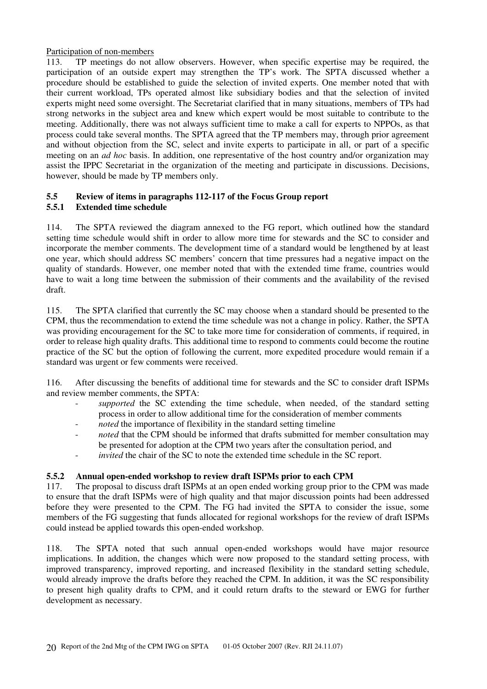#### Participation of non-members

113. TP meetings do not allow observers. However, when specific expertise may be required, the participation of an outside expert may strengthen the TP's work. The SPTA discussed whether a procedure should be established to guide the selection of invited experts. One member noted that with their current workload, TPs operated almost like subsidiary bodies and that the selection of invited experts might need some oversight. The Secretariat clarified that in many situations, members of TPs had strong networks in the subject area and knew which expert would be most suitable to contribute to the meeting. Additionally, there was not always sufficient time to make a call for experts to NPPOs, as that process could take several months. The SPTA agreed that the TP members may, through prior agreement and without objection from the SC, select and invite experts to participate in all, or part of a specific meeting on an *ad hoc* basis. In addition, one representative of the host country and/or organization may assist the IPPC Secretariat in the organization of the meeting and participate in discussions. Decisions, however, should be made by TP members only.

## **5.5 Review of items in paragraphs 112-117 of the Focus Group report 5.5.1 Extended time schedule**

114. The SPTA reviewed the diagram annexed to the FG report, which outlined how the standard setting time schedule would shift in order to allow more time for stewards and the SC to consider and incorporate the member comments. The development time of a standard would be lengthened by at least one year, which should address SC members' concern that time pressures had a negative impact on the quality of standards. However, one member noted that with the extended time frame, countries would have to wait a long time between the submission of their comments and the availability of the revised draft.

115. The SPTA clarified that currently the SC may choose when a standard should be presented to the CPM, thus the recommendation to extend the time schedule was not a change in policy. Rather, the SPTA was providing encouragement for the SC to take more time for consideration of comments, if required, in order to release high quality drafts. This additional time to respond to comments could become the routine practice of the SC but the option of following the current, more expedited procedure would remain if a standard was urgent or few comments were received.

116. After discussing the benefits of additional time for stewards and the SC to consider draft ISPMs and review member comments, the SPTA:

- supported the SC extending the time schedule, when needed, of the standard setting process in order to allow additional time for the consideration of member comments
- *noted* the importance of flexibility in the standard setting timeline
- *noted* that the CPM should be informed that drafts submitted for member consultation may be presented for adoption at the CPM two years after the consultation period, and
- *invited* the chair of the SC to note the extended time schedule in the SC report.

## **5.5.2 Annual open-ended workshop to review draft ISPMs prior to each CPM**

117. The proposal to discuss draft ISPMs at an open ended working group prior to the CPM was made to ensure that the draft ISPMs were of high quality and that major discussion points had been addressed before they were presented to the CPM. The FG had invited the SPTA to consider the issue, some members of the FG suggesting that funds allocated for regional workshops for the review of draft ISPMs could instead be applied towards this open-ended workshop.

118. The SPTA noted that such annual open-ended workshops would have major resource implications. In addition, the changes which were now proposed to the standard setting process, with improved transparency, improved reporting, and increased flexibility in the standard setting schedule, would already improve the drafts before they reached the CPM. In addition, it was the SC responsibility to present high quality drafts to CPM, and it could return drafts to the steward or EWG for further development as necessary.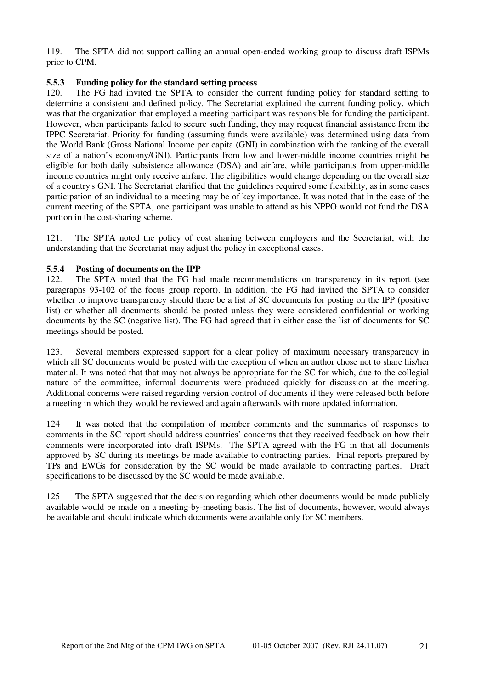119. The SPTA did not support calling an annual open-ended working group to discuss draft ISPMs prior to CPM.

#### **5.5.3 Funding policy for the standard setting process**

120. The FG had invited the SPTA to consider the current funding policy for standard setting to determine a consistent and defined policy. The Secretariat explained the current funding policy, which was that the organization that employed a meeting participant was responsible for funding the participant. However, when participants failed to secure such funding, they may request financial assistance from the IPPC Secretariat. Priority for funding (assuming funds were available) was determined using data from the World Bank (Gross National Income per capita (GNI) in combination with the ranking of the overall size of a nation's economy/GNI). Participants from low and lower-middle income countries might be eligible for both daily subsistence allowance (DSA) and airfare, while participants from upper-middle income countries might only receive airfare. The eligibilities would change depending on the overall size of a country's GNI. The Secretariat clarified that the guidelines required some flexibility, as in some cases participation of an individual to a meeting may be of key importance. It was noted that in the case of the current meeting of the SPTA, one participant was unable to attend as his NPPO would not fund the DSA portion in the cost-sharing scheme.

121. The SPTA noted the policy of cost sharing between employers and the Secretariat, with the understanding that the Secretariat may adjust the policy in exceptional cases.

#### **5.5.4 Posting of documents on the IPP**

122. The SPTA noted that the FG had made recommendations on transparency in its report (see paragraphs 93-102 of the focus group report). In addition, the FG had invited the SPTA to consider whether to improve transparency should there be a list of SC documents for posting on the IPP (positive list) or whether all documents should be posted unless they were considered confidential or working documents by the SC (negative list). The FG had agreed that in either case the list of documents for SC meetings should be posted.

123. Several members expressed support for a clear policy of maximum necessary transparency in which all SC documents would be posted with the exception of when an author chose not to share his/her material. It was noted that that may not always be appropriate for the SC for which, due to the collegial nature of the committee, informal documents were produced quickly for discussion at the meeting. Additional concerns were raised regarding version control of documents if they were released both before a meeting in which they would be reviewed and again afterwards with more updated information.

124 It was noted that the compilation of member comments and the summaries of responses to comments in the SC report should address countries' concerns that they received feedback on how their comments were incorporated into draft ISPMs. The SPTA agreed with the FG in that all documents approved by SC during its meetings be made available to contracting parties. Final reports prepared by TPs and EWGs for consideration by the SC would be made available to contracting parties. Draft specifications to be discussed by the SC would be made available.

125 The SPTA suggested that the decision regarding which other documents would be made publicly available would be made on a meeting-by-meeting basis. The list of documents, however, would always be available and should indicate which documents were available only for SC members.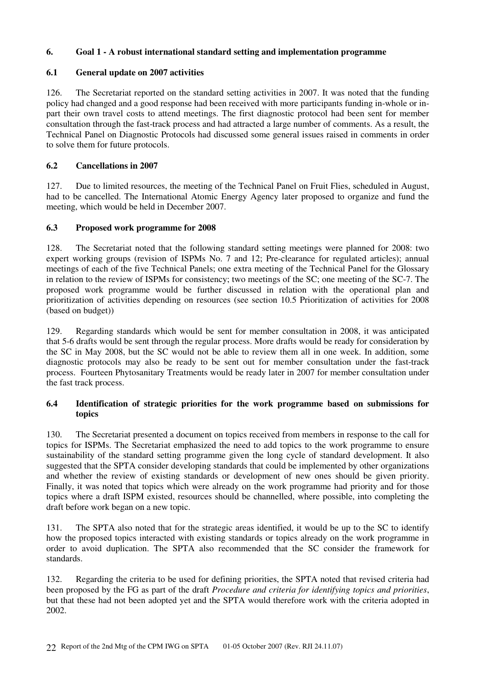## **6. Goal 1 - A robust international standard setting and implementation programme**

## **6.1 General update on 2007 activities**

126. The Secretariat reported on the standard setting activities in 2007. It was noted that the funding policy had changed and a good response had been received with more participants funding in-whole or inpart their own travel costs to attend meetings. The first diagnostic protocol had been sent for member consultation through the fast-track process and had attracted a large number of comments. As a result, the Technical Panel on Diagnostic Protocols had discussed some general issues raised in comments in order to solve them for future protocols.

## **6.2 Cancellations in 2007**

127. Due to limited resources, the meeting of the Technical Panel on Fruit Flies, scheduled in August, had to be cancelled. The International Atomic Energy Agency later proposed to organize and fund the meeting, which would be held in December 2007.

## **6.3 Proposed work programme for 2008**

128. The Secretariat noted that the following standard setting meetings were planned for 2008: two expert working groups (revision of ISPMs No. 7 and 12; Pre-clearance for regulated articles); annual meetings of each of the five Technical Panels; one extra meeting of the Technical Panel for the Glossary in relation to the review of ISPMs for consistency; two meetings of the SC; one meeting of the SC-7. The proposed work programme would be further discussed in relation with the operational plan and prioritization of activities depending on resources (see section 10.5 Prioritization of activities for 2008 (based on budget))

129. Regarding standards which would be sent for member consultation in 2008, it was anticipated that 5-6 drafts would be sent through the regular process. More drafts would be ready for consideration by the SC in May 2008, but the SC would not be able to review them all in one week. In addition, some diagnostic protocols may also be ready to be sent out for member consultation under the fast-track process. Fourteen Phytosanitary Treatments would be ready later in 2007 for member consultation under the fast track process.

## **6.4 Identification of strategic priorities for the work programme based on submissions for topics**

130. The Secretariat presented a document on topics received from members in response to the call for topics for ISPMs. The Secretariat emphasized the need to add topics to the work programme to ensure sustainability of the standard setting programme given the long cycle of standard development. It also suggested that the SPTA consider developing standards that could be implemented by other organizations and whether the review of existing standards or development of new ones should be given priority. Finally, it was noted that topics which were already on the work programme had priority and for those topics where a draft ISPM existed, resources should be channelled, where possible, into completing the draft before work began on a new topic.

131. The SPTA also noted that for the strategic areas identified, it would be up to the SC to identify how the proposed topics interacted with existing standards or topics already on the work programme in order to avoid duplication. The SPTA also recommended that the SC consider the framework for standards.

132. Regarding the criteria to be used for defining priorities, the SPTA noted that revised criteria had been proposed by the FG as part of the draft *Procedure and criteria for identifying topics and priorities*, but that these had not been adopted yet and the SPTA would therefore work with the criteria adopted in 2002.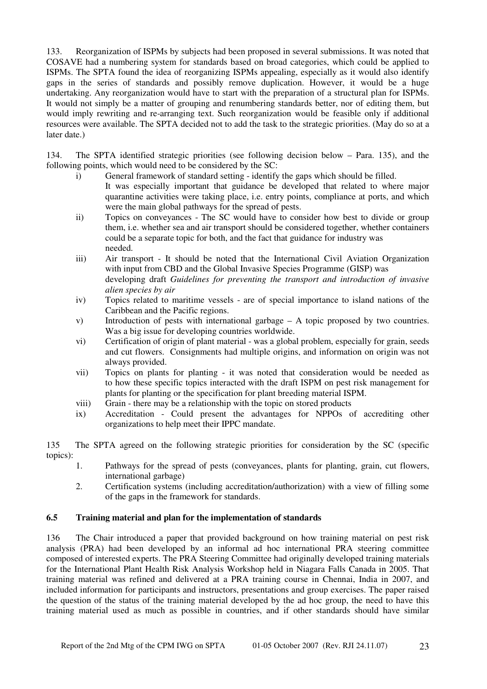133. Reorganization of ISPMs by subjects had been proposed in several submissions. It was noted that COSAVE had a numbering system for standards based on broad categories, which could be applied to ISPMs. The SPTA found the idea of reorganizing ISPMs appealing, especially as it would also identify gaps in the series of standards and possibly remove duplication. However, it would be a huge undertaking. Any reorganization would have to start with the preparation of a structural plan for ISPMs. It would not simply be a matter of grouping and renumbering standards better, nor of editing them, but would imply rewriting and re-arranging text. Such reorganization would be feasible only if additional resources were available. The SPTA decided not to add the task to the strategic priorities. (May do so at a later date.)

134. The SPTA identified strategic priorities (see following decision below – Para. 135), and the following points, which would need to be considered by the SC:

- i) General framework of standard setting identify the gaps which should be filled. It was especially important that guidance be developed that related to where major quarantine activities were taking place, i.e. entry points, compliance at ports, and which were the main global pathways for the spread of pests.
- ii) Topics on conveyances The SC would have to consider how best to divide or group them, i.e. whether sea and air transport should be considered together, whether containers could be a separate topic for both, and the fact that guidance for industry was needed.
- iii) Air transport It should be noted that the International Civil Aviation Organization with input from CBD and the Global Invasive Species Programme (GISP) was developing draft *Guidelines for preventing the transport and introduction of invasive alien species by air*
- iv) Topics related to maritime vessels are of special importance to island nations of the Caribbean and the Pacific regions.
- v) Introduction of pests with international garbage A topic proposed by two countries. Was a big issue for developing countries worldwide.
- vi) Certification of origin of plant material was a global problem, especially for grain, seeds and cut flowers. Consignments had multiple origins, and information on origin was not always provided.
- vii) Topics on plants for planting it was noted that consideration would be needed as to how these specific topics interacted with the draft ISPM on pest risk management for plants for planting or the specification for plant breeding material ISPM.
- viii) Grain there may be a relationship with the topic on stored products
- ix) Accreditation Could present the advantages for NPPOs of accrediting other organizations to help meet their IPPC mandate.

135 The SPTA agreed on the following strategic priorities for consideration by the SC (specific topics):

- 1. Pathways for the spread of pests (conveyances, plants for planting, grain, cut flowers, international garbage)
- 2. Certification systems (including accreditation/authorization) with a view of filling some of the gaps in the framework for standards.

## **6.5 Training material and plan for the implementation of standards**

136 The Chair introduced a paper that provided background on how training material on pest risk analysis (PRA) had been developed by an informal ad hoc international PRA steering committee composed of interested experts. The PRA Steering Committee had originally developed training materials for the International Plant Health Risk Analysis Workshop held in Niagara Falls Canada in 2005. That training material was refined and delivered at a PRA training course in Chennai, India in 2007, and included information for participants and instructors, presentations and group exercises. The paper raised the question of the status of the training material developed by the ad hoc group, the need to have this training material used as much as possible in countries, and if other standards should have similar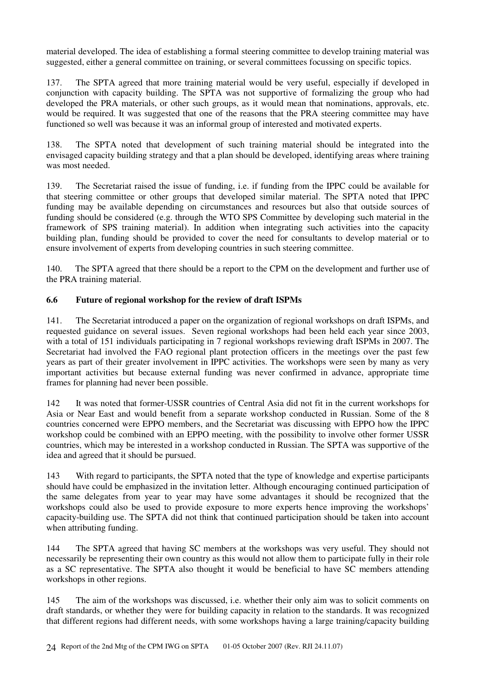material developed. The idea of establishing a formal steering committee to develop training material was suggested, either a general committee on training, or several committees focussing on specific topics.

137. The SPTA agreed that more training material would be very useful, especially if developed in conjunction with capacity building. The SPTA was not supportive of formalizing the group who had developed the PRA materials, or other such groups, as it would mean that nominations, approvals, etc. would be required. It was suggested that one of the reasons that the PRA steering committee may have functioned so well was because it was an informal group of interested and motivated experts.

138. The SPTA noted that development of such training material should be integrated into the envisaged capacity building strategy and that a plan should be developed, identifying areas where training was most needed.

139. The Secretariat raised the issue of funding, i.e. if funding from the IPPC could be available for that steering committee or other groups that developed similar material. The SPTA noted that IPPC funding may be available depending on circumstances and resources but also that outside sources of funding should be considered (e.g. through the WTO SPS Committee by developing such material in the framework of SPS training material). In addition when integrating such activities into the capacity building plan, funding should be provided to cover the need for consultants to develop material or to ensure involvement of experts from developing countries in such steering committee.

140. The SPTA agreed that there should be a report to the CPM on the development and further use of the PRA training material.

## **6.6 Future of regional workshop for the review of draft ISPMs**

141. The Secretariat introduced a paper on the organization of regional workshops on draft ISPMs, and requested guidance on several issues. Seven regional workshops had been held each year since 2003, with a total of 151 individuals participating in 7 regional workshops reviewing draft ISPMs in 2007. The Secretariat had involved the FAO regional plant protection officers in the meetings over the past few years as part of their greater involvement in IPPC activities. The workshops were seen by many as very important activities but because external funding was never confirmed in advance, appropriate time frames for planning had never been possible.

142 It was noted that former-USSR countries of Central Asia did not fit in the current workshops for Asia or Near East and would benefit from a separate workshop conducted in Russian. Some of the 8 countries concerned were EPPO members, and the Secretariat was discussing with EPPO how the IPPC workshop could be combined with an EPPO meeting, with the possibility to involve other former USSR countries, which may be interested in a workshop conducted in Russian. The SPTA was supportive of the idea and agreed that it should be pursued.

143 With regard to participants, the SPTA noted that the type of knowledge and expertise participants should have could be emphasized in the invitation letter. Although encouraging continued participation of the same delegates from year to year may have some advantages it should be recognized that the workshops could also be used to provide exposure to more experts hence improving the workshops' capacity-building use. The SPTA did not think that continued participation should be taken into account when attributing funding.

144 The SPTA agreed that having SC members at the workshops was very useful. They should not necessarily be representing their own country as this would not allow them to participate fully in their role as a SC representative. The SPTA also thought it would be beneficial to have SC members attending workshops in other regions.

145 The aim of the workshops was discussed, i.e. whether their only aim was to solicit comments on draft standards, or whether they were for building capacity in relation to the standards. It was recognized that different regions had different needs, with some workshops having a large training/capacity building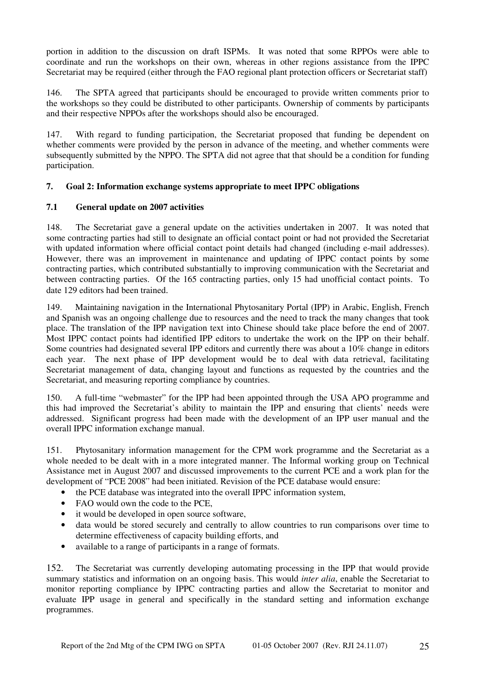portion in addition to the discussion on draft ISPMs. It was noted that some RPPOs were able to coordinate and run the workshops on their own, whereas in other regions assistance from the IPPC Secretariat may be required (either through the FAO regional plant protection officers or Secretariat staff)

146. The SPTA agreed that participants should be encouraged to provide written comments prior to the workshops so they could be distributed to other participants. Ownership of comments by participants and their respective NPPOs after the workshops should also be encouraged.

147. With regard to funding participation, the Secretariat proposed that funding be dependent on whether comments were provided by the person in advance of the meeting, and whether comments were subsequently submitted by the NPPO. The SPTA did not agree that that should be a condition for funding participation.

## **7. Goal 2: Information exchange systems appropriate to meet IPPC obligations**

## **7.1 General update on 2007 activities**

148. The Secretariat gave a general update on the activities undertaken in 2007. It was noted that some contracting parties had still to designate an official contact point or had not provided the Secretariat with updated information where official contact point details had changed (including e-mail addresses). However, there was an improvement in maintenance and updating of IPPC contact points by some contracting parties, which contributed substantially to improving communication with the Secretariat and between contracting parties. Of the 165 contracting parties, only 15 had unofficial contact points. To date 129 editors had been trained.

149. Maintaining navigation in the International Phytosanitary Portal (IPP) in Arabic, English, French and Spanish was an ongoing challenge due to resources and the need to track the many changes that took place. The translation of the IPP navigation text into Chinese should take place before the end of 2007. Most IPPC contact points had identified IPP editors to undertake the work on the IPP on their behalf. Some countries had designated several IPP editors and currently there was about a 10% change in editors each year. The next phase of IPP development would be to deal with data retrieval, facilitating Secretariat management of data, changing layout and functions as requested by the countries and the Secretariat, and measuring reporting compliance by countries.

150. A full-time "webmaster" for the IPP had been appointed through the USA APO programme and this had improved the Secretariat's ability to maintain the IPP and ensuring that clients' needs were addressed. Significant progress had been made with the development of an IPP user manual and the overall IPPC information exchange manual.

151. Phytosanitary information management for the CPM work programme and the Secretariat as a whole needed to be dealt with in a more integrated manner. The Informal working group on Technical Assistance met in August 2007 and discussed improvements to the current PCE and a work plan for the development of "PCE 2008" had been initiated. Revision of the PCE database would ensure:

- the PCE database was integrated into the overall IPPC information system,
- FAO would own the code to the PCE,
- it would be developed in open source software,
- data would be stored securely and centrally to allow countries to run comparisons over time to determine effectiveness of capacity building efforts, and
- available to a range of participants in a range of formats.

152. The Secretariat was currently developing automating processing in the IPP that would provide summary statistics and information on an ongoing basis. This would *inter alia*, enable the Secretariat to monitor reporting compliance by IPPC contracting parties and allow the Secretariat to monitor and evaluate IPP usage in general and specifically in the standard setting and information exchange programmes.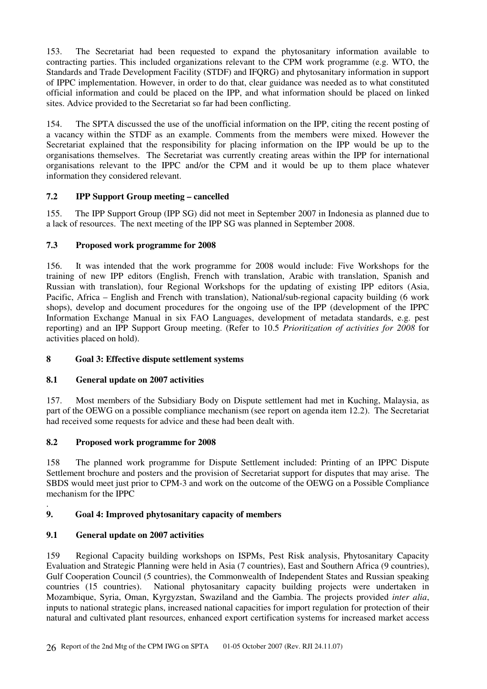153. The Secretariat had been requested to expand the phytosanitary information available to contracting parties. This included organizations relevant to the CPM work programme (e.g. WTO, the Standards and Trade Development Facility (STDF) and IFQRG) and phytosanitary information in support of IPPC implementation. However, in order to do that, clear guidance was needed as to what constituted official information and could be placed on the IPP, and what information should be placed on linked sites. Advice provided to the Secretariat so far had been conflicting.

154. The SPTA discussed the use of the unofficial information on the IPP, citing the recent posting of a vacancy within the STDF as an example. Comments from the members were mixed. However the Secretariat explained that the responsibility for placing information on the IPP would be up to the organisations themselves. The Secretariat was currently creating areas within the IPP for international organisations relevant to the IPPC and/or the CPM and it would be up to them place whatever information they considered relevant.

## **7.2 IPP Support Group meeting – cancelled**

155. The IPP Support Group (IPP SG) did not meet in September 2007 in Indonesia as planned due to a lack of resources. The next meeting of the IPP SG was planned in September 2008.

## **7.3 Proposed work programme for 2008**

156. It was intended that the work programme for 2008 would include: Five Workshops for the training of new IPP editors (English, French with translation, Arabic with translation, Spanish and Russian with translation), four Regional Workshops for the updating of existing IPP editors (Asia, Pacific, Africa – English and French with translation), National/sub-regional capacity building (6 work shops), develop and document procedures for the ongoing use of the IPP (development of the IPPC Information Exchange Manual in six FAO Languages, development of metadata standards, e.g. pest reporting) and an IPP Support Group meeting. (Refer to 10.5 *Prioritization of activities for 2008* for activities placed on hold).

## **8 Goal 3: Effective dispute settlement systems**

## **8.1 General update on 2007 activities**

157. Most members of the Subsidiary Body on Dispute settlement had met in Kuching, Malaysia, as part of the OEWG on a possible compliance mechanism (see report on agenda item 12.2). The Secretariat had received some requests for advice and these had been dealt with.

## **8.2 Proposed work programme for 2008**

158 The planned work programme for Dispute Settlement included: Printing of an IPPC Dispute Settlement brochure and posters and the provision of Secretariat support for disputes that may arise. The SBDS would meet just prior to CPM-3 and work on the outcome of the OEWG on a Possible Compliance mechanism for the IPPC

#### . **9. Goal 4: Improved phytosanitary capacity of members**

## **9.1 General update on 2007 activities**

159 Regional Capacity building workshops on ISPMs, Pest Risk analysis, Phytosanitary Capacity Evaluation and Strategic Planning were held in Asia (7 countries), East and Southern Africa (9 countries), Gulf Cooperation Council (5 countries), the Commonwealth of Independent States and Russian speaking countries (15 countries). National phytosanitary capacity building projects were undertaken in Mozambique, Syria, Oman, Kyrgyzstan, Swaziland and the Gambia. The projects provided *inter alia*, inputs to national strategic plans, increased national capacities for import regulation for protection of their natural and cultivated plant resources, enhanced export certification systems for increased market access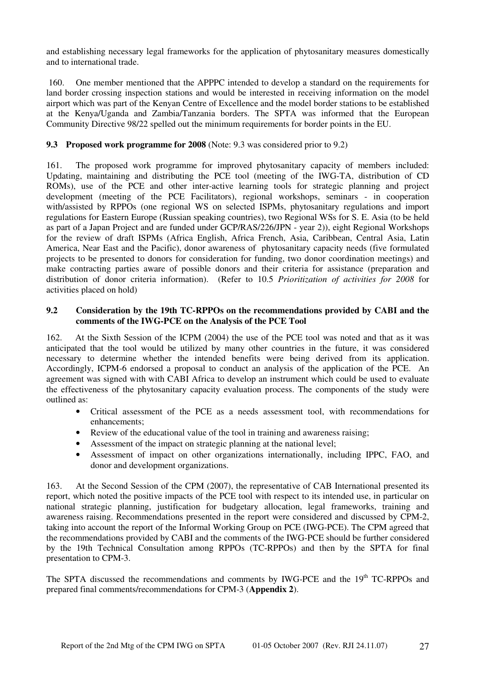and establishing necessary legal frameworks for the application of phytosanitary measures domestically and to international trade.

 160. One member mentioned that the APPPC intended to develop a standard on the requirements for land border crossing inspection stations and would be interested in receiving information on the model airport which was part of the Kenyan Centre of Excellence and the model border stations to be established at the Kenya/Uganda and Zambia/Tanzania borders. The SPTA was informed that the European Community Directive 98/22 spelled out the minimum requirements for border points in the EU.

## **9.3 Proposed work programme for 2008** (Note: 9.3 was considered prior to 9.2)

161. The proposed work programme for improved phytosanitary capacity of members included: Updating, maintaining and distributing the PCE tool (meeting of the IWG-TA, distribution of CD ROMs), use of the PCE and other inter-active learning tools for strategic planning and project development (meeting of the PCE Facilitators), regional workshops, seminars - in cooperation with/assisted by RPPOs (one regional WS on selected ISPMs, phytosanitary regulations and import regulations for Eastern Europe (Russian speaking countries), two Regional WSs for S. E. Asia (to be held as part of a Japan Project and are funded under GCP/RAS/226/JPN - year 2)), eight Regional Workshops for the review of draft ISPMs (Africa English, Africa French, Asia, Caribbean, Central Asia, Latin America, Near East and the Pacific), donor awareness of phytosanitary capacity needs (five formulated projects to be presented to donors for consideration for funding, two donor coordination meetings) and make contracting parties aware of possible donors and their criteria for assistance (preparation and distribution of donor criteria information). (Refer to 10.5 *Prioritization of activities for 2008* for activities placed on hold)

#### **9.2 Consideration by the 19th TC-RPPOs on the recommendations provided by CABI and the comments of the IWG-PCE on the Analysis of the PCE Tool**

162. At the Sixth Session of the ICPM (2004) the use of the PCE tool was noted and that as it was anticipated that the tool would be utilized by many other countries in the future, it was considered necessary to determine whether the intended benefits were being derived from its application. Accordingly, ICPM-6 endorsed a proposal to conduct an analysis of the application of the PCE. An agreement was signed with with CABI Africa to develop an instrument which could be used to evaluate the effectiveness of the phytosanitary capacity evaluation process. The components of the study were outlined as:

- Critical assessment of the PCE as a needs assessment tool, with recommendations for enhancements;
- Review of the educational value of the tool in training and awareness raising;
- Assessment of the impact on strategic planning at the national level;
- Assessment of impact on other organizations internationally, including IPPC, FAO, and donor and development organizations.

163. At the Second Session of the CPM (2007), the representative of CAB International presented its report, which noted the positive impacts of the PCE tool with respect to its intended use, in particular on national strategic planning, justification for budgetary allocation, legal frameworks, training and awareness raising. Recommendations presented in the report were considered and discussed by CPM-2, taking into account the report of the Informal Working Group on PCE (IWG-PCE). The CPM agreed that the recommendations provided by CABI and the comments of the IWG-PCE should be further considered by the 19th Technical Consultation among RPPOs (TC-RPPOs) and then by the SPTA for final presentation to CPM-3.

The SPTA discussed the recommendations and comments by IWG-PCE and the 19<sup>th</sup> TC-RPPOs and prepared final comments/recommendations for CPM-3 (**Appendix 2**).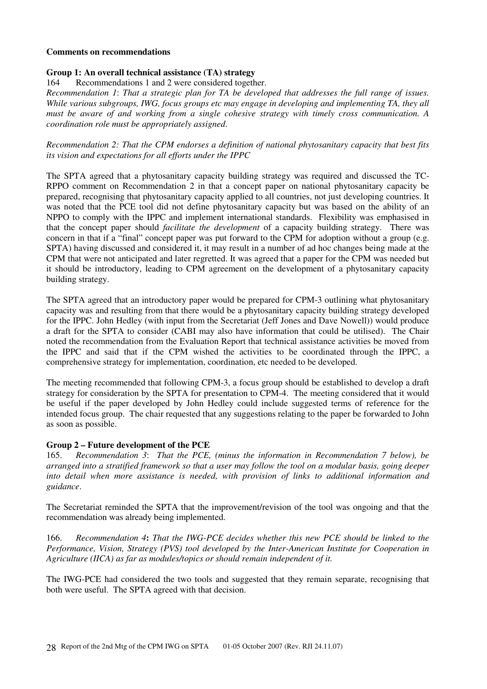#### **Comments on recommendations**

#### **Group 1: An overall technical assistance (TA) strategy**

164 Recommendations 1 and 2 were considered together.

*Recommendation 1*: *That a strategic plan for TA be developed that addresses the full range of issues. While various subgroups, IWG, focus groups etc may engage in developing and implementing TA, they all must be aware of and working from a single cohesive strategy with timely cross communication. A coordination role must be appropriately assigned*.

*Recommendation 2: That the CPM endorses a definition of national phytosanitary capacity that best fits its vision and expectations for all efforts under the IPPC* 

The SPTA agreed that a phytosanitary capacity building strategy was required and discussed the TC-RPPO comment on Recommendation 2 in that a concept paper on national phytosanitary capacity be prepared, recognising that phytosanitary capacity applied to all countries, not just developing countries. It was noted that the PCE tool did not define phytosanitary capacity but was based on the ability of an NPPO to comply with the IPPC and implement international standards. Flexibility was emphasised in that the concept paper should *facilitate the development* of a capacity building strategy. There was concern in that if a "final" concept paper was put forward to the CPM for adoption without a group (e.g. SPTA) having discussed and considered it, it may result in a number of ad hoc changes being made at the CPM that were not anticipated and later regretted. It was agreed that a paper for the CPM was needed but it should be introductory, leading to CPM agreement on the development of a phytosanitary capacity building strategy.

The SPTA agreed that an introductory paper would be prepared for CPM-3 outlining what phytosanitary capacity was and resulting from that there would be a phytosanitary capacity building strategy developed for the IPPC. John Hedley (with input from the Secretariat (Jeff Jones and Dave Nowell)) would produce a draft for the SPTA to consider (CABI may also have information that could be utilised). The Chair noted the recommendation from the Evaluation Report that technical assistance activities be moved from the IPPC and said that if the CPM wished the activities to be coordinated through the IPPC, a comprehensive strategy for implementation, coordination, etc needed to be developed.

The meeting recommended that following CPM-3, a focus group should be established to develop a draft strategy for consideration by the SPTA for presentation to CPM-4. The meeting considered that it would be useful if the paper developed by John Hedley could include suggested terms of reference for the intended focus group. The chair requested that any suggestions relating to the paper be forwarded to John as soon as possible.

#### **Group 2 – Future development of the PCE**

165. *Recommendation 3*: *That the PCE, (minus the information in Recommendation 7 below), be arranged into a stratified framework so that a user may follow the tool on a modular basis, going deeper into detail when more assistance is needed, with provision of links to additional information and guidance*.

The Secretariat reminded the SPTA that the improvement/revision of the tool was ongoing and that the recommendation was already being implemented.

166. *Recommendation 4***:** *That the IWG-PCE decides whether this new PCE should be linked to the Performance, Vision, Strategy (PVS) tool developed by the Inter-American Institute for Cooperation in Agriculture (IICA) as far as modules/topics or should remain independent of it.* 

The IWG-PCE had considered the two tools and suggested that they remain separate, recognising that both were useful. The SPTA agreed with that decision.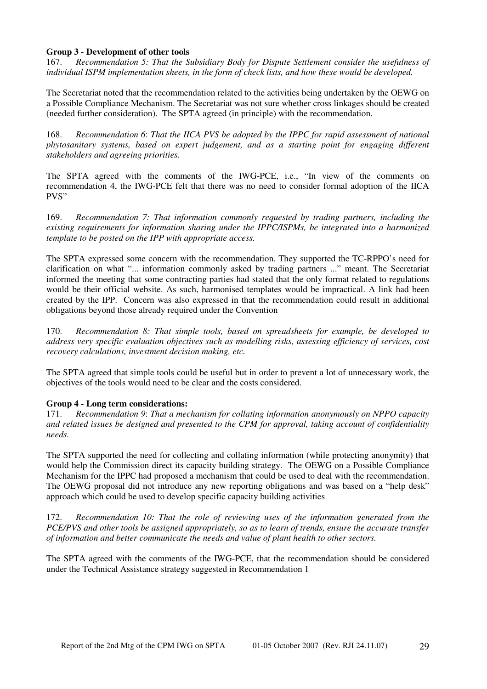#### **Group 3 - Development of other tools**

167. *Recommendation 5: That the Subsidiary Body for Dispute Settlement consider the usefulness of individual ISPM implementation sheets, in the form of check lists, and how these would be developed.* 

The Secretariat noted that the recommendation related to the activities being undertaken by the OEWG on a Possible Compliance Mechanism. The Secretariat was not sure whether cross linkages should be created (needed further consideration). The SPTA agreed (in principle) with the recommendation.

168. *Recommendation 6*: *That the IICA PVS be adopted by the IPPC for rapid assessment of national phytosanitary systems, based on expert judgement, and as a starting point for engaging different stakeholders and agreeing priorities.* 

The SPTA agreed with the comments of the IWG-PCE, i.e., "In view of the comments on recommendation 4, the IWG-PCE felt that there was no need to consider formal adoption of the IICA PVS"

169. *Recommendation 7: That information commonly requested by trading partners, including the existing requirements for information sharing under the IPPC/ISPMs, be integrated into a harmonized template to be posted on the IPP with appropriate access.* 

The SPTA expressed some concern with the recommendation. They supported the TC-RPPO's need for clarification on what "... information commonly asked by trading partners ..." meant. The Secretariat informed the meeting that some contracting parties had stated that the only format related to regulations would be their official website. As such, harmonised templates would be impractical. A link had been created by the IPP. Concern was also expressed in that the recommendation could result in additional obligations beyond those already required under the Convention

170. *Recommendation 8: That simple tools, based on spreadsheets for example, be developed to address very specific evaluation objectives such as modelling risks, assessing efficiency of services, cost recovery calculations, investment decision making, etc.*

The SPTA agreed that simple tools could be useful but in order to prevent a lot of unnecessary work, the objectives of the tools would need to be clear and the costs considered.

#### **Group 4 - Long term considerations:**

171. *Recommendation 9*: *That a mechanism for collating information anonymously on NPPO capacity and related issues be designed and presented to the CPM for approval, taking account of confidentiality needs.* 

The SPTA supported the need for collecting and collating information (while protecting anonymity) that would help the Commission direct its capacity building strategy. The OEWG on a Possible Compliance Mechanism for the IPPC had proposed a mechanism that could be used to deal with the recommendation. The OEWG proposal did not introduce any new reporting obligations and was based on a "help desk" approach which could be used to develop specific capacity building activities

172. *Recommendation 10: That the role of reviewing uses of the information generated from the PCE/PVS and other tools be assigned appropriately, so as to learn of trends, ensure the accurate transfer of information and better communicate the needs and value of plant health to other sectors.* 

The SPTA agreed with the comments of the IWG-PCE, that the recommendation should be considered under the Technical Assistance strategy suggested in Recommendation 1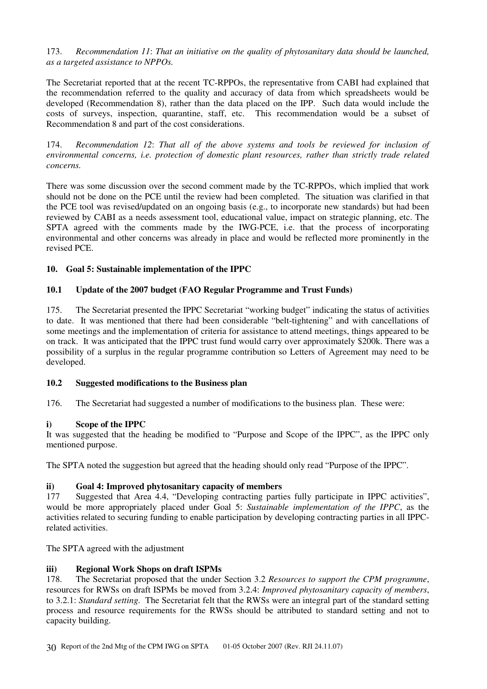173. *Recommendation 11*: *That an initiative on the quality of phytosanitary data should be launched, as a targeted assistance to NPPOs.* 

The Secretariat reported that at the recent TC-RPPOs, the representative from CABI had explained that the recommendation referred to the quality and accuracy of data from which spreadsheets would be developed (Recommendation 8), rather than the data placed on the IPP. Such data would include the costs of surveys, inspection, quarantine, staff, etc. This recommendation would be a subset of Recommendation 8 and part of the cost considerations.

174. *Recommendation 12*: *That all of the above systems and tools be reviewed for inclusion of environmental concerns, i.e. protection of domestic plant resources, rather than strictly trade related concerns.*

There was some discussion over the second comment made by the TC-RPPOs, which implied that work should not be done on the PCE until the review had been completed. The situation was clarified in that the PCE tool was revised/updated on an ongoing basis (e.g., to incorporate new standards) but had been reviewed by CABI as a needs assessment tool, educational value, impact on strategic planning, etc. The SPTA agreed with the comments made by the IWG-PCE, i.e. that the process of incorporating environmental and other concerns was already in place and would be reflected more prominently in the revised PCE.

## **10. Goal 5: Sustainable implementation of the IPPC**

## **10.1 Update of the 2007 budget (FAO Regular Programme and Trust Funds)**

175. The Secretariat presented the IPPC Secretariat "working budget" indicating the status of activities to date. It was mentioned that there had been considerable "belt-tightening" and with cancellations of some meetings and the implementation of criteria for assistance to attend meetings, things appeared to be on track. It was anticipated that the IPPC trust fund would carry over approximately \$200k. There was a possibility of a surplus in the regular programme contribution so Letters of Agreement may need to be developed.

#### **10.2 Suggested modifications to the Business plan**

176. The Secretariat had suggested a number of modifications to the business plan. These were:

#### **i) Scope of the IPPC**

It was suggested that the heading be modified to "Purpose and Scope of the IPPC", as the IPPC only mentioned purpose.

The SPTA noted the suggestion but agreed that the heading should only read "Purpose of the IPPC".

# **ii)** Goal 4: Improved phytosanitary capacity of members <br>177 Suggested that Area 4.4. "Developing contracting parti

Suggested that Area 4.4, "Developing contracting parties fully participate in IPPC activities", would be more appropriately placed under Goal 5: *Sustainable implementation of the IPPC*, as the activities related to securing funding to enable participation by developing contracting parties in all IPPCrelated activities.

The SPTA agreed with the adjustment

#### **iii) Regional Work Shops on draft ISPMs**

178. The Secretariat proposed that the under Section 3.2 *Resources to support the CPM programme*, resources for RWSs on draft ISPMs be moved from 3.2.4: *Improved phytosanitary capacity of members*, to 3.2.1: *Standard setting.* The Secretariat felt that the RWSs were an integral part of the standard setting process and resource requirements for the RWSs should be attributed to standard setting and not to capacity building.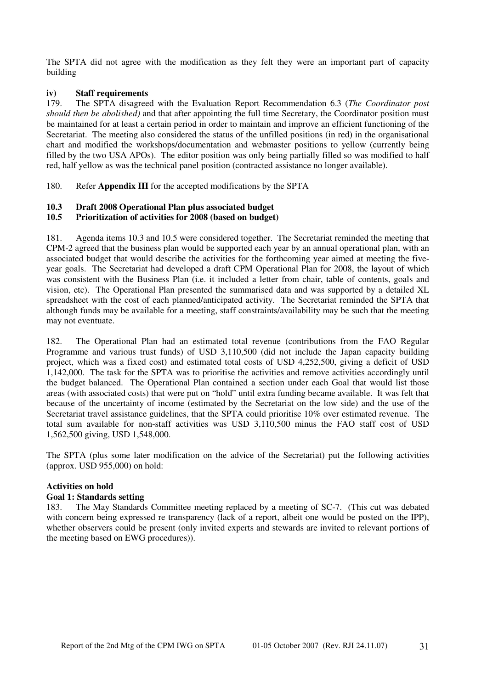The SPTA did not agree with the modification as they felt they were an important part of capacity building

## **iv) Staff requirements**

179. The SPTA disagreed with the Evaluation Report Recommendation 6.3 (*The Coordinator post should then be abolished)* and that after appointing the full time Secretary, the Coordinator position must be maintained for at least a certain period in order to maintain and improve an efficient functioning of the Secretariat. The meeting also considered the status of the unfilled positions (in red) in the organisational chart and modified the workshops/documentation and webmaster positions to yellow (currently being filled by the two USA APOs). The editor position was only being partially filled so was modified to half red, half yellow as was the technical panel position (contracted assistance no longer available).

180. Refer **Appendix III** for the accepted modifications by the SPTA

## **10.3 Draft 2008 Operational Plan plus associated budget**

## **10.5 Prioritization of activities for 2008 (based on budget)**

181. Agenda items 10.3 and 10.5 were considered together. The Secretariat reminded the meeting that CPM-2 agreed that the business plan would be supported each year by an annual operational plan, with an associated budget that would describe the activities for the forthcoming year aimed at meeting the fiveyear goals. The Secretariat had developed a draft CPM Operational Plan for 2008, the layout of which was consistent with the Business Plan (i.e. it included a letter from chair, table of contents, goals and vision, etc). The Operational Plan presented the summarised data and was supported by a detailed XL spreadsheet with the cost of each planned/anticipated activity. The Secretariat reminded the SPTA that although funds may be available for a meeting, staff constraints/availability may be such that the meeting may not eventuate.

182. The Operational Plan had an estimated total revenue (contributions from the FAO Regular Programme and various trust funds) of USD 3,110,500 (did not include the Japan capacity building project, which was a fixed cost) and estimated total costs of USD 4,252,500, giving a deficit of USD 1,142,000. The task for the SPTA was to prioritise the activities and remove activities accordingly until the budget balanced. The Operational Plan contained a section under each Goal that would list those areas (with associated costs) that were put on "hold" until extra funding became available. It was felt that because of the uncertainty of income (estimated by the Secretariat on the low side) and the use of the Secretariat travel assistance guidelines, that the SPTA could prioritise 10% over estimated revenue. The total sum available for non-staff activities was USD 3,110,500 minus the FAO staff cost of USD 1,562,500 giving, USD 1,548,000.

The SPTA (plus some later modification on the advice of the Secretariat) put the following activities (approx. USD 955,000) on hold:

#### **Activities on hold**

#### **Goal 1: Standards setting**

183. The May Standards Committee meeting replaced by a meeting of SC-7. (This cut was debated with concern being expressed re transparency (lack of a report, albeit one would be posted on the IPP), whether observers could be present (only invited experts and stewards are invited to relevant portions of the meeting based on EWG procedures)).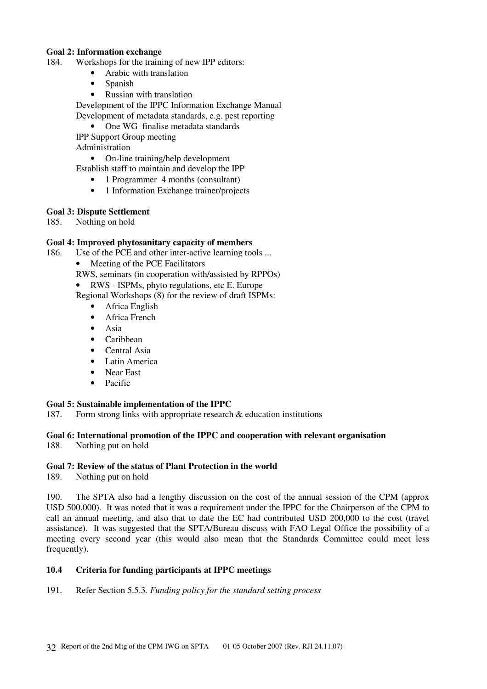#### **Goal 2: Information exchange**

- 184. Workshops for the training of new IPP editors:
	- Arabic with translation
	- Spanish
	- Russian with translation

 Development of the IPPC Information Exchange Manual Development of metadata standards, e.g. pest reporting

• One WG finalise metadata standards

IPP Support Group meeting

Administration

• On-line training/help development

Establish staff to maintain and develop the IPP

- 1 Programmer 4 months (consultant)
- 1 Information Exchange trainer/projects

#### **Goal 3: Dispute Settlement**

185. Nothing on hold

## **Goal 4: Improved phytosanitary capacity of members**

- 186. Use of the PCE and other inter-active learning tools ...
	- Meeting of the PCE Facilitators

RWS, seminars (in cooperation with/assisted by RPPOs)

• RWS - ISPMs, phyto regulations, etc E. Europe

Regional Workshops (8) for the review of draft ISPMs:

- Africa English
- Africa French
- Asia
- Caribbean
- Central Asia
- Latin America
- Near East
- Pacific

#### **Goal 5: Sustainable implementation of the IPPC**

187. Form strong links with appropriate research & education institutions

## **Goal 6: International promotion of the IPPC and cooperation with relevant organisation**

188. Nothing put on hold

#### **Goal 7: Review of the status of Plant Protection in the world**

189. Nothing put on hold

190. The SPTA also had a lengthy discussion on the cost of the annual session of the CPM (approx USD 500,000). It was noted that it was a requirement under the IPPC for the Chairperson of the CPM to call an annual meeting, and also that to date the EC had contributed USD 200,000 to the cost (travel assistance). It was suggested that the SPTA/Bureau discuss with FAO Legal Office the possibility of a meeting every second year (this would also mean that the Standards Committee could meet less frequently).

## **10.4 Criteria for funding participants at IPPC meetings**

191. Refer Section 5.5.3*. Funding policy for the standard setting process*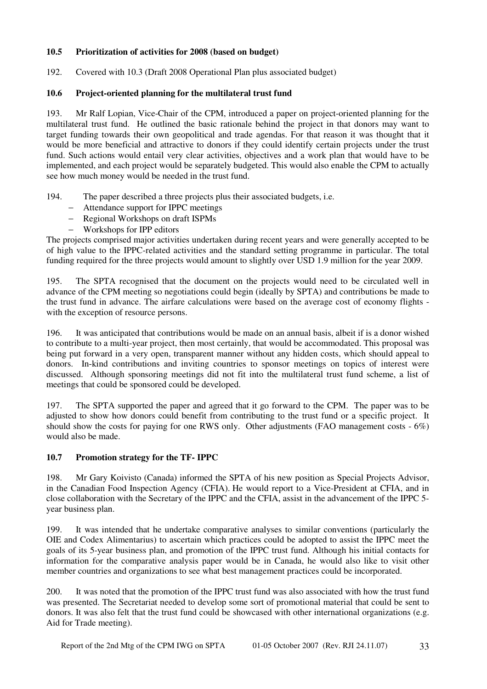## **10.5 Prioritization of activities for 2008 (based on budget)**

192. Covered with 10.3 (Draft 2008 Operational Plan plus associated budget)

## **10.6 Project-oriented planning for the multilateral trust fund**

193. Mr Ralf Lopian, Vice-Chair of the CPM, introduced a paper on project-oriented planning for the multilateral trust fund. He outlined the basic rationale behind the project in that donors may want to target funding towards their own geopolitical and trade agendas. For that reason it was thought that it would be more beneficial and attractive to donors if they could identify certain projects under the trust fund. Such actions would entail very clear activities, objectives and a work plan that would have to be implemented, and each project would be separately budgeted. This would also enable the CPM to actually see how much money would be needed in the trust fund.

194. The paper described a three projects plus their associated budgets, i.e.

- Attendance support for IPPC meetings
- − Regional Workshops on draft ISPMs
- − Workshops for IPP editors

The projects comprised major activities undertaken during recent years and were generally accepted to be of high value to the IPPC-related activities and the standard setting programme in particular. The total funding required for the three projects would amount to slightly over USD 1.9 million for the year 2009.

195. The SPTA recognised that the document on the projects would need to be circulated well in advance of the CPM meeting so negotiations could begin (ideally by SPTA) and contributions be made to the trust fund in advance. The airfare calculations were based on the average cost of economy flights with the exception of resource persons.

196. It was anticipated that contributions would be made on an annual basis, albeit if is a donor wished to contribute to a multi-year project, then most certainly, that would be accommodated. This proposal was being put forward in a very open, transparent manner without any hidden costs, which should appeal to donors. In-kind contributions and inviting countries to sponsor meetings on topics of interest were discussed. Although sponsoring meetings did not fit into the multilateral trust fund scheme, a list of meetings that could be sponsored could be developed.

197. The SPTA supported the paper and agreed that it go forward to the CPM. The paper was to be adjusted to show how donors could benefit from contributing to the trust fund or a specific project. It should show the costs for paying for one RWS only. Other adjustments (FAO management costs - 6%) would also be made.

## **10.7 Promotion strategy for the TF- IPPC**

198. Mr Gary Koivisto (Canada) informed the SPTA of his new position as Special Projects Advisor, in the Canadian Food Inspection Agency (CFIA). He would report to a Vice-President at CFIA, and in close collaboration with the Secretary of the IPPC and the CFIA, assist in the advancement of the IPPC 5 year business plan.

199. It was intended that he undertake comparative analyses to similar conventions (particularly the OIE and Codex Alimentarius) to ascertain which practices could be adopted to assist the IPPC meet the goals of its 5-year business plan, and promotion of the IPPC trust fund. Although his initial contacts for information for the comparative analysis paper would be in Canada, he would also like to visit other member countries and organizations to see what best management practices could be incorporated.

200. It was noted that the promotion of the IPPC trust fund was also associated with how the trust fund was presented. The Secretariat needed to develop some sort of promotional material that could be sent to donors. It was also felt that the trust fund could be showcased with other international organizations (e.g. Aid for Trade meeting).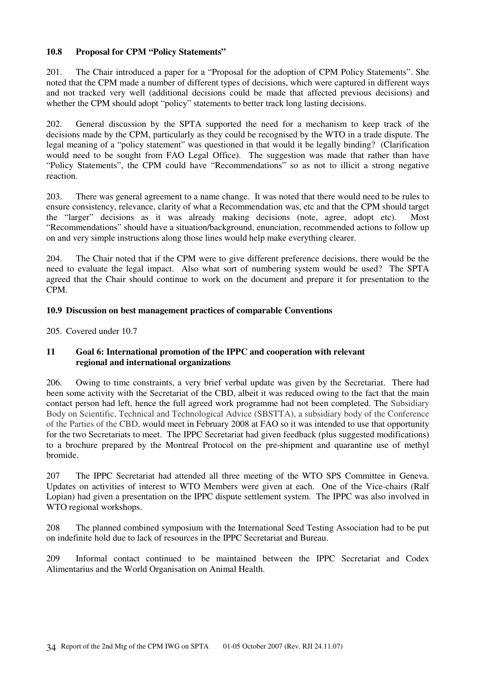## **10.8 Proposal for CPM "Policy Statements"**

201. The Chair introduced a paper for a "Proposal for the adoption of CPM Policy Statements". She noted that the CPM made a number of different types of decisions, which were captured in different ways and not tracked very well (additional decisions could be made that affected previous decisions) and whether the CPM should adopt "policy" statements to better track long lasting decisions.

202. General discussion by the SPTA supported the need for a mechanism to keep track of the decisions made by the CPM, particularly as they could be recognised by the WTO in a trade dispute. The legal meaning of a "policy statement" was questioned in that would it be legally binding? (Clarification would need to be sought from FAO Legal Office). The suggestion was made that rather than have "Policy Statements", the CPM could have "Recommendations" so as not to illicit a strong negative reaction.

203. There was general agreement to a name change. It was noted that there would need to be rules to ensure consistency, relevance, clarity of what a Recommendation was, etc and that the CPM should target the "larger" decisions as it was already making decisions (note, agree, adopt etc). Most "Recommendations" should have a situation/background, enunciation, recommended actions to follow up on and very simple instructions along those lines would help make everything clearer.

204. The Chair noted that if the CPM were to give different preference decisions, there would be the need to evaluate the legal impact. Also what sort of numbering system would be used? The SPTA agreed that the Chair should continue to work on the document and prepare it for presentation to the CPM.

## **10.9 Discussion on best management practices of comparable Conventions**

205. Covered under 10.7

## **11 Goal 6: International promotion of the IPPC and cooperation with relevant regional and international organizations**

206. Owing to time constraints, a very brief verbal update was given by the Secretariat. There had been some activity with the Secretariat of the CBD, albeit it was reduced owing to the fact that the main contact person had left, hence the full agreed work programme had not been completed. The Subsidiary Body on Scientific, Technical and Technological Advice (SBSTTA), a subsidiary body of the Conference of the Parties of the CBD, would meet in February 2008 at FAO so it was intended to use that opportunity for the two Secretariats to meet. The IPPC Secretariat had given feedback (plus suggested modifications) to a brochure prepared by the Montreal Protocol on the pre-shipment and quarantine use of methyl bromide.

207 The IPPC Secretariat had attended all three meeting of the WTO SPS Committee in Geneva. Updates on activities of interest to WTO Members were given at each. One of the Vice-chairs (Ralf Lopian) had given a presentation on the IPPC dispute settlement system. The IPPC was also involved in WTO regional workshops.

208 The planned combined symposium with the International Seed Testing Association had to be put on indefinite hold due to lack of resources in the IPPC Secretariat and Bureau.

209 Informal contact continued to be maintained between the IPPC Secretariat and Codex Alimentarius and the World Organisation on Animal Health.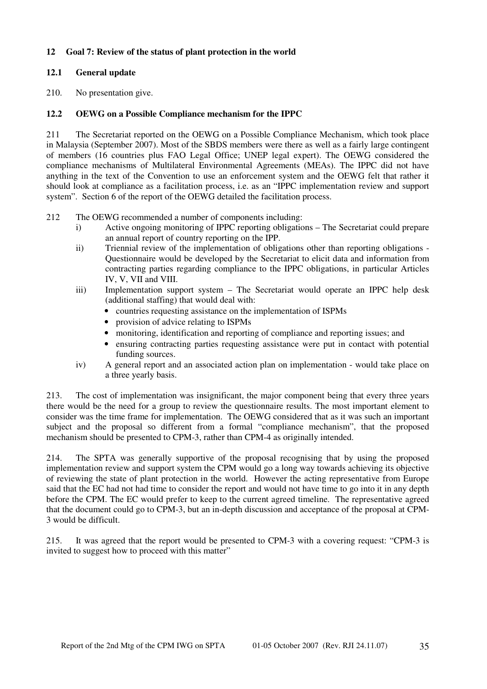## **12 Goal 7: Review of the status of plant protection in the world**

## **12.1 General update**

210. No presentation give.

## **12.2 OEWG on a Possible Compliance mechanism for the IPPC**

211 The Secretariat reported on the OEWG on a Possible Compliance Mechanism, which took place in Malaysia (September 2007). Most of the SBDS members were there as well as a fairly large contingent of members (16 countries plus FAO Legal Office; UNEP legal expert). The OEWG considered the compliance mechanisms of Multilateral Environmental Agreements (MEAs). The IPPC did not have anything in the text of the Convention to use an enforcement system and the OEWG felt that rather it should look at compliance as a facilitation process, i.e. as an "IPPC implementation review and support system". Section 6 of the report of the OEWG detailed the facilitation process.

- 212 The OEWG recommended a number of components including:
	- i) Active ongoing monitoring of IPPC reporting obligations The Secretariat could prepare an annual report of country reporting on the IPP.
	- ii) Triennial review of the implementation of obligations other than reporting obligations Questionnaire would be developed by the Secretariat to elicit data and information from contracting parties regarding compliance to the IPPC obligations, in particular Articles IV, V, VII and VIII.
	- iii) Implementation support system The Secretariat would operate an IPPC help desk (additional staffing) that would deal with:
		- countries requesting assistance on the implementation of ISPMs
		- provision of advice relating to ISPMs
		- monitoring, identification and reporting of compliance and reporting issues; and
		- ensuring contracting parties requesting assistance were put in contact with potential funding sources.
	- iv) A general report and an associated action plan on implementation would take place on a three yearly basis.

213. The cost of implementation was insignificant, the major component being that every three years there would be the need for a group to review the questionnaire results. The most important element to consider was the time frame for implementation. The OEWG considered that as it was such an important subject and the proposal so different from a formal "compliance mechanism", that the proposed mechanism should be presented to CPM-3, rather than CPM-4 as originally intended.

214. The SPTA was generally supportive of the proposal recognising that by using the proposed implementation review and support system the CPM would go a long way towards achieving its objective of reviewing the state of plant protection in the world. However the acting representative from Europe said that the EC had not had time to consider the report and would not have time to go into it in any depth before the CPM. The EC would prefer to keep to the current agreed timeline. The representative agreed that the document could go to CPM-3, but an in-depth discussion and acceptance of the proposal at CPM-3 would be difficult.

215. It was agreed that the report would be presented to CPM-3 with a covering request: "CPM-3 is invited to suggest how to proceed with this matter"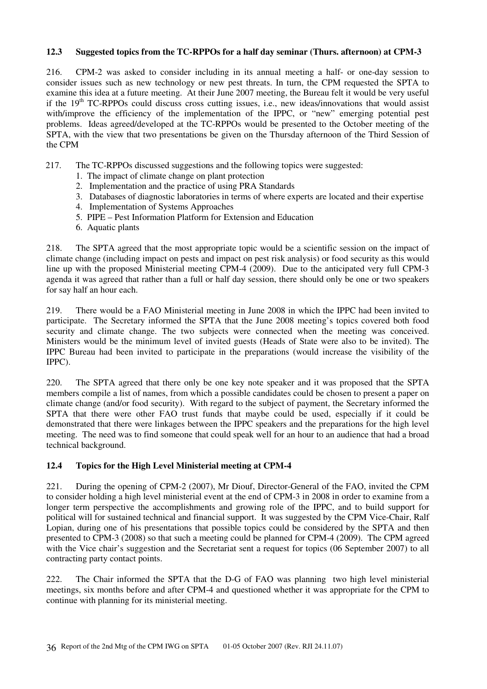## **12.3 Suggested topics from the TC-RPPOs for a half day seminar (Thurs. afternoon) at CPM-3**

216. CPM-2 was asked to consider including in its annual meeting a half- or one-day session to consider issues such as new technology or new pest threats. In turn, the CPM requested the SPTA to examine this idea at a future meeting. At their June 2007 meeting, the Bureau felt it would be very useful if the  $19<sup>th</sup> TC-RPPOs$  could discuss cross cutting issues, i.e., new ideas/innovations that would assist with/improve the efficiency of the implementation of the IPPC, or "new" emerging potential pest problems. Ideas agreed/developed at the TC-RPPOs would be presented to the October meeting of the SPTA, with the view that two presentations be given on the Thursday afternoon of the Third Session of the CPM

- 217. The TC-RPPOs discussed suggestions and the following topics were suggested:
	- 1. The impact of climate change on plant protection
	- 2. Implementation and the practice of using PRA Standards
	- 3. Databases of diagnostic laboratories in terms of where experts are located and their expertise
	- 4. Implementation of Systems Approaches
	- 5. PIPE Pest Information Platform for Extension and Education
	- 6. Aquatic plants

218. The SPTA agreed that the most appropriate topic would be a scientific session on the impact of climate change (including impact on pests and impact on pest risk analysis) or food security as this would line up with the proposed Ministerial meeting CPM-4 (2009). Due to the anticipated very full CPM-3 agenda it was agreed that rather than a full or half day session, there should only be one or two speakers for say half an hour each.

219. There would be a FAO Ministerial meeting in June 2008 in which the IPPC had been invited to participate. The Secretary informed the SPTA that the June 2008 meeting's topics covered both food security and climate change. The two subjects were connected when the meeting was conceived. Ministers would be the minimum level of invited guests (Heads of State were also to be invited). The IPPC Bureau had been invited to participate in the preparations (would increase the visibility of the IPPC).

220. The SPTA agreed that there only be one key note speaker and it was proposed that the SPTA members compile a list of names, from which a possible candidates could be chosen to present a paper on climate change (and/or food security). With regard to the subject of payment, the Secretary informed the SPTA that there were other FAO trust funds that maybe could be used, especially if it could be demonstrated that there were linkages between the IPPC speakers and the preparations for the high level meeting. The need was to find someone that could speak well for an hour to an audience that had a broad technical background.

#### **12.4 Topics for the High Level Ministerial meeting at CPM-4**

221. During the opening of CPM-2 (2007), Mr Diouf, Director-General of the FAO, invited the CPM to consider holding a high level ministerial event at the end of CPM-3 in 2008 in order to examine from a longer term perspective the accomplishments and growing role of the IPPC, and to build support for political will for sustained technical and financial support. It was suggested by the CPM Vice-Chair, Ralf Lopian, during one of his presentations that possible topics could be considered by the SPTA and then presented to CPM-3 (2008) so that such a meeting could be planned for CPM-4 (2009). The CPM agreed with the Vice chair's suggestion and the Secretariat sent a request for topics (06 September 2007) to all contracting party contact points.

222. The Chair informed the SPTA that the D-G of FAO was planning two high level ministerial meetings, six months before and after CPM-4 and questioned whether it was appropriate for the CPM to continue with planning for its ministerial meeting.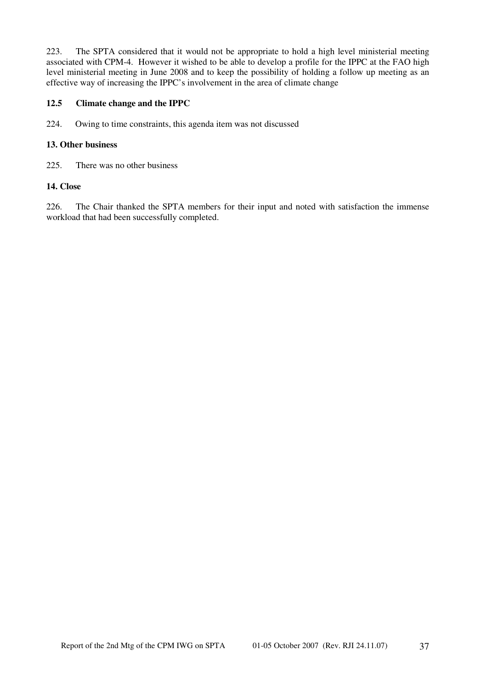223. The SPTA considered that it would not be appropriate to hold a high level ministerial meeting associated with CPM-4. However it wished to be able to develop a profile for the IPPC at the FAO high level ministerial meeting in June 2008 and to keep the possibility of holding a follow up meeting as an effective way of increasing the IPPC's involvement in the area of climate change

## **12.5 Climate change and the IPPC**

224. Owing to time constraints, this agenda item was not discussed

## **13. Other business**

225. There was no other business

## **14. Close**

226. The Chair thanked the SPTA members for their input and noted with satisfaction the immense workload that had been successfully completed.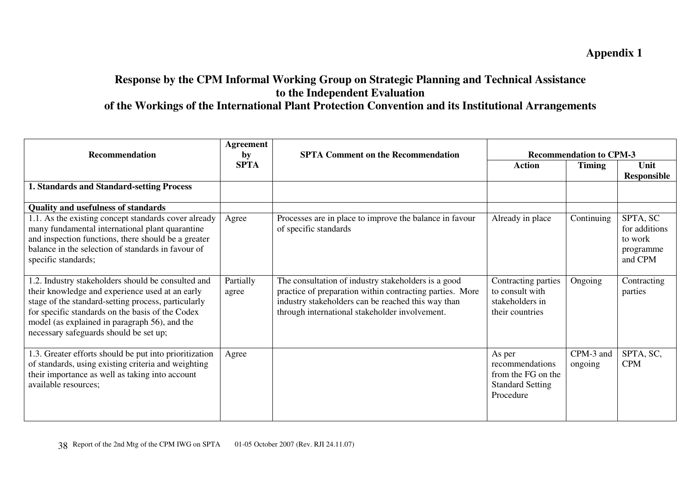## **Appendix 1**

## **Response by the CPM Informal Working Group on Strategic Planning and Technical Assistance to the Independent Evaluation**

**of the Workings of the International Plant Protection Convention and its Institutional Arrangements** 

| <b>Recommendation</b>                                                                                                                                                                                                                                                                                       | <b>Agreement</b><br>by | <b>SPTA Comment on the Recommendation</b>                                                                                                                                                                               | <b>Recommendation to CPM-3</b>                                                          |                      |                                                              |
|-------------------------------------------------------------------------------------------------------------------------------------------------------------------------------------------------------------------------------------------------------------------------------------------------------------|------------------------|-------------------------------------------------------------------------------------------------------------------------------------------------------------------------------------------------------------------------|-----------------------------------------------------------------------------------------|----------------------|--------------------------------------------------------------|
|                                                                                                                                                                                                                                                                                                             | <b>SPTA</b>            |                                                                                                                                                                                                                         | <b>Action</b>                                                                           | <b>Timing</b>        | Unit<br>Responsible                                          |
| 1. Standards and Standard-setting Process                                                                                                                                                                                                                                                                   |                        |                                                                                                                                                                                                                         |                                                                                         |                      |                                                              |
| <b>Quality and usefulness of standards</b>                                                                                                                                                                                                                                                                  |                        |                                                                                                                                                                                                                         |                                                                                         |                      |                                                              |
| 1.1. As the existing concept standards cover already<br>many fundamental international plant quarantine<br>and inspection functions, there should be a greater<br>balance in the selection of standards in favour of<br>specific standards;                                                                 | Agree                  | Processes are in place to improve the balance in favour<br>of specific standards                                                                                                                                        | Already in place                                                                        | Continuing           | SPTA, SC<br>for additions<br>to work<br>programme<br>and CPM |
| 1.2. Industry stakeholders should be consulted and<br>their knowledge and experience used at an early<br>stage of the standard-setting process, particularly<br>for specific standards on the basis of the Codex<br>model (as explained in paragraph 56), and the<br>necessary safeguards should be set up; | Partially<br>agree     | The consultation of industry stakeholders is a good<br>practice of preparation within contracting parties. More<br>industry stakeholders can be reached this way than<br>through international stakeholder involvement. | Contracting parties<br>to consult with<br>stakeholders in<br>their countries            | Ongoing              | Contracting<br>parties                                       |
| 1.3. Greater efforts should be put into prioritization<br>of standards, using existing criteria and weighting<br>their importance as well as taking into account<br>available resources;                                                                                                                    | Agree                  |                                                                                                                                                                                                                         | As per<br>recommendations<br>from the FG on the<br><b>Standard Setting</b><br>Procedure | CPM-3 and<br>ongoing | SPTA, SC,<br><b>CPM</b>                                      |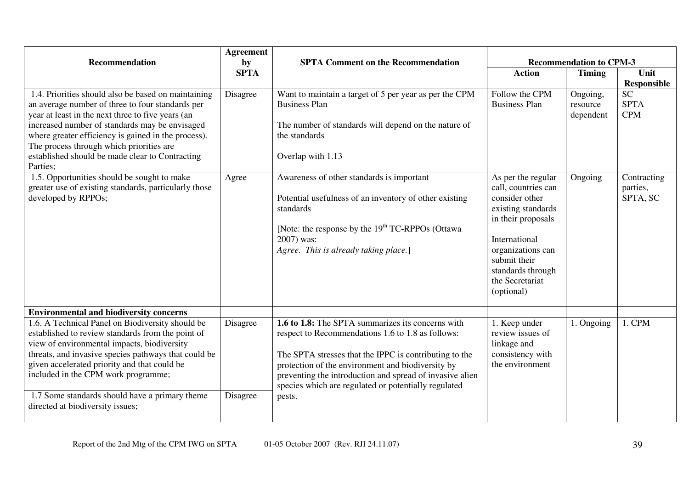| <b>Recommendation</b>                                                                                                                                                                                                                                                                                                                                                                                                                       | <b>Agreement</b><br>by | <b>SPTA Comment on the Recommendation</b>                                                                                                                                                                                                                                                                                                           | <b>Recommendation to CPM-3</b>                                                                                                                                                                                      |                                   |                                              |  |
|---------------------------------------------------------------------------------------------------------------------------------------------------------------------------------------------------------------------------------------------------------------------------------------------------------------------------------------------------------------------------------------------------------------------------------------------|------------------------|-----------------------------------------------------------------------------------------------------------------------------------------------------------------------------------------------------------------------------------------------------------------------------------------------------------------------------------------------------|---------------------------------------------------------------------------------------------------------------------------------------------------------------------------------------------------------------------|-----------------------------------|----------------------------------------------|--|
|                                                                                                                                                                                                                                                                                                                                                                                                                                             | <b>SPTA</b>            |                                                                                                                                                                                                                                                                                                                                                     | <b>Action</b>                                                                                                                                                                                                       | <b>Timing</b>                     | Unit<br><b>Responsible</b>                   |  |
| 1.4. Priorities should also be based on maintaining<br>an average number of three to four standards per<br>year at least in the next three to five years (an<br>increased number of standards may be envisaged<br>where greater efficiency is gained in the process).<br>The process through which priorities are<br>established should be made clear to Contracting<br>Parties;                                                            | Disagree               | Want to maintain a target of 5 per year as per the CPM<br><b>Business Plan</b><br>The number of standards will depend on the nature of<br>the standards<br>Overlap with 1.13                                                                                                                                                                        | Follow the CPM<br><b>Business Plan</b>                                                                                                                                                                              | Ongoing,<br>resource<br>dependent | $\overline{SC}$<br><b>SPTA</b><br><b>CPM</b> |  |
| 1.5. Opportunities should be sought to make<br>greater use of existing standards, particularly those<br>developed by RPPOs;                                                                                                                                                                                                                                                                                                                 | Agree                  | Awareness of other standards is important<br>Potential usefulness of an inventory of other existing<br>standards<br>[Note: the response by the $19th TC-RPPOs$ (Ottawa<br>2007) was:<br>Agree. This is already taking place.]                                                                                                                       | As per the regular<br>call, countries can<br>consider other<br>existing standards<br>in their proposals<br>International<br>organizations can<br>submit their<br>standards through<br>the Secretariat<br>(optional) | Ongoing                           | Contracting<br>parties,<br>SPTA, SC          |  |
| <b>Environmental and biodiversity concerns</b><br>1.6. A Technical Panel on Biodiversity should be<br>established to review standards from the point of<br>view of environmental impacts, biodiversity<br>threats, and invasive species pathways that could be<br>given accelerated priority and that could be<br>included in the CPM work programme;<br>1.7 Some standards should have a primary theme<br>directed at biodiversity issues; | Disagree<br>Disagree   | 1.6 to 1.8: The SPTA summarizes its concerns with<br>respect to Recommendations 1.6 to 1.8 as follows:<br>The SPTA stresses that the IPPC is contributing to the<br>protection of the environment and biodiversity by<br>preventing the introduction and spread of invasive alien<br>species which are regulated or potentially regulated<br>pests. | 1. Keep under<br>review issues of<br>linkage and<br>consistency with<br>the environment                                                                                                                             | 1. Ongoing                        | 1. CPM                                       |  |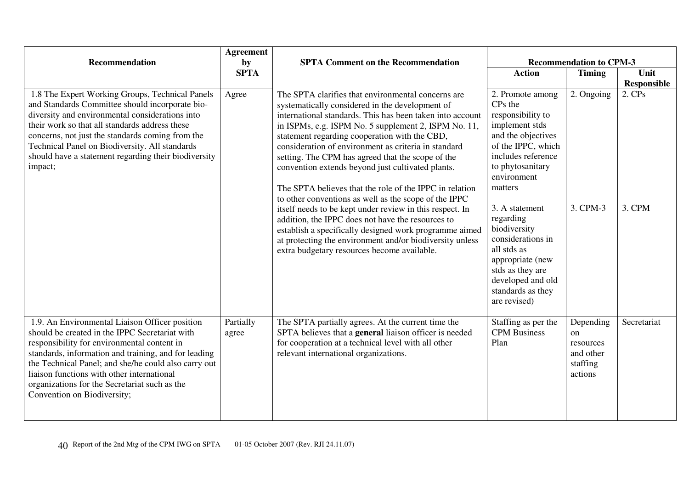| <b>Recommendation</b>                                                                                                                                                                                                                                                                                                                                                                         | <b>Agreement</b><br>by | <b>SPTA Comment on the Recommendation</b>                                                                                                                                                                                                                                                                                                                                                                                                                                                                                                                                                                                                                                                                                                                                                                                                               | <b>Recommendation to CPM-3</b>                                                                                                                                                                                                                                                                                                                                          |                                                                  |                    |  |
|-----------------------------------------------------------------------------------------------------------------------------------------------------------------------------------------------------------------------------------------------------------------------------------------------------------------------------------------------------------------------------------------------|------------------------|---------------------------------------------------------------------------------------------------------------------------------------------------------------------------------------------------------------------------------------------------------------------------------------------------------------------------------------------------------------------------------------------------------------------------------------------------------------------------------------------------------------------------------------------------------------------------------------------------------------------------------------------------------------------------------------------------------------------------------------------------------------------------------------------------------------------------------------------------------|-------------------------------------------------------------------------------------------------------------------------------------------------------------------------------------------------------------------------------------------------------------------------------------------------------------------------------------------------------------------------|------------------------------------------------------------------|--------------------|--|
|                                                                                                                                                                                                                                                                                                                                                                                               | <b>SPTA</b>            |                                                                                                                                                                                                                                                                                                                                                                                                                                                                                                                                                                                                                                                                                                                                                                                                                                                         | <b>Action</b>                                                                                                                                                                                                                                                                                                                                                           | <b>Timing</b>                                                    | Unit               |  |
|                                                                                                                                                                                                                                                                                                                                                                                               |                        |                                                                                                                                                                                                                                                                                                                                                                                                                                                                                                                                                                                                                                                                                                                                                                                                                                                         |                                                                                                                                                                                                                                                                                                                                                                         |                                                                  | <b>Responsible</b> |  |
| 1.8 The Expert Working Groups, Technical Panels<br>and Standards Committee should incorporate bio-<br>diversity and environmental considerations into<br>their work so that all standards address these<br>concerns, not just the standards coming from the<br>Technical Panel on Biodiversity. All standards<br>should have a statement regarding their biodiversity<br>impact;              | Agree                  | The SPTA clarifies that environmental concerns are<br>systematically considered in the development of<br>international standards. This has been taken into account<br>in ISPMs, e.g. ISPM No. 5 supplement 2, ISPM No. 11,<br>statement regarding cooperation with the CBD,<br>consideration of environment as criteria in standard<br>setting. The CPM has agreed that the scope of the<br>convention extends beyond just cultivated plants.<br>The SPTA believes that the role of the IPPC in relation<br>to other conventions as well as the scope of the IPPC<br>itself needs to be kept under review in this respect. In<br>addition, the IPPC does not have the resources to<br>establish a specifically designed work programme aimed<br>at protecting the environment and/or biodiversity unless<br>extra budgetary resources become available. | 2. Promote among<br>CPs the<br>responsibility to<br>implement stds<br>and the objectives<br>of the IPPC, which<br>includes reference<br>to phytosanitary<br>environment<br>matters<br>3. A statement<br>regarding<br>biodiversity<br>considerations in<br>all stds as<br>appropriate (new<br>stds as they are<br>developed and old<br>standards as they<br>are revised) | 2. Ongoing<br>3. CPM-3                                           | 2. CPs<br>3. CPM   |  |
| 1.9. An Environmental Liaison Officer position<br>should be created in the IPPC Secretariat with<br>responsibility for environmental content in<br>standards, information and training, and for leading<br>the Technical Panel; and she/he could also carry out<br>liaison functions with other international<br>organizations for the Secretariat such as the<br>Convention on Biodiversity; | Partially<br>agree     | The SPTA partially agrees. At the current time the<br>SPTA believes that a general liaison officer is needed<br>for cooperation at a technical level with all other<br>relevant international organizations.                                                                                                                                                                                                                                                                                                                                                                                                                                                                                                                                                                                                                                            | Staffing as per the<br><b>CPM</b> Business<br>Plan                                                                                                                                                                                                                                                                                                                      | Depending<br>on<br>resources<br>and other<br>staffing<br>actions | Secretariat        |  |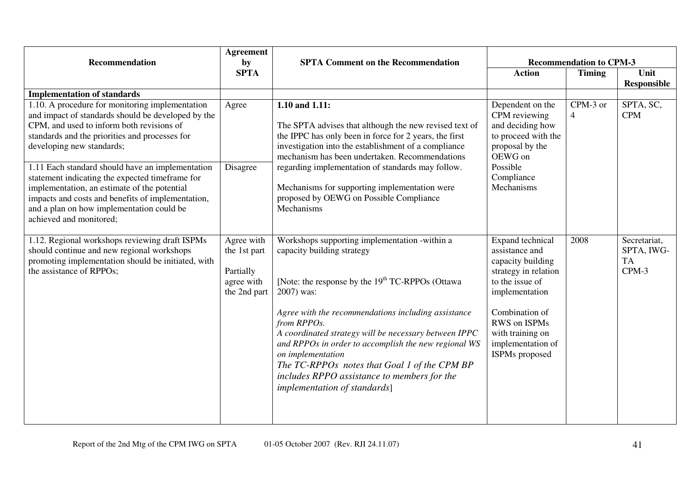| <b>Recommendation</b>                                                                                                                                                                                                                                                            | <b>Agreement</b><br><b>SPTA Comment on the Recommendation</b><br>by   |                                                                                                                                                                                                                                                                                                                                                                                                                                                                                                              | <b>Recommendation to CPM-3</b>                                                                                                                                                                                    |                            |                                                  |  |
|----------------------------------------------------------------------------------------------------------------------------------------------------------------------------------------------------------------------------------------------------------------------------------|-----------------------------------------------------------------------|--------------------------------------------------------------------------------------------------------------------------------------------------------------------------------------------------------------------------------------------------------------------------------------------------------------------------------------------------------------------------------------------------------------------------------------------------------------------------------------------------------------|-------------------------------------------------------------------------------------------------------------------------------------------------------------------------------------------------------------------|----------------------------|--------------------------------------------------|--|
|                                                                                                                                                                                                                                                                                  | <b>SPTA</b>                                                           |                                                                                                                                                                                                                                                                                                                                                                                                                                                                                                              | <b>Action</b>                                                                                                                                                                                                     | <b>Timing</b>              | Unit<br><b>Responsible</b>                       |  |
| <b>Implementation of standards</b>                                                                                                                                                                                                                                               |                                                                       |                                                                                                                                                                                                                                                                                                                                                                                                                                                                                                              |                                                                                                                                                                                                                   |                            |                                                  |  |
| 1.10. A procedure for monitoring implementation<br>and impact of standards should be developed by the<br>CPM, and used to inform both revisions of<br>standards and the priorities and processes for<br>developing new standards;                                                | Agree                                                                 | 1.10 and 1.11:<br>The SPTA advises that although the new revised text of<br>the IPPC has only been in force for 2 years, the first<br>investigation into the establishment of a compliance<br>mechanism has been undertaken. Recommendations<br>regarding implementation of standards may follow.<br>Mechanisms for supporting implementation were<br>proposed by OEWG on Possible Compliance<br>Mechanisms                                                                                                  | Dependent on the<br>CPM reviewing<br>and deciding how<br>to proceed with the<br>proposal by the<br>OEWG on                                                                                                        | CPM-3 or<br>$\overline{4}$ | SPTA, SC,<br><b>CPM</b>                          |  |
| 1.11 Each standard should have an implementation<br>statement indicating the expected timeframe for<br>implementation, an estimate of the potential<br>impacts and costs and benefits of implementation,<br>and a plan on how implementation could be<br>achieved and monitored; | Disagree                                                              |                                                                                                                                                                                                                                                                                                                                                                                                                                                                                                              | Possible<br>Compliance<br>Mechanisms                                                                                                                                                                              |                            |                                                  |  |
| 1.12. Regional workshops reviewing draft ISPMs<br>should continue and new regional workshops<br>promoting implementation should be initiated, with<br>the assistance of RPPOs;                                                                                                   | Agree with<br>the 1st part<br>Partially<br>agree with<br>the 2nd part | Workshops supporting implementation -within a<br>capacity building strategy<br>[Note: the response by the 19 <sup>th</sup> TC-RPPOs (Ottawa<br>2007) was:<br>Agree with the recommendations including assistance<br>from RPPOs.<br>A coordinated strategy will be necessary between IPPC<br>and RPPOs in order to accomplish the new regional WS<br>on implementation<br>The TC-RPPOs notes that Goal 1 of the CPM BP<br>includes RPPO assistance to members for the<br><i>implementation of standards</i> ] | Expand technical<br>assistance and<br>capacity building<br>strategy in relation<br>to the issue of<br>implementation<br>Combination of<br>RWS on ISPMs<br>with training on<br>implementation of<br>ISPMs proposed | 2008                       | Secretariat,<br>SPTA, IWG-<br><b>TA</b><br>CPM-3 |  |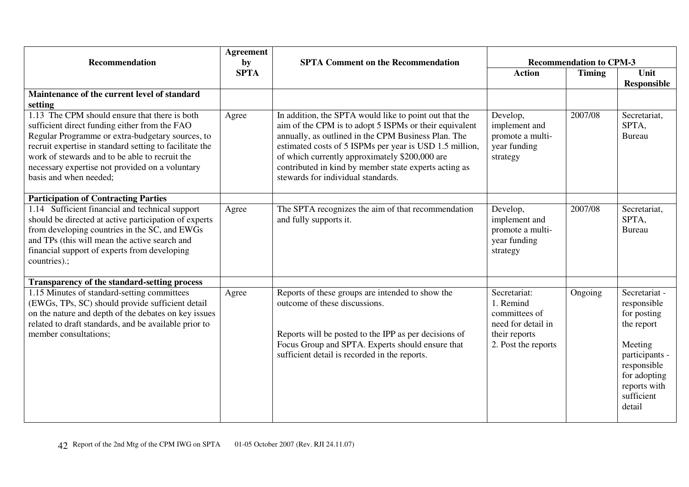| <b>Recommendation</b>                                                                                                                                                                                                                                                                                                                        | <b>Agreement</b><br>by | <b>SPTA Comment on the Recommendation</b>                                                                                                                                                                                                                                                                                                                                           | <b>Recommendation to CPM-3</b>                                                                           |               |                                                                                                                                                               |  |
|----------------------------------------------------------------------------------------------------------------------------------------------------------------------------------------------------------------------------------------------------------------------------------------------------------------------------------------------|------------------------|-------------------------------------------------------------------------------------------------------------------------------------------------------------------------------------------------------------------------------------------------------------------------------------------------------------------------------------------------------------------------------------|----------------------------------------------------------------------------------------------------------|---------------|---------------------------------------------------------------------------------------------------------------------------------------------------------------|--|
|                                                                                                                                                                                                                                                                                                                                              | <b>SPTA</b>            |                                                                                                                                                                                                                                                                                                                                                                                     | <b>Action</b>                                                                                            | <b>Timing</b> | Unit<br><b>Responsible</b>                                                                                                                                    |  |
| Maintenance of the current level of standard<br>setting                                                                                                                                                                                                                                                                                      |                        |                                                                                                                                                                                                                                                                                                                                                                                     |                                                                                                          |               |                                                                                                                                                               |  |
| 1.13 The CPM should ensure that there is both<br>sufficient direct funding either from the FAO<br>Regular Programme or extra-budgetary sources, to<br>recruit expertise in standard setting to facilitate the<br>work of stewards and to be able to recruit the<br>necessary expertise not provided on a voluntary<br>basis and when needed; | Agree                  | In addition, the SPTA would like to point out that the<br>aim of the CPM is to adopt 5 ISPMs or their equivalent<br>annually, as outlined in the CPM Business Plan. The<br>estimated costs of 5 ISPMs per year is USD 1.5 million,<br>of which currently approximately \$200,000 are<br>contributed in kind by member state experts acting as<br>stewards for individual standards. | Develop,<br>implement and<br>promote a multi-<br>year funding<br>strategy                                | 2007/08       | Secretariat,<br>SPTA,<br><b>Bureau</b>                                                                                                                        |  |
| <b>Participation of Contracting Parties</b>                                                                                                                                                                                                                                                                                                  |                        |                                                                                                                                                                                                                                                                                                                                                                                     |                                                                                                          |               |                                                                                                                                                               |  |
| 1.14 Sufficient financial and technical support<br>should be directed at active participation of experts<br>from developing countries in the SC, and EWGs<br>and TPs (this will mean the active search and<br>financial support of experts from developing<br>countries).;                                                                   | Agree                  | The SPTA recognizes the aim of that recommendation<br>and fully supports it.                                                                                                                                                                                                                                                                                                        | Develop,<br>implement and<br>promote a multi-<br>year funding<br>strategy                                | 2007/08       | Secretariat,<br>SPTA,<br><b>Bureau</b>                                                                                                                        |  |
| Transparency of the standard-setting process                                                                                                                                                                                                                                                                                                 |                        |                                                                                                                                                                                                                                                                                                                                                                                     |                                                                                                          |               |                                                                                                                                                               |  |
| 1.15 Minutes of standard-setting committees<br>(EWGs, TPs, SC) should provide sufficient detail<br>on the nature and depth of the debates on key issues<br>related to draft standards, and be available prior to<br>member consultations;                                                                                                    | Agree                  | Reports of these groups are intended to show the<br>outcome of these discussions.<br>Reports will be posted to the IPP as per decisions of<br>Focus Group and SPTA. Experts should ensure that<br>sufficient detail is recorded in the reports.                                                                                                                                     | Secretariat:<br>1. Remind<br>committees of<br>need for detail in<br>their reports<br>2. Post the reports | Ongoing       | Secretariat -<br>responsible<br>for posting<br>the report<br>Meeting<br>participants -<br>responsible<br>for adopting<br>reports with<br>sufficient<br>detail |  |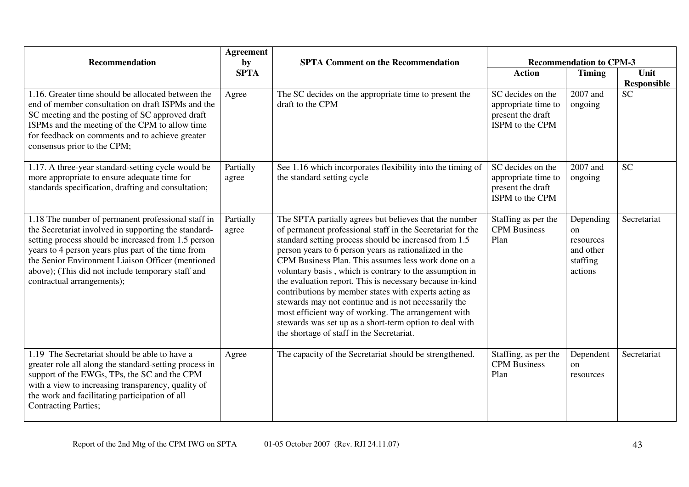| <b>Recommendation</b>                                                                                                                                                                                                                                                                                                                                           | <b>Agreement</b><br><b>SPTA Comment on the Recommendation</b><br>by |                                                                                                                                                                                                                                                                                                                                                                                                                                                                                                                                                                                                                                                                                                      | <b>Recommendation to CPM-3</b>                                                   |                                                                  |                     |  |
|-----------------------------------------------------------------------------------------------------------------------------------------------------------------------------------------------------------------------------------------------------------------------------------------------------------------------------------------------------------------|---------------------------------------------------------------------|------------------------------------------------------------------------------------------------------------------------------------------------------------------------------------------------------------------------------------------------------------------------------------------------------------------------------------------------------------------------------------------------------------------------------------------------------------------------------------------------------------------------------------------------------------------------------------------------------------------------------------------------------------------------------------------------------|----------------------------------------------------------------------------------|------------------------------------------------------------------|---------------------|--|
|                                                                                                                                                                                                                                                                                                                                                                 | <b>SPTA</b>                                                         |                                                                                                                                                                                                                                                                                                                                                                                                                                                                                                                                                                                                                                                                                                      | <b>Action</b>                                                                    | <b>Timing</b>                                                    | Unit<br>Responsible |  |
| 1.16. Greater time should be allocated between the<br>end of member consultation on draft ISPMs and the<br>SC meeting and the posting of SC approved draft<br>ISPMs and the meeting of the CPM to allow time<br>for feedback on comments and to achieve greater<br>consensus prior to the CPM;                                                                  | Agree                                                               | The SC decides on the appropriate time to present the<br>draft to the CPM                                                                                                                                                                                                                                                                                                                                                                                                                                                                                                                                                                                                                            | SC decides on the<br>appropriate time to<br>present the draft<br>ISPM to the CPM | 2007 and<br>ongoing                                              | $\overline{SC}$     |  |
| 1.17. A three-year standard-setting cycle would be<br>more appropriate to ensure adequate time for<br>standards specification, drafting and consultation;                                                                                                                                                                                                       | Partially<br>agree                                                  | See 1.16 which incorporates flexibility into the timing of<br>the standard setting cycle                                                                                                                                                                                                                                                                                                                                                                                                                                                                                                                                                                                                             | SC decides on the<br>appropriate time to<br>present the draft<br>ISPM to the CPM | 2007 and<br>ongoing                                              | <b>SC</b>           |  |
| 1.18 The number of permanent professional staff in<br>the Secretariat involved in supporting the standard-<br>setting process should be increased from 1.5 person<br>years to 4 person years plus part of the time from<br>the Senior Environment Liaison Officer (mentioned<br>above); (This did not include temporary staff and<br>contractual arrangements); | Partially<br>agree                                                  | The SPTA partially agrees but believes that the number<br>of permanent professional staff in the Secretariat for the<br>standard setting process should be increased from 1.5<br>person years to 6 person years as rationalized in the<br>CPM Business Plan. This assumes less work done on a<br>voluntary basis, which is contrary to the assumption in<br>the evaluation report. This is necessary because in-kind<br>contributions by member states with experts acting as<br>stewards may not continue and is not necessarily the<br>most efficient way of working. The arrangement with<br>stewards was set up as a short-term option to deal with<br>the shortage of staff in the Secretariat. | Staffing as per the<br><b>CPM</b> Business<br>Plan                               | Depending<br>on<br>resources<br>and other<br>staffing<br>actions | Secretariat         |  |
| 1.19 The Secretariat should be able to have a<br>greater role all along the standard-setting process in<br>support of the EWGs, TPs, the SC and the CPM<br>with a view to increasing transparency, quality of<br>the work and facilitating participation of all<br><b>Contracting Parties;</b>                                                                  | Agree                                                               | The capacity of the Secretariat should be strengthened.                                                                                                                                                                                                                                                                                                                                                                                                                                                                                                                                                                                                                                              | Staffing, as per the<br><b>CPM</b> Business<br>Plan                              | Dependent<br>on<br>resources                                     | Secretariat         |  |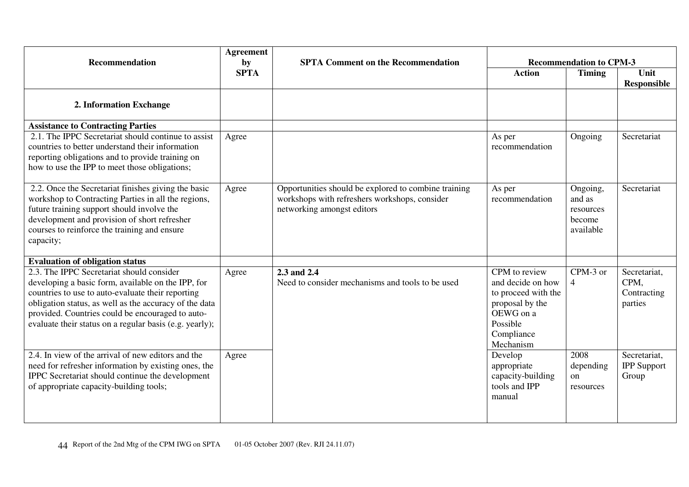| Recommendation                                                                                                                                                                                                                                                                                                                | <b>Agreement</b><br>by | <b>SPTA Comment on the Recommendation</b>                                                                                           | <b>Recommendation to CPM-3</b>                                                                                                   |                                                        |                                                |  |
|-------------------------------------------------------------------------------------------------------------------------------------------------------------------------------------------------------------------------------------------------------------------------------------------------------------------------------|------------------------|-------------------------------------------------------------------------------------------------------------------------------------|----------------------------------------------------------------------------------------------------------------------------------|--------------------------------------------------------|------------------------------------------------|--|
|                                                                                                                                                                                                                                                                                                                               | <b>SPTA</b>            |                                                                                                                                     | <b>Action</b>                                                                                                                    | <b>Timing</b>                                          | Unit<br><b>Responsible</b>                     |  |
| 2. Information Exchange                                                                                                                                                                                                                                                                                                       |                        |                                                                                                                                     |                                                                                                                                  |                                                        |                                                |  |
| <b>Assistance to Contracting Parties</b>                                                                                                                                                                                                                                                                                      |                        |                                                                                                                                     |                                                                                                                                  |                                                        |                                                |  |
| 2.1. The IPPC Secretariat should continue to assist<br>countries to better understand their information<br>reporting obligations and to provide training on<br>how to use the IPP to meet those obligations;                                                                                                                  | Agree                  |                                                                                                                                     | As per<br>recommendation                                                                                                         | Ongoing                                                | Secretariat                                    |  |
| 2.2. Once the Secretariat finishes giving the basic<br>workshop to Contracting Parties in all the regions,<br>future training support should involve the<br>development and provision of short refresher<br>courses to reinforce the training and ensure<br>capacity;                                                         | Agree                  | Opportunities should be explored to combine training<br>workshops with refreshers workshops, consider<br>networking amongst editors | As per<br>recommendation                                                                                                         | Ongoing,<br>and as<br>resources<br>become<br>available | Secretariat                                    |  |
| <b>Evaluation of obligation status</b>                                                                                                                                                                                                                                                                                        |                        |                                                                                                                                     |                                                                                                                                  |                                                        |                                                |  |
| 2.3. The IPPC Secretariat should consider<br>developing a basic form, available on the IPP, for<br>countries to use to auto-evaluate their reporting<br>obligation status, as well as the accuracy of the data<br>provided. Countries could be encouraged to auto-<br>evaluate their status on a regular basis (e.g. yearly); | Agree                  | 2.3 and 2.4<br>Need to consider mechanisms and tools to be used                                                                     | CPM to review<br>and decide on how<br>to proceed with the<br>proposal by the<br>OEWG on a<br>Possible<br>Compliance<br>Mechanism | CPM-3 or<br>$\overline{4}$                             | Secretariat,<br>CPM,<br>Contracting<br>parties |  |
| 2.4. In view of the arrival of new editors and the<br>need for refresher information by existing ones, the<br>IPPC Secretariat should continue the development<br>of appropriate capacity-building tools;                                                                                                                     | Agree                  |                                                                                                                                     | Develop<br>appropriate<br>capacity-building<br>tools and IPP<br>manual                                                           | 2008<br>depending<br>on<br>resources                   | Secretariat,<br><b>IPP</b> Support<br>Group    |  |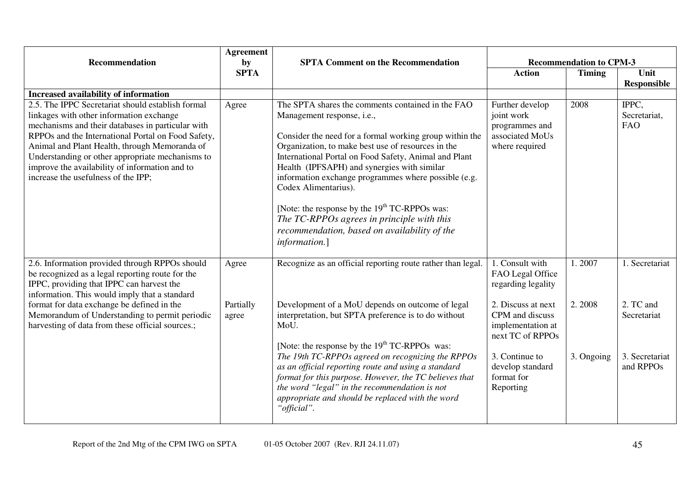| Recommendation                                                                                                                                                                                                                                                                                                                                                                                         | <b>Agreement</b><br>by | <b>SPTA Comment on the Recommendation</b>                                                                                                                                                                                                                                                                                                                                                                                                                                                                                                                            | <b>Recommendation to CPM-3</b>                                                       |               |                                     |  |
|--------------------------------------------------------------------------------------------------------------------------------------------------------------------------------------------------------------------------------------------------------------------------------------------------------------------------------------------------------------------------------------------------------|------------------------|----------------------------------------------------------------------------------------------------------------------------------------------------------------------------------------------------------------------------------------------------------------------------------------------------------------------------------------------------------------------------------------------------------------------------------------------------------------------------------------------------------------------------------------------------------------------|--------------------------------------------------------------------------------------|---------------|-------------------------------------|--|
|                                                                                                                                                                                                                                                                                                                                                                                                        | <b>SPTA</b>            |                                                                                                                                                                                                                                                                                                                                                                                                                                                                                                                                                                      | <b>Action</b>                                                                        | <b>Timing</b> | Unit<br><b>Responsible</b>          |  |
| Increased availability of information                                                                                                                                                                                                                                                                                                                                                                  |                        |                                                                                                                                                                                                                                                                                                                                                                                                                                                                                                                                                                      |                                                                                      |               |                                     |  |
| 2.5. The IPPC Secretariat should establish formal<br>linkages with other information exchange<br>mechanisms and their databases in particular with<br>RPPOs and the International Portal on Food Safety,<br>Animal and Plant Health, through Memoranda of<br>Understanding or other appropriate mechanisms to<br>improve the availability of information and to<br>increase the usefulness of the IPP; | Agree                  | The SPTA shares the comments contained in the FAO<br>Management response, i.e.,<br>Consider the need for a formal working group within the<br>Organization, to make best use of resources in the<br>International Portal on Food Safety, Animal and Plant<br>Health (IPFSAPH) and synergies with similar<br>information exchange programmes where possible (e.g.<br>Codex Alimentarius).<br>[Note: the response by the 19 <sup>th</sup> TC-RPPOs was:<br>The TC-RPPOs agrees in principle with this<br>recommendation, based on availability of the<br>information.] | Further develop<br>joint work<br>programmes and<br>associated MoUs<br>where required | 2008          | IPPC,<br>Secretariat,<br><b>FAO</b> |  |
| 2.6. Information provided through RPPOs should<br>be recognized as a legal reporting route for the<br>IPPC, providing that IPPC can harvest the<br>information. This would imply that a standard                                                                                                                                                                                                       | Agree                  | Recognize as an official reporting route rather than legal.                                                                                                                                                                                                                                                                                                                                                                                                                                                                                                          | 1. Consult with<br>FAO Legal Office<br>regarding legality                            | 1.2007        | 1. Secretariat                      |  |
| format for data exchange be defined in the<br>Memorandum of Understanding to permit periodic<br>harvesting of data from these official sources.;                                                                                                                                                                                                                                                       | Partially<br>agree     | Development of a MoU depends on outcome of legal<br>interpretation, but SPTA preference is to do without<br>MoU.<br>[Note: the response by the $19th TC-RPPOs$ was:                                                                                                                                                                                                                                                                                                                                                                                                  | 2. Discuss at next<br>CPM and discuss<br>implementation at<br>next TC of RPPOs       | 2.2008        | 2. TC and<br>Secretariat            |  |
|                                                                                                                                                                                                                                                                                                                                                                                                        |                        | The 19th TC-RPPOs agreed on recognizing the RPPOs<br>as an official reporting route and using a standard<br>format for this purpose. However, the TC believes that<br>the word "legal" in the recommendation is not<br>appropriate and should be replaced with the word<br>"official".                                                                                                                                                                                                                                                                               | 3. Continue to<br>develop standard<br>format for<br>Reporting                        | 3. Ongoing    | 3. Secretariat<br>and RPPOs         |  |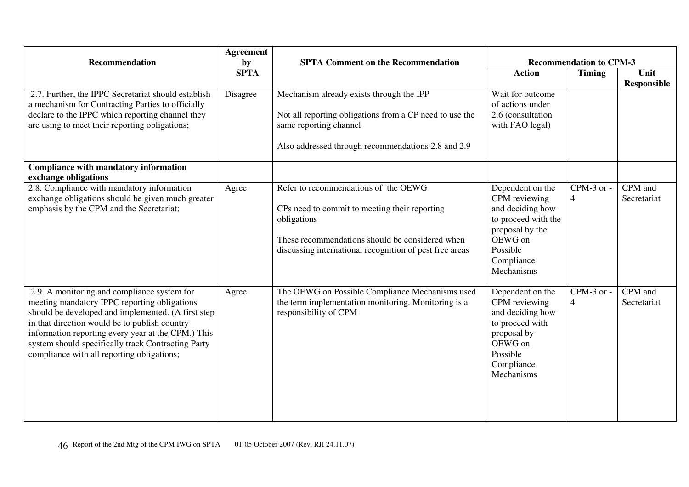| Recommendation                                                                                                                                                                                                                                                                                                                                               | <b>Agreement</b><br>by | <b>SPTA Comment on the Recommendation</b>                                                                                                                                                                          | <b>Recommendation to CPM-3</b>                                                                                                                     |                 |                            |  |
|--------------------------------------------------------------------------------------------------------------------------------------------------------------------------------------------------------------------------------------------------------------------------------------------------------------------------------------------------------------|------------------------|--------------------------------------------------------------------------------------------------------------------------------------------------------------------------------------------------------------------|----------------------------------------------------------------------------------------------------------------------------------------------------|-----------------|----------------------------|--|
|                                                                                                                                                                                                                                                                                                                                                              | <b>SPTA</b>            |                                                                                                                                                                                                                    | <b>Action</b>                                                                                                                                      | <b>Timing</b>   | Unit<br><b>Responsible</b> |  |
| 2.7. Further, the IPPC Secretariat should establish<br>a mechanism for Contracting Parties to officially<br>declare to the IPPC which reporting channel they<br>are using to meet their reporting obligations;                                                                                                                                               | Disagree               | Mechanism already exists through the IPP<br>Not all reporting obligations from a CP need to use the<br>same reporting channel<br>Also addressed through recommendations 2.8 and 2.9                                | Wait for outcome<br>of actions under<br>2.6 (consultation<br>with FAO legal)                                                                       |                 |                            |  |
| <b>Compliance with mandatory information</b><br>exchange obligations                                                                                                                                                                                                                                                                                         |                        |                                                                                                                                                                                                                    |                                                                                                                                                    |                 |                            |  |
| 2.8. Compliance with mandatory information<br>exchange obligations should be given much greater<br>emphasis by the CPM and the Secretariat;                                                                                                                                                                                                                  | Agree                  | Refer to recommendations of the OEWG<br>CPs need to commit to meeting their reporting<br>obligations<br>These recommendations should be considered when<br>discussing international recognition of pest free areas | Dependent on the<br>CPM reviewing<br>and deciding how<br>to proceed with the<br>proposal by the<br>OEWG on<br>Possible<br>Compliance<br>Mechanisms | CPM-3 or -<br>4 | CPM and<br>Secretariat     |  |
| 2.9. A monitoring and compliance system for<br>meeting mandatory IPPC reporting obligations<br>should be developed and implemented. (A first step<br>in that direction would be to publish country<br>information reporting every year at the CPM.) This<br>system should specifically track Contracting Party<br>compliance with all reporting obligations; | Agree                  | The OEWG on Possible Compliance Mechanisms used<br>the term implementation monitoring. Monitoring is a<br>responsibility of CPM                                                                                    | Dependent on the<br>CPM reviewing<br>and deciding how<br>to proceed with<br>proposal by<br>OEWG on<br>Possible<br>Compliance<br>Mechanisms         | CPM-3 or -<br>4 | CPM and<br>Secretariat     |  |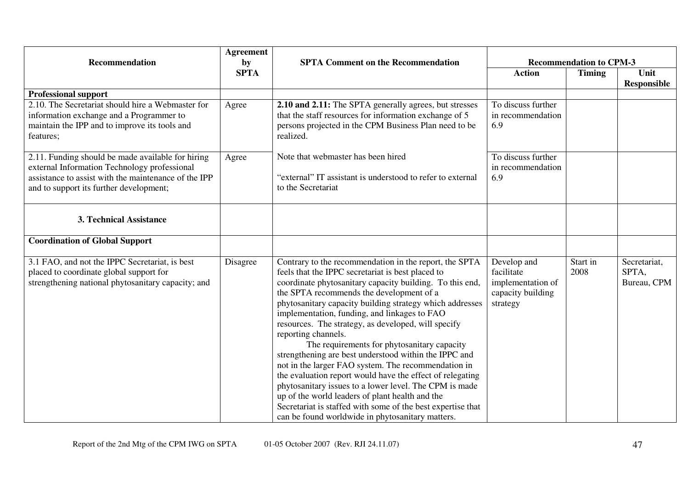| <b>Recommendation</b>                                                                                                                                                                                | <b>Agreement</b><br><b>SPTA Comment on the Recommendation</b><br>by |                                                                                                                                                                                                                                                                                                                                                                                                                                                                                                                                                                                                                                                                                                                                                                                                                                                                           | <b>Recommendation to CPM-3</b>                                                  |                  |                                      |  |
|------------------------------------------------------------------------------------------------------------------------------------------------------------------------------------------------------|---------------------------------------------------------------------|---------------------------------------------------------------------------------------------------------------------------------------------------------------------------------------------------------------------------------------------------------------------------------------------------------------------------------------------------------------------------------------------------------------------------------------------------------------------------------------------------------------------------------------------------------------------------------------------------------------------------------------------------------------------------------------------------------------------------------------------------------------------------------------------------------------------------------------------------------------------------|---------------------------------------------------------------------------------|------------------|--------------------------------------|--|
|                                                                                                                                                                                                      | <b>SPTA</b>                                                         |                                                                                                                                                                                                                                                                                                                                                                                                                                                                                                                                                                                                                                                                                                                                                                                                                                                                           | <b>Action</b>                                                                   | <b>Timing</b>    | Unit                                 |  |
|                                                                                                                                                                                                      |                                                                     |                                                                                                                                                                                                                                                                                                                                                                                                                                                                                                                                                                                                                                                                                                                                                                                                                                                                           |                                                                                 |                  | <b>Responsible</b>                   |  |
| <b>Professional support</b>                                                                                                                                                                          |                                                                     |                                                                                                                                                                                                                                                                                                                                                                                                                                                                                                                                                                                                                                                                                                                                                                                                                                                                           |                                                                                 |                  |                                      |  |
| 2.10. The Secretariat should hire a Webmaster for<br>information exchange and a Programmer to<br>maintain the IPP and to improve its tools and<br>features;                                          | Agree                                                               | 2.10 and 2.11: The SPTA generally agrees, but stresses<br>that the staff resources for information exchange of 5<br>persons projected in the CPM Business Plan need to be<br>realized.                                                                                                                                                                                                                                                                                                                                                                                                                                                                                                                                                                                                                                                                                    | To discuss further<br>in recommendation<br>6.9                                  |                  |                                      |  |
| 2.11. Funding should be made available for hiring<br>external Information Technology professional<br>assistance to assist with the maintenance of the IPP<br>and to support its further development; | Agree                                                               | Note that webmaster has been hired<br>"external" IT assistant is understood to refer to external<br>to the Secretariat                                                                                                                                                                                                                                                                                                                                                                                                                                                                                                                                                                                                                                                                                                                                                    | To discuss further<br>in recommendation<br>6.9                                  |                  |                                      |  |
| <b>3. Technical Assistance</b>                                                                                                                                                                       |                                                                     |                                                                                                                                                                                                                                                                                                                                                                                                                                                                                                                                                                                                                                                                                                                                                                                                                                                                           |                                                                                 |                  |                                      |  |
| <b>Coordination of Global Support</b>                                                                                                                                                                |                                                                     |                                                                                                                                                                                                                                                                                                                                                                                                                                                                                                                                                                                                                                                                                                                                                                                                                                                                           |                                                                                 |                  |                                      |  |
| 3.1 FAO, and not the IPPC Secretariat, is best<br>placed to coordinate global support for<br>strengthening national phytosanitary capacity; and                                                      | Disagree                                                            | Contrary to the recommendation in the report, the SPTA<br>feels that the IPPC secretariat is best placed to<br>coordinate phytosanitary capacity building. To this end,<br>the SPTA recommends the development of a<br>phytosanitary capacity building strategy which addresses<br>implementation, funding, and linkages to FAO<br>resources. The strategy, as developed, will specify<br>reporting channels.<br>The requirements for phytosanitary capacity<br>strengthening are best understood within the IPPC and<br>not in the larger FAO system. The recommendation in<br>the evaluation report would have the effect of relegating<br>phytosanitary issues to a lower level. The CPM is made<br>up of the world leaders of plant health and the<br>Secretariat is staffed with some of the best expertise that<br>can be found worldwide in phytosanitary matters. | Develop and<br>facilitate<br>implementation of<br>capacity building<br>strategy | Start in<br>2008 | Secretariat,<br>SPTA,<br>Bureau, CPM |  |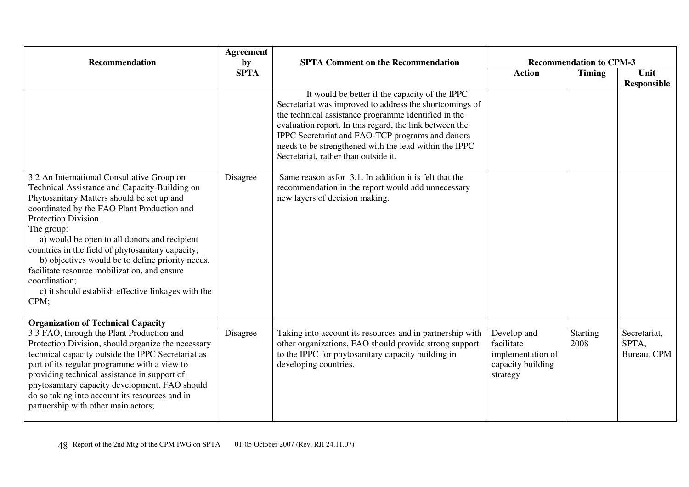| <b>Recommendation</b>                                                                                                                                                                                                                                                                                                                                                                                                                                                                                                  | <b>Agreement</b><br>by | <b>SPTA Comment on the Recommendation</b>                                                                                                                                                                                                                                                                                                                                          | <b>Recommendation to CPM-3</b>                                                  |                         |                                      |  |
|------------------------------------------------------------------------------------------------------------------------------------------------------------------------------------------------------------------------------------------------------------------------------------------------------------------------------------------------------------------------------------------------------------------------------------------------------------------------------------------------------------------------|------------------------|------------------------------------------------------------------------------------------------------------------------------------------------------------------------------------------------------------------------------------------------------------------------------------------------------------------------------------------------------------------------------------|---------------------------------------------------------------------------------|-------------------------|--------------------------------------|--|
|                                                                                                                                                                                                                                                                                                                                                                                                                                                                                                                        | <b>SPTA</b>            |                                                                                                                                                                                                                                                                                                                                                                                    | <b>Action</b>                                                                   | <b>Timing</b>           | Unit<br><b>Responsible</b>           |  |
|                                                                                                                                                                                                                                                                                                                                                                                                                                                                                                                        |                        | It would be better if the capacity of the IPPC<br>Secretariat was improved to address the shortcomings of<br>the technical assistance programme identified in the<br>evaluation report. In this regard, the link between the<br>IPPC Secretariat and FAO-TCP programs and donors<br>needs to be strengthened with the lead within the IPPC<br>Secretariat, rather than outside it. |                                                                                 |                         |                                      |  |
| 3.2 An International Consultative Group on<br>Technical Assistance and Capacity-Building on<br>Phytosanitary Matters should be set up and<br>coordinated by the FAO Plant Production and<br>Protection Division.<br>The group:<br>a) would be open to all donors and recipient<br>countries in the field of phytosanitary capacity;<br>b) objectives would be to define priority needs,<br>facilitate resource mobilization, and ensure<br>coordination;<br>c) it should establish effective linkages with the<br>CPM; | Disagree               | Same reason as for 3.1. In addition it is felt that the<br>recommendation in the report would add unnecessary<br>new layers of decision making.                                                                                                                                                                                                                                    |                                                                                 |                         |                                      |  |
| <b>Organization of Technical Capacity</b><br>3.3 FAO, through the Plant Production and<br>Protection Division, should organize the necessary<br>technical capacity outside the IPPC Secretariat as<br>part of its regular programme with a view to<br>providing technical assistance in support of<br>phytosanitary capacity development. FAO should<br>do so taking into account its resources and in<br>partnership with other main actors;                                                                          | Disagree               | Taking into account its resources and in partnership with<br>other organizations, FAO should provide strong support<br>to the IPPC for phytosanitary capacity building in<br>developing countries.                                                                                                                                                                                 | Develop and<br>facilitate<br>implementation of<br>capacity building<br>strategy | <b>Starting</b><br>2008 | Secretariat,<br>SPTA,<br>Bureau, CPM |  |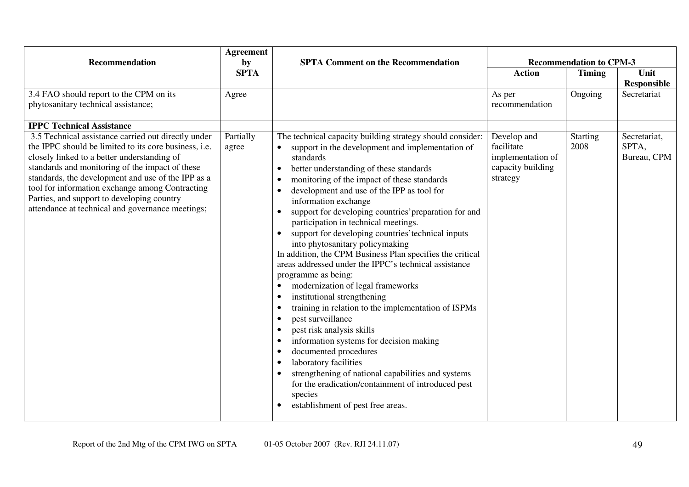| <b>Recommendation</b>                                                                                                                                                                                                                                                                                                                                                                                                            | <b>Agreement</b><br>by | <b>SPTA Comment on the Recommendation</b>                                                                                                                                                                                                                                                                                                                                                                                                                                                                                                                                                                                                                                                                                                                                                                                                                                                                                                                                                                                                                               | <b>Recommendation to CPM-3</b>                                                  |                         |                                      |  |
|----------------------------------------------------------------------------------------------------------------------------------------------------------------------------------------------------------------------------------------------------------------------------------------------------------------------------------------------------------------------------------------------------------------------------------|------------------------|-------------------------------------------------------------------------------------------------------------------------------------------------------------------------------------------------------------------------------------------------------------------------------------------------------------------------------------------------------------------------------------------------------------------------------------------------------------------------------------------------------------------------------------------------------------------------------------------------------------------------------------------------------------------------------------------------------------------------------------------------------------------------------------------------------------------------------------------------------------------------------------------------------------------------------------------------------------------------------------------------------------------------------------------------------------------------|---------------------------------------------------------------------------------|-------------------------|--------------------------------------|--|
|                                                                                                                                                                                                                                                                                                                                                                                                                                  | <b>SPTA</b>            |                                                                                                                                                                                                                                                                                                                                                                                                                                                                                                                                                                                                                                                                                                                                                                                                                                                                                                                                                                                                                                                                         | <b>Action</b>                                                                   | <b>Timing</b>           | Unit<br><b>Responsible</b>           |  |
| 3.4 FAO should report to the CPM on its<br>phytosanitary technical assistance;                                                                                                                                                                                                                                                                                                                                                   | Agree                  |                                                                                                                                                                                                                                                                                                                                                                                                                                                                                                                                                                                                                                                                                                                                                                                                                                                                                                                                                                                                                                                                         | As per<br>recommendation                                                        | Ongoing                 | Secretariat                          |  |
| <b>IPPC Technical Assistance</b>                                                                                                                                                                                                                                                                                                                                                                                                 |                        |                                                                                                                                                                                                                                                                                                                                                                                                                                                                                                                                                                                                                                                                                                                                                                                                                                                                                                                                                                                                                                                                         |                                                                                 |                         |                                      |  |
| 3.5 Technical assistance carried out directly under<br>the IPPC should be limited to its core business, <i>i.e.</i><br>closely linked to a better understanding of<br>standards and monitoring of the impact of these<br>standards, the development and use of the IPP as a<br>tool for information exchange among Contracting<br>Parties, and support to developing country<br>attendance at technical and governance meetings; | Partially<br>agree     | The technical capacity building strategy should consider:<br>support in the development and implementation of<br>standards<br>better understanding of these standards<br>monitoring of the impact of these standards<br>development and use of the IPP as tool for<br>information exchange<br>support for developing countries' preparation for and<br>participation in technical meetings.<br>support for developing countries' technical inputs<br>into phytosanitary policymaking<br>In addition, the CPM Business Plan specifies the critical<br>areas addressed under the IPPC's technical assistance<br>programme as being:<br>modernization of legal frameworks<br>institutional strengthening<br>training in relation to the implementation of ISPMs<br>pest surveillance<br>pest risk analysis skills<br>information systems for decision making<br>documented procedures<br>laboratory facilities<br>strengthening of national capabilities and systems<br>for the eradication/containment of introduced pest<br>species<br>establishment of pest free areas. | Develop and<br>facilitate<br>implementation of<br>capacity building<br>strategy | <b>Starting</b><br>2008 | Secretariat,<br>SPTA,<br>Bureau, CPM |  |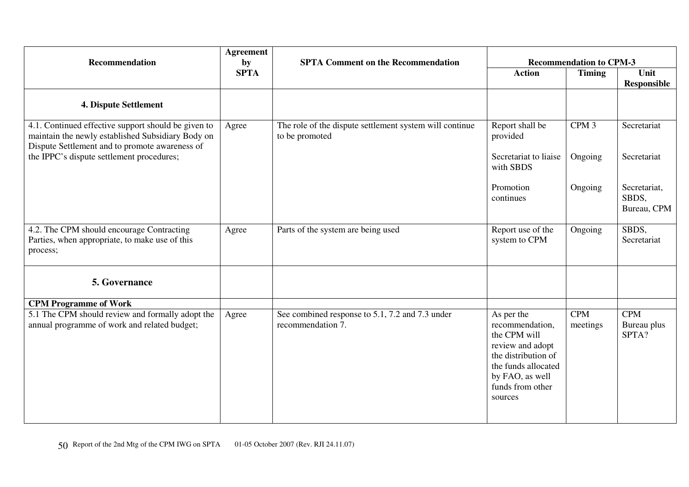| Recommendation                                                                                                                                             | <b>Agreement</b><br><b>SPTA Comment on the Recommendation</b><br>by |                                                                           | <b>Recommendation to CPM-3</b>                                                                                                                                    |                        |                                      |
|------------------------------------------------------------------------------------------------------------------------------------------------------------|---------------------------------------------------------------------|---------------------------------------------------------------------------|-------------------------------------------------------------------------------------------------------------------------------------------------------------------|------------------------|--------------------------------------|
|                                                                                                                                                            | <b>SPTA</b>                                                         |                                                                           | <b>Action</b>                                                                                                                                                     | Timing                 | Unit<br><b>Responsible</b>           |
| 4. Dispute Settlement                                                                                                                                      |                                                                     |                                                                           |                                                                                                                                                                   |                        |                                      |
| 4.1. Continued effective support should be given to<br>maintain the newly established Subsidiary Body on<br>Dispute Settlement and to promote awareness of | Agree                                                               | The role of the dispute settlement system will continue<br>to be promoted | Report shall be<br>provided                                                                                                                                       | CPM <sub>3</sub>       | Secretariat                          |
| the IPPC's dispute settlement procedures;                                                                                                                  |                                                                     |                                                                           | Secretariat to liaise<br>with SBDS                                                                                                                                | Ongoing                | Secretariat                          |
|                                                                                                                                                            |                                                                     |                                                                           | Promotion<br>continues                                                                                                                                            | Ongoing                | Secretariat,<br>SBDS,<br>Bureau, CPM |
| 4.2. The CPM should encourage Contracting<br>Parties, when appropriate, to make use of this<br>process;                                                    | Agree                                                               | Parts of the system are being used                                        | Report use of the<br>system to CPM                                                                                                                                | Ongoing                | SBDS,<br>Secretariat                 |
| 5. Governance                                                                                                                                              |                                                                     |                                                                           |                                                                                                                                                                   |                        |                                      |
| <b>CPM Programme of Work</b>                                                                                                                               |                                                                     |                                                                           |                                                                                                                                                                   |                        |                                      |
| 5.1 The CPM should review and formally adopt the<br>annual programme of work and related budget;                                                           | Agree                                                               | See combined response to 5.1, 7.2 and 7.3 under<br>recommendation 7.      | As per the<br>recommendation,<br>the CPM will<br>review and adopt<br>the distribution of<br>the funds allocated<br>by FAO, as well<br>funds from other<br>sources | <b>CPM</b><br>meetings | <b>CPM</b><br>Bureau plus<br>SPTA?   |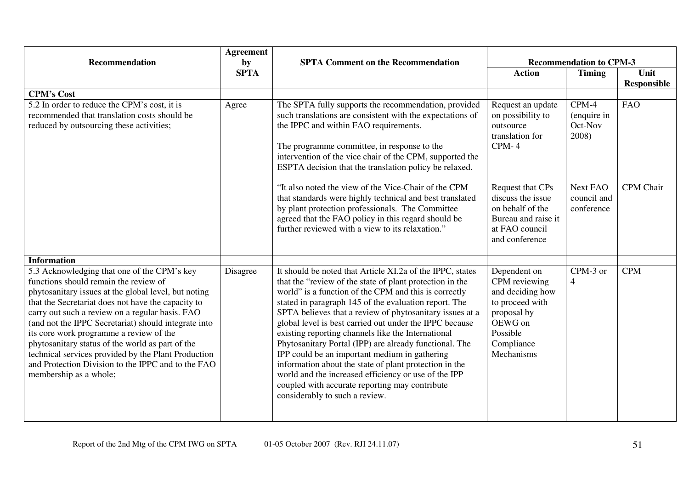| <b>Recommendation</b>                                                                                                                                                                                                                                                                                                                                                                                                                                                                                                                               | <b>Agreement</b><br><b>SPTA Comment on the Recommendation</b><br>by |                                                                                                                                                                                                                                                                                                                                                                                                                                                                                                                                                                                                                                                                                                                                       | <b>Recommendation to CPM-3</b>                                                                                                         |                                            |                            |
|-----------------------------------------------------------------------------------------------------------------------------------------------------------------------------------------------------------------------------------------------------------------------------------------------------------------------------------------------------------------------------------------------------------------------------------------------------------------------------------------------------------------------------------------------------|---------------------------------------------------------------------|---------------------------------------------------------------------------------------------------------------------------------------------------------------------------------------------------------------------------------------------------------------------------------------------------------------------------------------------------------------------------------------------------------------------------------------------------------------------------------------------------------------------------------------------------------------------------------------------------------------------------------------------------------------------------------------------------------------------------------------|----------------------------------------------------------------------------------------------------------------------------------------|--------------------------------------------|----------------------------|
|                                                                                                                                                                                                                                                                                                                                                                                                                                                                                                                                                     | <b>SPTA</b>                                                         |                                                                                                                                                                                                                                                                                                                                                                                                                                                                                                                                                                                                                                                                                                                                       | <b>Action</b>                                                                                                                          | <b>Timing</b>                              | Unit<br><b>Responsible</b> |
| <b>CPM's Cost</b>                                                                                                                                                                                                                                                                                                                                                                                                                                                                                                                                   |                                                                     |                                                                                                                                                                                                                                                                                                                                                                                                                                                                                                                                                                                                                                                                                                                                       |                                                                                                                                        |                                            |                            |
| 5.2 In order to reduce the CPM's cost, it is<br>recommended that translation costs should be<br>reduced by outsourcing these activities;                                                                                                                                                                                                                                                                                                                                                                                                            | Agree                                                               | The SPTA fully supports the recommendation, provided<br>such translations are consistent with the expectations of<br>the IPPC and within FAO requirements.<br>The programme committee, in response to the<br>intervention of the vice chair of the CPM, supported the<br>ESPTA decision that the translation policy be relaxed.                                                                                                                                                                                                                                                                                                                                                                                                       | Request an update<br>on possibility to<br>outsource<br>translation for<br>$CPM-4$                                                      | $CPM-4$<br>(enquire in<br>Oct-Nov<br>2008) | <b>FAO</b>                 |
|                                                                                                                                                                                                                                                                                                                                                                                                                                                                                                                                                     |                                                                     | "It also noted the view of the Vice-Chair of the CPM<br>that standards were highly technical and best translated<br>by plant protection professionals. The Committee<br>agreed that the FAO policy in this regard should be<br>further reviewed with a view to its relaxation."                                                                                                                                                                                                                                                                                                                                                                                                                                                       | Request that CPs<br>discuss the issue<br>on behalf of the<br>Bureau and raise it<br>at FAO council<br>and conference                   | Next FAO<br>council and<br>conference      | <b>CPM</b> Chair           |
| <b>Information</b>                                                                                                                                                                                                                                                                                                                                                                                                                                                                                                                                  |                                                                     |                                                                                                                                                                                                                                                                                                                                                                                                                                                                                                                                                                                                                                                                                                                                       |                                                                                                                                        |                                            |                            |
| 5.3 Acknowledging that one of the CPM's key<br>functions should remain the review of<br>phytosanitary issues at the global level, but noting<br>that the Secretariat does not have the capacity to<br>carry out such a review on a regular basis. FAO<br>(and not the IPPC Secretariat) should integrate into<br>its core work programme a review of the<br>phytosanitary status of the world as part of the<br>technical services provided by the Plant Production<br>and Protection Division to the IPPC and to the FAO<br>membership as a whole; | Disagree                                                            | It should be noted that Article XI.2a of the IPPC, states<br>that the "review of the state of plant protection in the<br>world" is a function of the CPM and this is correctly<br>stated in paragraph 145 of the evaluation report. The<br>SPTA believes that a review of phytosanitary issues at a<br>global level is best carried out under the IPPC because<br>existing reporting channels like the International<br>Phytosanitary Portal (IPP) are already functional. The<br>IPP could be an important medium in gathering<br>information about the state of plant protection in the<br>world and the increased efficiency or use of the IPP<br>coupled with accurate reporting may contribute<br>considerably to such a review. | Dependent on<br>CPM reviewing<br>and deciding how<br>to proceed with<br>proposal by<br>OEWG on<br>Possible<br>Compliance<br>Mechanisms | CPM-3 or<br>$\overline{4}$                 | <b>CPM</b>                 |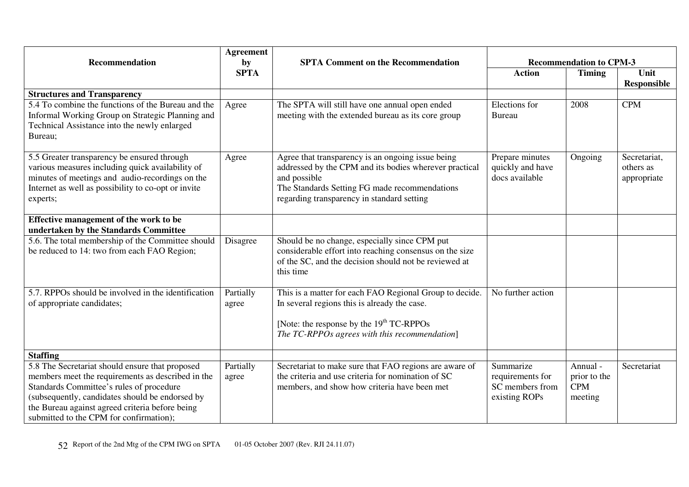| <b>Recommendation</b>                                                                                                                                                                                                                                                                             | <b>Agreement</b><br>by | <b>SPTA Comment on the Recommendation</b>                                                                                                                                                                                  | <b>Recommendation to CPM-3</b>                                    |                                                   |                                          |
|---------------------------------------------------------------------------------------------------------------------------------------------------------------------------------------------------------------------------------------------------------------------------------------------------|------------------------|----------------------------------------------------------------------------------------------------------------------------------------------------------------------------------------------------------------------------|-------------------------------------------------------------------|---------------------------------------------------|------------------------------------------|
|                                                                                                                                                                                                                                                                                                   | <b>SPTA</b>            |                                                                                                                                                                                                                            | <b>Action</b>                                                     | <b>Timing</b>                                     | Unit<br><b>Responsible</b>               |
| <b>Structures and Transparency</b>                                                                                                                                                                                                                                                                |                        |                                                                                                                                                                                                                            |                                                                   |                                                   |                                          |
| 5.4 To combine the functions of the Bureau and the<br>Informal Working Group on Strategic Planning and<br>Technical Assistance into the newly enlarged<br>Bureau;                                                                                                                                 | Agree                  | The SPTA will still have one annual open ended<br>meeting with the extended bureau as its core group                                                                                                                       | Elections for<br><b>Bureau</b>                                    | 2008                                              | <b>CPM</b>                               |
| 5.5 Greater transparency be ensured through<br>various measures including quick availability of<br>minutes of meetings and audio-recordings on the<br>Internet as well as possibility to co-opt or invite<br>experts;                                                                             | Agree                  | Agree that transparency is an ongoing issue being<br>addressed by the CPM and its bodies wherever practical<br>and possible<br>The Standards Setting FG made recommendations<br>regarding transparency in standard setting | Prepare minutes<br>quickly and have<br>docs available             | Ongoing                                           | Secretariat,<br>others as<br>appropriate |
| Effective management of the work to be<br>undertaken by the Standards Committee                                                                                                                                                                                                                   |                        |                                                                                                                                                                                                                            |                                                                   |                                                   |                                          |
| 5.6. The total membership of the Committee should<br>be reduced to 14: two from each FAO Region;                                                                                                                                                                                                  | Disagree               | Should be no change, especially since CPM put<br>considerable effort into reaching consensus on the size<br>of the SC, and the decision should not be reviewed at<br>this time                                             |                                                                   |                                                   |                                          |
| 5.7. RPPOs should be involved in the identification<br>of appropriate candidates;                                                                                                                                                                                                                 | Partially<br>agree     | This is a matter for each FAO Regional Group to decide.<br>In several regions this is already the case.<br>[Note: the response by the 19 <sup>th</sup> TC-RPPOs]<br>The TC-RPPOs agrees with this recommendation]          | No further action                                                 |                                                   |                                          |
| <b>Staffing</b>                                                                                                                                                                                                                                                                                   |                        |                                                                                                                                                                                                                            |                                                                   |                                                   |                                          |
| 5.8 The Secretariat should ensure that proposed<br>members meet the requirements as described in the<br>Standards Committee's rules of procedure<br>(subsequently, candidates should be endorsed by<br>the Bureau against agreed criteria before being<br>submitted to the CPM for confirmation); | Partially<br>agree     | Secretariat to make sure that FAO regions are aware of<br>the criteria and use criteria for nomination of SC<br>members, and show how criteria have been met                                                               | Summarize<br>requirements for<br>SC members from<br>existing ROPs | Annual -<br>prior to the<br><b>CPM</b><br>meeting | Secretariat                              |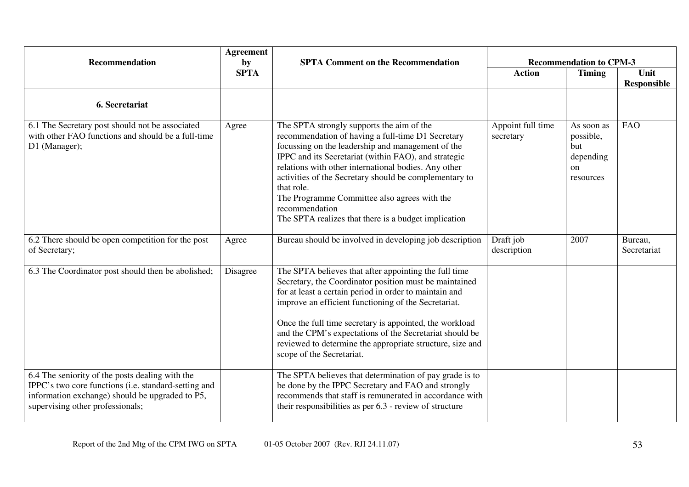| Recommendation                                                                                                                                                                                 | <b>Agreement</b><br>by | <b>SPTA Comment on the Recommendation</b>                                                                                                                                                                                                                                                                                                                                                                                                                             |                                | <b>Recommendation to CPM-3</b>                                 |                            |  |
|------------------------------------------------------------------------------------------------------------------------------------------------------------------------------------------------|------------------------|-----------------------------------------------------------------------------------------------------------------------------------------------------------------------------------------------------------------------------------------------------------------------------------------------------------------------------------------------------------------------------------------------------------------------------------------------------------------------|--------------------------------|----------------------------------------------------------------|----------------------------|--|
|                                                                                                                                                                                                | <b>SPTA</b>            |                                                                                                                                                                                                                                                                                                                                                                                                                                                                       | <b>Action</b>                  | <b>Timing</b>                                                  | Unit<br><b>Responsible</b> |  |
| 6. Secretariat                                                                                                                                                                                 |                        |                                                                                                                                                                                                                                                                                                                                                                                                                                                                       |                                |                                                                |                            |  |
| 6.1 The Secretary post should not be associated<br>with other FAO functions and should be a full-time<br>D1 (Manager);                                                                         | Agree                  | The SPTA strongly supports the aim of the<br>recommendation of having a full-time D1 Secretary<br>focussing on the leadership and management of the<br>IPPC and its Secretariat (within FAO), and strategic<br>relations with other international bodies. Any other<br>activities of the Secretary should be complementary to<br>that role.<br>The Programme Committee also agrees with the<br>recommendation<br>The SPTA realizes that there is a budget implication | Appoint full time<br>secretary | As soon as<br>possible,<br>but<br>depending<br>on<br>resources | <b>FAO</b>                 |  |
| 6.2 There should be open competition for the post<br>of Secretary;                                                                                                                             | Agree                  | Bureau should be involved in developing job description                                                                                                                                                                                                                                                                                                                                                                                                               | Draft job<br>description       | 2007                                                           | Bureau,<br>Secretariat     |  |
| 6.3 The Coordinator post should then be abolished;                                                                                                                                             | Disagree               | The SPTA believes that after appointing the full time<br>Secretary, the Coordinator position must be maintained<br>for at least a certain period in order to maintain and<br>improve an efficient functioning of the Secretariat.<br>Once the full time secretary is appointed, the workload<br>and the CPM's expectations of the Secretariat should be<br>reviewed to determine the appropriate structure, size and<br>scope of the Secretariat.                     |                                |                                                                |                            |  |
| 6.4 The seniority of the posts dealing with the<br>IPPC's two core functions (i.e. standard-setting and<br>information exchange) should be upgraded to P5,<br>supervising other professionals; |                        | The SPTA believes that determination of pay grade is to<br>be done by the IPPC Secretary and FAO and strongly<br>recommends that staff is remunerated in accordance with<br>their responsibilities as per 6.3 - review of structure                                                                                                                                                                                                                                   |                                |                                                                |                            |  |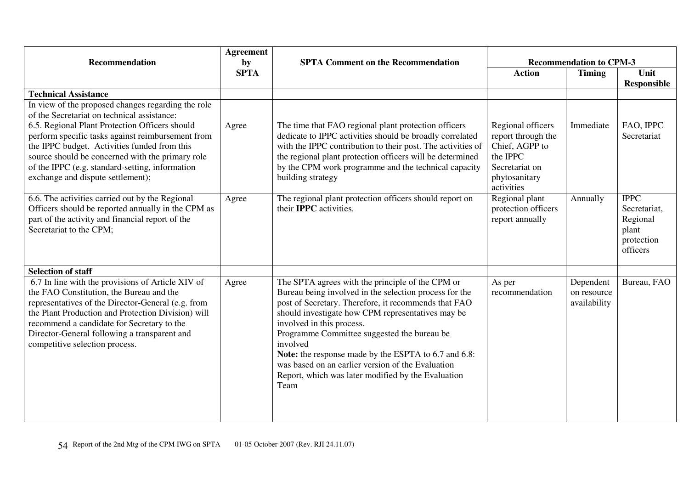| <b>Recommendation</b>                                                                                                                                                                                                                                                                                                                                                                                | <b>Agreement</b><br><b>SPTA Comment on the Recommendation</b><br>by |                                                                                                                                                                                                                                                                                                                                                                                                                                                                                            | <b>Recommendation to CPM-3</b>                                                                                         |                                          |                                                                            |
|------------------------------------------------------------------------------------------------------------------------------------------------------------------------------------------------------------------------------------------------------------------------------------------------------------------------------------------------------------------------------------------------------|---------------------------------------------------------------------|--------------------------------------------------------------------------------------------------------------------------------------------------------------------------------------------------------------------------------------------------------------------------------------------------------------------------------------------------------------------------------------------------------------------------------------------------------------------------------------------|------------------------------------------------------------------------------------------------------------------------|------------------------------------------|----------------------------------------------------------------------------|
|                                                                                                                                                                                                                                                                                                                                                                                                      | <b>SPTA</b>                                                         |                                                                                                                                                                                                                                                                                                                                                                                                                                                                                            | <b>Action</b>                                                                                                          | <b>Timing</b>                            | Unit<br><b>Responsible</b>                                                 |
| <b>Technical Assistance</b>                                                                                                                                                                                                                                                                                                                                                                          |                                                                     |                                                                                                                                                                                                                                                                                                                                                                                                                                                                                            |                                                                                                                        |                                          |                                                                            |
| In view of the proposed changes regarding the role<br>of the Secretariat on technical assistance:<br>6.5. Regional Plant Protection Officers should<br>perform specific tasks against reimbursement from<br>the IPPC budget. Activities funded from this<br>source should be concerned with the primary role<br>of the IPPC (e.g. standard-setting, information<br>exchange and dispute settlement); | Agree                                                               | The time that FAO regional plant protection officers<br>dedicate to IPPC activities should be broadly correlated<br>with the IPPC contribution to their post. The activities of<br>the regional plant protection officers will be determined<br>by the CPM work programme and the technical capacity<br>building strategy                                                                                                                                                                  | Regional officers<br>report through the<br>Chief, AGPP to<br>the IPPC<br>Secretariat on<br>phytosanitary<br>activities | Immediate                                | FAO, IPPC<br>Secretariat                                                   |
| 6.6. The activities carried out by the Regional<br>Officers should be reported annually in the CPM as<br>part of the activity and financial report of the<br>Secretariat to the CPM;                                                                                                                                                                                                                 | Agree                                                               | The regional plant protection officers should report on<br>their <b>IPPC</b> activities.                                                                                                                                                                                                                                                                                                                                                                                                   | Regional plant<br>protection officers<br>report annually                                                               | Annually                                 | <b>IPPC</b><br>Secretariat,<br>Regional<br>plant<br>protection<br>officers |
| <b>Selection of staff</b>                                                                                                                                                                                                                                                                                                                                                                            |                                                                     |                                                                                                                                                                                                                                                                                                                                                                                                                                                                                            |                                                                                                                        |                                          |                                                                            |
| 6.7 In line with the provisions of Article XIV of<br>the FAO Constitution, the Bureau and the<br>representatives of the Director-General (e.g. from<br>the Plant Production and Protection Division) will<br>recommend a candidate for Secretary to the<br>Director-General following a transparent and<br>competitive selection process.                                                            | Agree                                                               | The SPTA agrees with the principle of the CPM or<br>Bureau being involved in the selection process for the<br>post of Secretary. Therefore, it recommends that FAO<br>should investigate how CPM representatives may be<br>involved in this process.<br>Programme Committee suggested the bureau be<br>involved<br>Note: the response made by the ESPTA to 6.7 and 6.8:<br>was based on an earlier version of the Evaluation<br>Report, which was later modified by the Evaluation<br>Team | As per<br>recommendation                                                                                               | Dependent<br>on resource<br>availability | Bureau, FAO                                                                |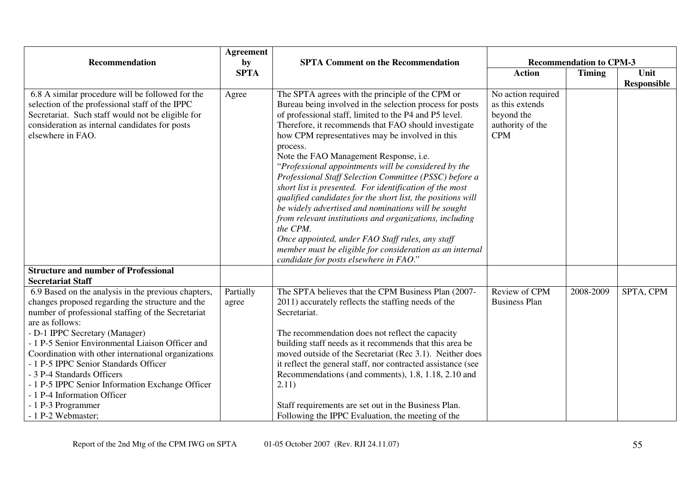| <b>Recommendation</b>                                                                                                                                                                                                                                                                                                                                                                                                                                                                                                               | <b>Agreement</b>   | <b>SPTA Comment on the Recommendation</b><br>by                                                                                                                                                                                                                                                                                                                                                                                                                                                                                                                                                                                                                                                                                                                                                                                                                             |                                                                                       | <b>Recommendation to CPM-3</b> |                    |  |
|-------------------------------------------------------------------------------------------------------------------------------------------------------------------------------------------------------------------------------------------------------------------------------------------------------------------------------------------------------------------------------------------------------------------------------------------------------------------------------------------------------------------------------------|--------------------|-----------------------------------------------------------------------------------------------------------------------------------------------------------------------------------------------------------------------------------------------------------------------------------------------------------------------------------------------------------------------------------------------------------------------------------------------------------------------------------------------------------------------------------------------------------------------------------------------------------------------------------------------------------------------------------------------------------------------------------------------------------------------------------------------------------------------------------------------------------------------------|---------------------------------------------------------------------------------------|--------------------------------|--------------------|--|
|                                                                                                                                                                                                                                                                                                                                                                                                                                                                                                                                     | <b>SPTA</b>        |                                                                                                                                                                                                                                                                                                                                                                                                                                                                                                                                                                                                                                                                                                                                                                                                                                                                             | <b>Action</b>                                                                         | <b>Timing</b>                  | Unit               |  |
|                                                                                                                                                                                                                                                                                                                                                                                                                                                                                                                                     |                    |                                                                                                                                                                                                                                                                                                                                                                                                                                                                                                                                                                                                                                                                                                                                                                                                                                                                             |                                                                                       |                                | <b>Responsible</b> |  |
| 6.8 A similar procedure will be followed for the<br>selection of the professional staff of the IPPC<br>Secretariat. Such staff would not be eligible for<br>consideration as internal candidates for posts<br>elsewhere in FAO.                                                                                                                                                                                                                                                                                                     | Agree              | The SPTA agrees with the principle of the CPM or<br>Bureau being involved in the selection process for posts<br>of professional staff, limited to the P4 and P5 level.<br>Therefore, it recommends that FAO should investigate<br>how CPM representatives may be involved in this<br>process.<br>Note the FAO Management Response, i.e.<br>"Professional appointments will be considered by the<br>Professional Staff Selection Committee (PSSC) before a<br>short list is presented. For identification of the most<br>qualified candidates for the short list, the positions will<br>be widely advertised and nominations will be sought<br>from relevant institutions and organizations, including<br>the CPM.<br>Once appointed, under FAO Staff rules, any staff<br>member must be eligible for consideration as an internal<br>candidate for posts elsewhere in FAO." | No action required<br>as this extends<br>beyond the<br>authority of the<br><b>CPM</b> |                                |                    |  |
| <b>Structure and number of Professional</b><br><b>Secretariat Staff</b>                                                                                                                                                                                                                                                                                                                                                                                                                                                             |                    |                                                                                                                                                                                                                                                                                                                                                                                                                                                                                                                                                                                                                                                                                                                                                                                                                                                                             |                                                                                       |                                |                    |  |
| 6.9 Based on the analysis in the previous chapters,<br>changes proposed regarding the structure and the<br>number of professional staffing of the Secretariat<br>are as follows:<br>- D-1 IPPC Secretary (Manager)<br>- 1 P-5 Senior Environmental Liaison Officer and<br>Coordination with other international organizations<br>- 1 P-5 IPPC Senior Standards Officer<br>- 3 P-4 Standards Officers<br>- 1 P-5 IPPC Senior Information Exchange Officer<br>- 1 P-4 Information Officer<br>- 1 P-3 Programmer<br>- 1 P-2 Webmaster; | Partially<br>agree | The SPTA believes that the CPM Business Plan (2007-<br>2011) accurately reflects the staffing needs of the<br>Secretariat.<br>The recommendation does not reflect the capacity<br>building staff needs as it recommends that this area be<br>moved outside of the Secretariat (Rec 3.1). Neither does<br>it reflect the general staff, nor contracted assistance (see<br>Recommendations (and comments), 1.8, 1.18, 2.10 and<br>2.11)<br>Staff requirements are set out in the Business Plan.<br>Following the IPPC Evaluation, the meeting of the                                                                                                                                                                                                                                                                                                                          | Review of CPM<br><b>Business Plan</b>                                                 | 2008-2009                      | SPTA, CPM          |  |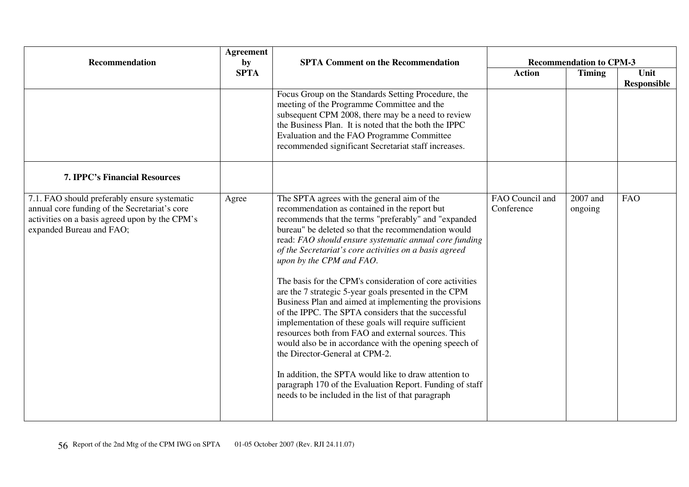| <b>Recommendation</b>                                                                                                                                                       | <b>Agreement</b><br><b>SPTA Comment on the Recommendation</b><br>by |                                                                                                                                                                                                                                                                                                                                                                                                                                                                                                                                                                                                                                                                                                                                                                                                                                                                                                                                                                                         | <b>Recommendation to CPM-3</b> |                     |                            |
|-----------------------------------------------------------------------------------------------------------------------------------------------------------------------------|---------------------------------------------------------------------|-----------------------------------------------------------------------------------------------------------------------------------------------------------------------------------------------------------------------------------------------------------------------------------------------------------------------------------------------------------------------------------------------------------------------------------------------------------------------------------------------------------------------------------------------------------------------------------------------------------------------------------------------------------------------------------------------------------------------------------------------------------------------------------------------------------------------------------------------------------------------------------------------------------------------------------------------------------------------------------------|--------------------------------|---------------------|----------------------------|
|                                                                                                                                                                             | <b>SPTA</b>                                                         |                                                                                                                                                                                                                                                                                                                                                                                                                                                                                                                                                                                                                                                                                                                                                                                                                                                                                                                                                                                         | <b>Action</b>                  | <b>Timing</b>       | Unit<br><b>Responsible</b> |
|                                                                                                                                                                             |                                                                     | Focus Group on the Standards Setting Procedure, the<br>meeting of the Programme Committee and the<br>subsequent CPM 2008, there may be a need to review<br>the Business Plan. It is noted that the both the IPPC<br>Evaluation and the FAO Programme Committee<br>recommended significant Secretariat staff increases.                                                                                                                                                                                                                                                                                                                                                                                                                                                                                                                                                                                                                                                                  |                                |                     |                            |
| <b>7. IPPC's Financial Resources</b>                                                                                                                                        |                                                                     |                                                                                                                                                                                                                                                                                                                                                                                                                                                                                                                                                                                                                                                                                                                                                                                                                                                                                                                                                                                         |                                |                     |                            |
| 7.1. FAO should preferably ensure systematic<br>annual core funding of the Secretariat's core<br>activities on a basis agreed upon by the CPM's<br>expanded Bureau and FAO; | Agree                                                               | The SPTA agrees with the general aim of the<br>recommendation as contained in the report but<br>recommends that the terms "preferably" and "expanded<br>bureau" be deleted so that the recommendation would<br>read: FAO should ensure systematic annual core funding<br>of the Secretariat's core activities on a basis agreed<br>upon by the CPM and FAO.<br>The basis for the CPM's consideration of core activities<br>are the 7 strategic 5-year goals presented in the CPM<br>Business Plan and aimed at implementing the provisions<br>of the IPPC. The SPTA considers that the successful<br>implementation of these goals will require sufficient<br>resources both from FAO and external sources. This<br>would also be in accordance with the opening speech of<br>the Director-General at CPM-2.<br>In addition, the SPTA would like to draw attention to<br>paragraph 170 of the Evaluation Report. Funding of staff<br>needs to be included in the list of that paragraph | FAO Council and<br>Conference  | 2007 and<br>ongoing | <b>FAO</b>                 |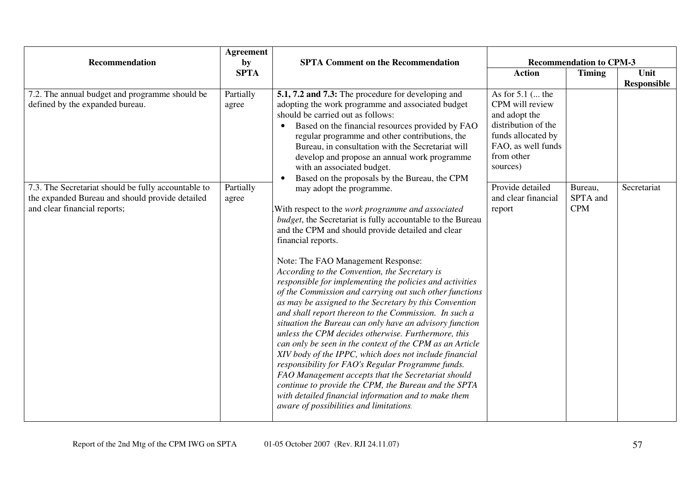| <b>Recommendation</b>                                                                                                                                                                                                       | <b>Agreement</b><br><b>SPTA Comment on the Recommendation</b><br>by |                                                                                                                                                                                                                                                                                                                                                                                                                                                                                                                                                                                                                                                                                                                                                                                                                                                                                                                                                                                                                                                                                                                                                                                                                                                                                                                                                                                                                                                                                                                                           |                                                                                                                                                                                                        | <b>Recommendation to CPM-3</b>    |                                   |  |
|-----------------------------------------------------------------------------------------------------------------------------------------------------------------------------------------------------------------------------|---------------------------------------------------------------------|-------------------------------------------------------------------------------------------------------------------------------------------------------------------------------------------------------------------------------------------------------------------------------------------------------------------------------------------------------------------------------------------------------------------------------------------------------------------------------------------------------------------------------------------------------------------------------------------------------------------------------------------------------------------------------------------------------------------------------------------------------------------------------------------------------------------------------------------------------------------------------------------------------------------------------------------------------------------------------------------------------------------------------------------------------------------------------------------------------------------------------------------------------------------------------------------------------------------------------------------------------------------------------------------------------------------------------------------------------------------------------------------------------------------------------------------------------------------------------------------------------------------------------------------|--------------------------------------------------------------------------------------------------------------------------------------------------------------------------------------------------------|-----------------------------------|-----------------------------------|--|
|                                                                                                                                                                                                                             | <b>SPTA</b>                                                         |                                                                                                                                                                                                                                                                                                                                                                                                                                                                                                                                                                                                                                                                                                                                                                                                                                                                                                                                                                                                                                                                                                                                                                                                                                                                                                                                                                                                                                                                                                                                           | <b>Action</b>                                                                                                                                                                                          | <b>Timing</b>                     | Unit                              |  |
| 7.2. The annual budget and programme should be<br>defined by the expanded bureau.<br>7.3. The Secretariat should be fully accountable to<br>the expanded Bureau and should provide detailed<br>and clear financial reports; | Partially<br>agree<br>Partially<br>agree                            | 5.1, 7.2 and 7.3: The procedure for developing and<br>adopting the work programme and associated budget<br>should be carried out as follows:<br>Based on the financial resources provided by FAO<br>$\bullet$<br>regular programme and other contributions, the<br>Bureau, in consultation with the Secretariat will<br>develop and propose an annual work programme<br>with an associated budget.<br>Based on the proposals by the Bureau, the CPM<br>$\bullet$<br>may adopt the programme.<br>With respect to the work programme and associated<br>budget, the Secretariat is fully accountable to the Bureau<br>and the CPM and should provide detailed and clear<br>financial reports.<br>Note: The FAO Management Response:<br>According to the Convention, the Secretary is<br>responsible for implementing the policies and activities<br>of the Commission and carrying out such other functions<br>as may be assigned to the Secretary by this Convention<br>and shall report thereon to the Commission. In such a<br>situation the Bureau can only have an advisory function<br>unless the CPM decides otherwise. Furthermore, this<br>can only be seen in the context of the CPM as an Article<br>XIV body of the IPPC, which does not include financial<br>responsibility for FAO's Regular Programme funds.<br>FAO Management accepts that the Secretariat should<br>continue to provide the CPM, the Bureau and the SPTA<br>with detailed financial information and to make them<br>aware of possibilities and limitations. | As for 5.1 ( the<br>CPM will review<br>and adopt the<br>distribution of the<br>funds allocated by<br>FAO, as well funds<br>from other<br>sources)<br>Provide detailed<br>and clear financial<br>report | Bureau,<br>SPTA and<br><b>CPM</b> | <b>Responsible</b><br>Secretariat |  |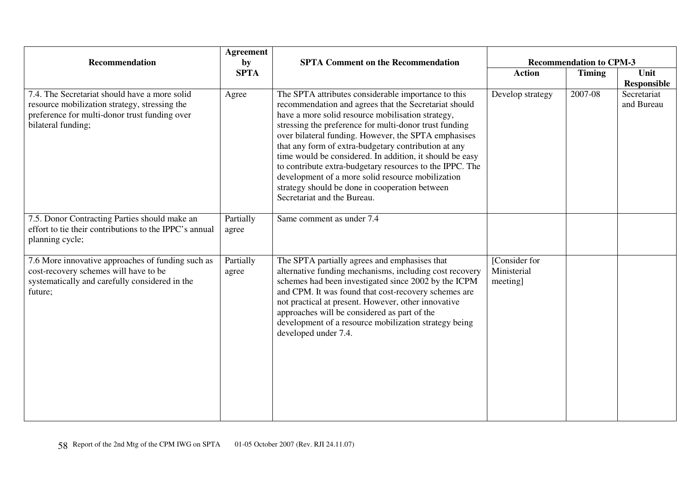| Recommendation                                                                                                                                                        | <b>Agreement</b><br><b>SPTA Comment on the Recommendation</b><br>by |                                                                                                                                                                                                                                                                                                                                                                                                                                                                                                                                                                                                           | <b>Recommendation to CPM-3</b>           |               |                                                 |
|-----------------------------------------------------------------------------------------------------------------------------------------------------------------------|---------------------------------------------------------------------|-----------------------------------------------------------------------------------------------------------------------------------------------------------------------------------------------------------------------------------------------------------------------------------------------------------------------------------------------------------------------------------------------------------------------------------------------------------------------------------------------------------------------------------------------------------------------------------------------------------|------------------------------------------|---------------|-------------------------------------------------|
|                                                                                                                                                                       | <b>SPTA</b>                                                         |                                                                                                                                                                                                                                                                                                                                                                                                                                                                                                                                                                                                           | <b>Action</b>                            | <b>Timing</b> | Unit                                            |
| 7.4. The Secretariat should have a more solid<br>resource mobilization strategy, stressing the<br>preference for multi-donor trust funding over<br>bilateral funding; | Agree                                                               | The SPTA attributes considerable importance to this<br>recommendation and agrees that the Secretariat should<br>have a more solid resource mobilisation strategy,<br>stressing the preference for multi-donor trust funding<br>over bilateral funding. However, the SPTA emphasises<br>that any form of extra-budgetary contribution at any<br>time would be considered. In addition, it should be easy<br>to contribute extra-budgetary resources to the IPPC. The<br>development of a more solid resource mobilization<br>strategy should be done in cooperation between<br>Secretariat and the Bureau. | Develop strategy                         | 2007-08       | <b>Responsible</b><br>Secretariat<br>and Bureau |
| 7.5. Donor Contracting Parties should make an<br>effort to tie their contributions to the IPPC's annual<br>planning cycle;                                            | Partially<br>agree                                                  | Same comment as under 7.4                                                                                                                                                                                                                                                                                                                                                                                                                                                                                                                                                                                 |                                          |               |                                                 |
| 7.6 More innovative approaches of funding such as<br>cost-recovery schemes will have to be<br>systematically and carefully considered in the<br>future;               | Partially<br>agree                                                  | The SPTA partially agrees and emphasises that<br>alternative funding mechanisms, including cost recovery<br>schemes had been investigated since 2002 by the ICPM<br>and CPM. It was found that cost-recovery schemes are<br>not practical at present. However, other innovative<br>approaches will be considered as part of the<br>development of a resource mobilization strategy being<br>developed under 7.4.                                                                                                                                                                                          | [Consider for<br>Ministerial<br>meeting] |               |                                                 |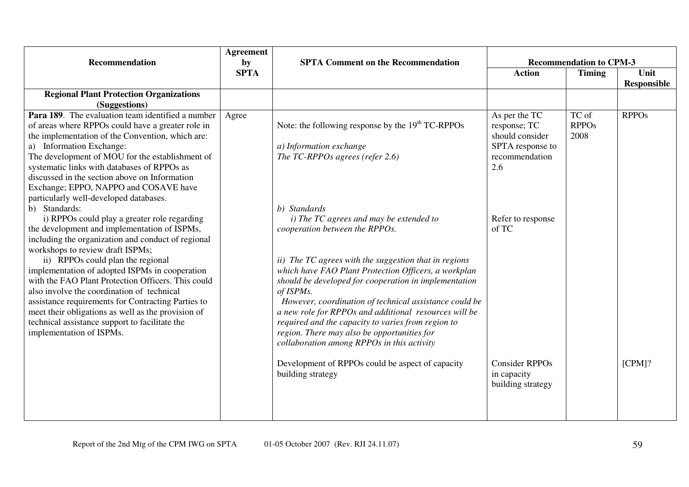| Recommendation                                                                                                                                                                                                                                                                                                                                                                                                                                                                                                                                                              | <b>Agreement</b><br>by | <b>SPTA Comment on the Recommendation</b>                                                                                                                                                                                                                                                                                                                                                                                                                                                                                              | <b>Recommendation to CPM-3</b>                                                                |                               |                            |  |
|-----------------------------------------------------------------------------------------------------------------------------------------------------------------------------------------------------------------------------------------------------------------------------------------------------------------------------------------------------------------------------------------------------------------------------------------------------------------------------------------------------------------------------------------------------------------------------|------------------------|----------------------------------------------------------------------------------------------------------------------------------------------------------------------------------------------------------------------------------------------------------------------------------------------------------------------------------------------------------------------------------------------------------------------------------------------------------------------------------------------------------------------------------------|-----------------------------------------------------------------------------------------------|-------------------------------|----------------------------|--|
|                                                                                                                                                                                                                                                                                                                                                                                                                                                                                                                                                                             | <b>SPTA</b>            |                                                                                                                                                                                                                                                                                                                                                                                                                                                                                                                                        | <b>Action</b>                                                                                 | Timing                        | Unit<br><b>Responsible</b> |  |
| <b>Regional Plant Protection Organizations</b><br>(Suggestions)                                                                                                                                                                                                                                                                                                                                                                                                                                                                                                             |                        |                                                                                                                                                                                                                                                                                                                                                                                                                                                                                                                                        |                                                                                               |                               |                            |  |
| Para 189. The evaluation team identified a number<br>of areas where RPPOs could have a greater role in<br>the implementation of the Convention, which are:<br>a) Information Exchange:<br>The development of MOU for the establishment of<br>systematic links with databases of RPPOs as<br>discussed in the section above on Information<br>Exchange; EPPO, NAPPO and COSAVE have<br>particularly well-developed databases.<br>b) Standards:                                                                                                                               | Agree                  | Note: the following response by the $19th TC-RPPOs$<br>a) Information exchange<br>The TC-RPPOs agrees (refer 2.6)<br>b) Standards                                                                                                                                                                                                                                                                                                                                                                                                      | As per the TC<br>response; TC<br>should consider<br>SPTA response to<br>recommendation<br>2.6 | TC of<br><b>RPPOs</b><br>2008 | <b>RPPOs</b>               |  |
| i) RPPOs could play a greater role regarding<br>the development and implementation of ISPMs,<br>including the organization and conduct of regional<br>workshops to review draft ISPMs;<br>ii) RPPOs could plan the regional<br>implementation of adopted ISPMs in cooperation<br>with the FAO Plant Protection Officers. This could<br>also involve the coordination of technical<br>assistance requirements for Contracting Parties to<br>meet their obligations as well as the provision of<br>technical assistance support to facilitate the<br>implementation of ISPMs. |                        | i) The TC agrees and may be extended to<br>cooperation between the RPPOs.<br>ii) The TC agrees with the suggestion that in regions<br>which have FAO Plant Protection Officers, a workplan<br>should be developed for cooperation in implementation<br>of ISPMs.<br>However, coordination of technical assistance could be<br>a new role for RPPOs and additional resources will be<br>required and the capacity to varies from region to<br>region. There may also be opportunities for<br>collaboration among RPPOs in this activity | Refer to response<br>of TC                                                                    |                               |                            |  |
|                                                                                                                                                                                                                                                                                                                                                                                                                                                                                                                                                                             |                        | Development of RPPOs could be aspect of capacity<br>building strategy                                                                                                                                                                                                                                                                                                                                                                                                                                                                  | <b>Consider RPPOs</b><br>in capacity<br>building strategy                                     |                               | $[CPM]$ ?                  |  |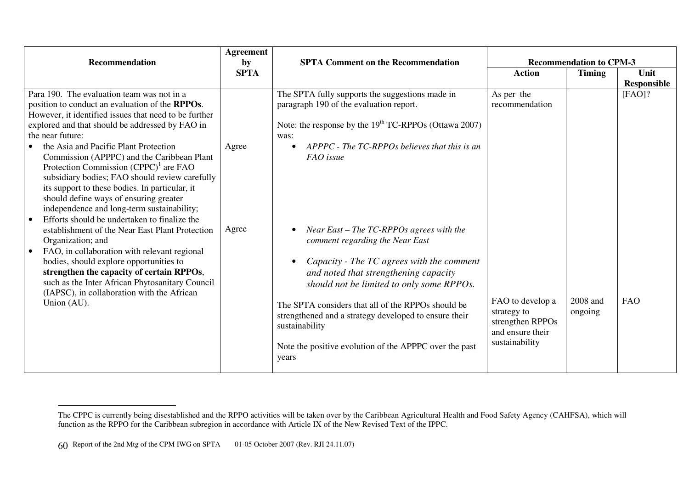| <b>Recommendation</b>                                                                                                                                                                                                                                                                                                                                                                                                                                                                                                                                                                                                                                                                                                                                                                                                                                                                                                                                 | <b>Agreement</b><br>by | <b>SPTA Comment on the Recommendation</b>                                                                                                                                                                                                                                                                                                                                                                                                                                                                                                                                                                                                           |                                                                                                                           | <b>Recommendation to CPM-3</b> |                            |
|-------------------------------------------------------------------------------------------------------------------------------------------------------------------------------------------------------------------------------------------------------------------------------------------------------------------------------------------------------------------------------------------------------------------------------------------------------------------------------------------------------------------------------------------------------------------------------------------------------------------------------------------------------------------------------------------------------------------------------------------------------------------------------------------------------------------------------------------------------------------------------------------------------------------------------------------------------|------------------------|-----------------------------------------------------------------------------------------------------------------------------------------------------------------------------------------------------------------------------------------------------------------------------------------------------------------------------------------------------------------------------------------------------------------------------------------------------------------------------------------------------------------------------------------------------------------------------------------------------------------------------------------------------|---------------------------------------------------------------------------------------------------------------------------|--------------------------------|----------------------------|
|                                                                                                                                                                                                                                                                                                                                                                                                                                                                                                                                                                                                                                                                                                                                                                                                                                                                                                                                                       | <b>SPTA</b>            |                                                                                                                                                                                                                                                                                                                                                                                                                                                                                                                                                                                                                                                     | <b>Action</b>                                                                                                             | <b>Timing</b>                  | Unit<br><b>Responsible</b> |
| Para 190. The evaluation team was not in a<br>position to conduct an evaluation of the RPPOs.<br>However, it identified issues that need to be further<br>explored and that should be addressed by FAO in<br>the near future:<br>the Asia and Pacific Plant Protection<br>Commission (APPPC) and the Caribbean Plant<br>Protection Commission (CPPC) <sup>1</sup> are FAO<br>subsidiary bodies; FAO should review carefully<br>its support to these bodies. In particular, it<br>should define ways of ensuring greater<br>independence and long-term sustainability;<br>Efforts should be undertaken to finalize the<br>establishment of the Near East Plant Protection<br>Organization; and<br>FAO, in collaboration with relevant regional<br>bodies, should explore opportunities to<br>strengthen the capacity of certain RPPOs,<br>such as the Inter African Phytosanitary Council<br>(IAPSC), in collaboration with the African<br>Union (AU). | Agree<br>Agree         | The SPTA fully supports the suggestions made in<br>paragraph 190 of the evaluation report.<br>Note: the response by the $19th TC-RPPOs$ (Ottawa 2007)<br>was:<br>$APPPC$ - The TC-RPPOs believes that this is an<br>FAO issue<br>Near East – The TC-RPPOs agrees with the<br>comment regarding the Near East<br>Capacity - The TC agrees with the comment<br>and noted that strengthening capacity<br>should not be limited to only some RPPOs.<br>The SPTA considers that all of the RPPOs should be<br>strengthened and a strategy developed to ensure their<br>sustainability<br>Note the positive evolution of the APPPC over the past<br>years | As per the<br>recommendation<br>FAO to develop a<br>strategy to<br>strengthen RPPOs<br>and ensure their<br>sustainability | 2008 and<br>ongoing            | $[FAO]$ ?<br><b>FAO</b>    |

The CPPC is currently being disestablished and the RPPO activities will be taken over by the Caribbean Agricultural Health and Food Safety Agency (CAHFSA), which will<br>function as the RPPO for the Caribbean subregion in acc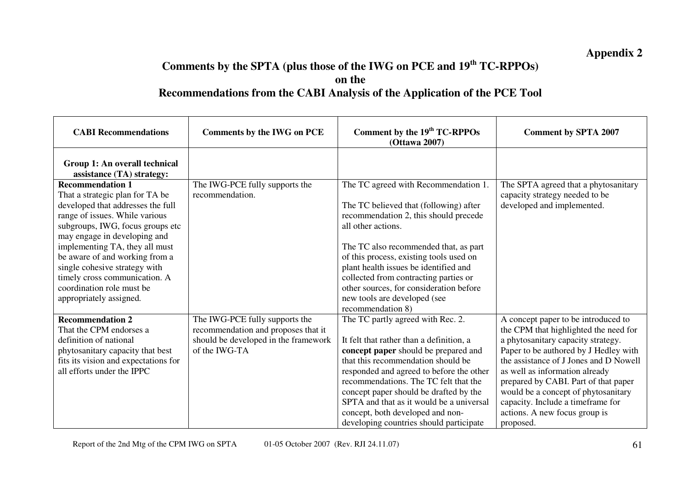## **Appendix 2**

## **Comments by the SPTA (plus those of the IWG on PCE and 19th TC-RPPOs) on the Recommendations from the CABI Analysis of the Application of the PCE Tool**

| <b>CABI Recommendations</b>                                                                                                                                                                                                                                                                                                                                                                         | Comments by the IWG on PCE                                                                                                     | Comment by the 19 <sup>th</sup> TC-RPPOs<br>(Ottawa 2007)                                                                                                                                                                                                                                                                                                                                                             | <b>Comment by SPTA 2007</b>                                                                                                                                                                                                                                                                                                                                                                               |
|-----------------------------------------------------------------------------------------------------------------------------------------------------------------------------------------------------------------------------------------------------------------------------------------------------------------------------------------------------------------------------------------------------|--------------------------------------------------------------------------------------------------------------------------------|-----------------------------------------------------------------------------------------------------------------------------------------------------------------------------------------------------------------------------------------------------------------------------------------------------------------------------------------------------------------------------------------------------------------------|-----------------------------------------------------------------------------------------------------------------------------------------------------------------------------------------------------------------------------------------------------------------------------------------------------------------------------------------------------------------------------------------------------------|
| Group 1: An overall technical<br>assistance (TA) strategy:                                                                                                                                                                                                                                                                                                                                          |                                                                                                                                |                                                                                                                                                                                                                                                                                                                                                                                                                       |                                                                                                                                                                                                                                                                                                                                                                                                           |
| <b>Recommendation 1</b><br>That a strategic plan for TA be<br>developed that addresses the full<br>range of issues. While various<br>subgroups, IWG, focus groups etc<br>may engage in developing and<br>implementing TA, they all must<br>be aware of and working from a<br>single cohesive strategy with<br>timely cross communication. A<br>coordination role must be<br>appropriately assigned. | The IWG-PCE fully supports the<br>recommendation.                                                                              | The TC agreed with Recommendation 1.<br>The TC believed that (following) after<br>recommendation 2, this should precede<br>all other actions.<br>The TC also recommended that, as part<br>of this process, existing tools used on<br>plant health issues be identified and<br>collected from contracting parties or<br>other sources, for consideration before<br>new tools are developed (see<br>recommendation 8)   | The SPTA agreed that a phytosanitary<br>capacity strategy needed to be<br>developed and implemented.                                                                                                                                                                                                                                                                                                      |
| <b>Recommendation 2</b><br>That the CPM endorses a<br>definition of national<br>phytosanitary capacity that best<br>fits its vision and expectations for<br>all efforts under the IPPC                                                                                                                                                                                                              | The IWG-PCE fully supports the<br>recommendation and proposes that it<br>should be developed in the framework<br>of the IWG-TA | The TC partly agreed with Rec. 2.<br>It felt that rather than a definition, a<br>concept paper should be prepared and<br>that this recommendation should be<br>responded and agreed to before the other<br>recommendations. The TC felt that the<br>concept paper should be drafted by the<br>SPTA and that as it would be a universal<br>concept, both developed and non-<br>developing countries should participate | A concept paper to be introduced to<br>the CPM that highlighted the need for<br>a phytosanitary capacity strategy.<br>Paper to be authored by J Hedley with<br>the assistance of J Jones and D Nowell<br>as well as information already<br>prepared by CABI. Part of that paper<br>would be a concept of phytosanitary<br>capacity. Include a timeframe for<br>actions. A new focus group is<br>proposed. |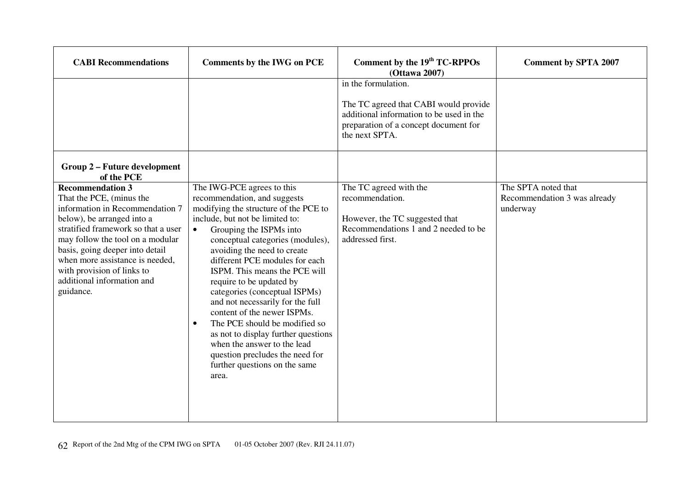| <b>CABI Recommendations</b>                                                                                                                                                                                                                                                                                                                    | <b>Comments by the IWG on PCE</b>                                                                                                                                                                                                                                                                                                                                                                                                                                                                                                                                                                                                                     | Comment by the 19 <sup>th</sup> TC-RPPOs<br>(Ottawa 2007)                                                                                                           | <b>Comment by SPTA 2007</b>                                     |
|------------------------------------------------------------------------------------------------------------------------------------------------------------------------------------------------------------------------------------------------------------------------------------------------------------------------------------------------|-------------------------------------------------------------------------------------------------------------------------------------------------------------------------------------------------------------------------------------------------------------------------------------------------------------------------------------------------------------------------------------------------------------------------------------------------------------------------------------------------------------------------------------------------------------------------------------------------------------------------------------------------------|---------------------------------------------------------------------------------------------------------------------------------------------------------------------|-----------------------------------------------------------------|
|                                                                                                                                                                                                                                                                                                                                                |                                                                                                                                                                                                                                                                                                                                                                                                                                                                                                                                                                                                                                                       | in the formulation.<br>The TC agreed that CABI would provide<br>additional information to be used in the<br>preparation of a concept document for<br>the next SPTA. |                                                                 |
| Group 2 – Future development<br>of the PCE                                                                                                                                                                                                                                                                                                     |                                                                                                                                                                                                                                                                                                                                                                                                                                                                                                                                                                                                                                                       |                                                                                                                                                                     |                                                                 |
| <b>Recommendation 3</b><br>That the PCE, (minus the<br>information in Recommendation 7<br>below), be arranged into a<br>stratified framework so that a user<br>may follow the tool on a modular<br>basis, going deeper into detail<br>when more assistance is needed,<br>with provision of links to<br>additional information and<br>guidance. | The IWG-PCE agrees to this<br>recommendation, and suggests<br>modifying the structure of the PCE to<br>include, but not be limited to:<br>Grouping the ISPMs into<br>$\bullet$<br>conceptual categories (modules),<br>avoiding the need to create<br>different PCE modules for each<br>ISPM. This means the PCE will<br>require to be updated by<br>categories (conceptual ISPMs)<br>and not necessarily for the full<br>content of the newer ISPMs.<br>The PCE should be modified so<br>$\bullet$<br>as not to display further questions<br>when the answer to the lead<br>question precludes the need for<br>further questions on the same<br>area. | The TC agreed with the<br>recommendation.<br>However, the TC suggested that<br>Recommendations 1 and 2 needed to be<br>addressed first.                             | The SPTA noted that<br>Recommendation 3 was already<br>underway |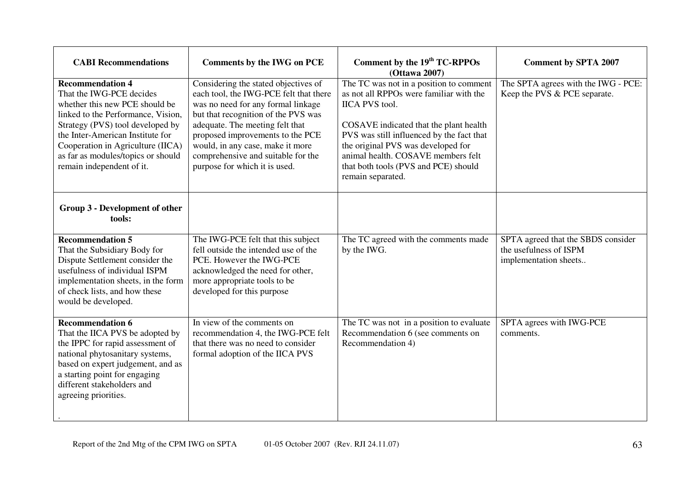| <b>CABI Recommendations</b>                                                                                                                                                                                                                                                                                 | <b>Comments by the IWG on PCE</b>                                                                                                                                                                                                                                                                                                             | Comment by the 19 <sup>th</sup> TC-RPPOs<br>(Ottawa 2007)                                                                                                                                                                                                                                                                                   | <b>Comment by SPTA 2007</b>                                                           |
|-------------------------------------------------------------------------------------------------------------------------------------------------------------------------------------------------------------------------------------------------------------------------------------------------------------|-----------------------------------------------------------------------------------------------------------------------------------------------------------------------------------------------------------------------------------------------------------------------------------------------------------------------------------------------|---------------------------------------------------------------------------------------------------------------------------------------------------------------------------------------------------------------------------------------------------------------------------------------------------------------------------------------------|---------------------------------------------------------------------------------------|
| <b>Recommendation 4</b><br>That the IWG-PCE decides<br>whether this new PCE should be<br>linked to the Performance, Vision,<br>Strategy (PVS) tool developed by<br>the Inter-American Institute for<br>Cooperation in Agriculture (IICA)<br>as far as modules/topics or should<br>remain independent of it. | Considering the stated objectives of<br>each tool, the IWG-PCE felt that there<br>was no need for any formal linkage<br>but that recognition of the PVS was<br>adequate. The meeting felt that<br>proposed improvements to the PCE<br>would, in any case, make it more<br>comprehensive and suitable for the<br>purpose for which it is used. | The TC was not in a position to comment<br>as not all RPPOs were familiar with the<br><b>IICA PVS tool.</b><br>COSAVE indicated that the plant health<br>PVS was still influenced by the fact that<br>the original PVS was developed for<br>animal health. COSAVE members felt<br>that both tools (PVS and PCE) should<br>remain separated. | The SPTA agrees with the IWG - PCE:<br>Keep the PVS & PCE separate.                   |
| Group 3 - Development of other<br>tools:                                                                                                                                                                                                                                                                    |                                                                                                                                                                                                                                                                                                                                               |                                                                                                                                                                                                                                                                                                                                             |                                                                                       |
| <b>Recommendation 5</b><br>That the Subsidiary Body for<br>Dispute Settlement consider the<br>usefulness of individual ISPM<br>implementation sheets, in the form<br>of check lists, and how these<br>would be developed.                                                                                   | The IWG-PCE felt that this subject<br>fell outside the intended use of the<br>PCE. However the IWG-PCE<br>acknowledged the need for other,<br>more appropriate tools to be<br>developed for this purpose                                                                                                                                      | The TC agreed with the comments made<br>by the IWG.                                                                                                                                                                                                                                                                                         | SPTA agreed that the SBDS consider<br>the usefulness of ISPM<br>implementation sheets |
| <b>Recommendation 6</b><br>That the IICA PVS be adopted by<br>the IPPC for rapid assessment of<br>national phytosanitary systems,<br>based on expert judgement, and as<br>a starting point for engaging<br>different stakeholders and<br>agreeing priorities.                                               | In view of the comments on<br>recommendation 4, the IWG-PCE felt<br>that there was no need to consider<br>formal adoption of the IICA PVS                                                                                                                                                                                                     | The TC was not in a position to evaluate<br>Recommendation 6 (see comments on<br>Recommendation 4)                                                                                                                                                                                                                                          | SPTA agrees with IWG-PCE<br>comments.                                                 |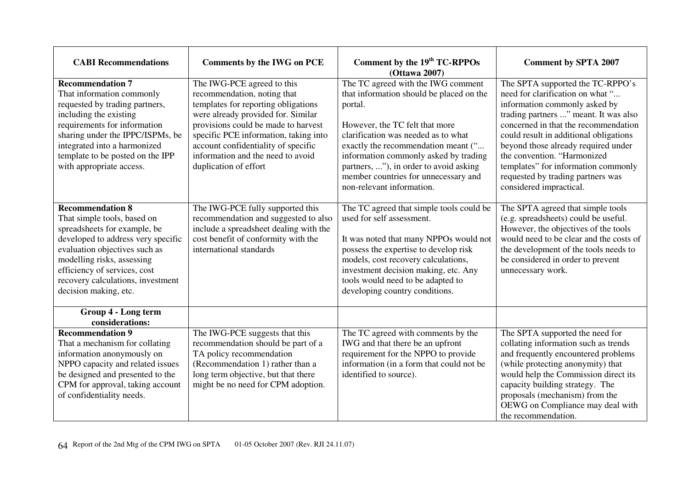| <b>CABI Recommendations</b>                                                                                                                                                                                                                                                               | Comments by the IWG on PCE                                                                                                                                                                                                                                                                                                  | Comment by the 19 <sup>th</sup> TC-RPPOs<br>(Ottawa 2007)                                                                                                                                                                                                                                                                                                         | <b>Comment by SPTA 2007</b>                                                                                                                                                                                                                                                                                                                                                                                   |
|-------------------------------------------------------------------------------------------------------------------------------------------------------------------------------------------------------------------------------------------------------------------------------------------|-----------------------------------------------------------------------------------------------------------------------------------------------------------------------------------------------------------------------------------------------------------------------------------------------------------------------------|-------------------------------------------------------------------------------------------------------------------------------------------------------------------------------------------------------------------------------------------------------------------------------------------------------------------------------------------------------------------|---------------------------------------------------------------------------------------------------------------------------------------------------------------------------------------------------------------------------------------------------------------------------------------------------------------------------------------------------------------------------------------------------------------|
| <b>Recommendation 7</b><br>That information commonly<br>requested by trading partners,<br>including the existing<br>requirements for information<br>sharing under the IPPC/ISPMs, be<br>integrated into a harmonized<br>template to be posted on the IPP<br>with appropriate access.      | The IWG-PCE agreed to this<br>recommendation, noting that<br>templates for reporting obligations<br>were already provided for. Similar<br>provisions could be made to harvest<br>specific PCE information, taking into<br>account confidentiality of specific<br>information and the need to avoid<br>duplication of effort | The TC agreed with the IWG comment<br>that information should be placed on the<br>portal.<br>However, the TC felt that more<br>clarification was needed as to what<br>exactly the recommendation meant ("<br>information commonly asked by trading<br>partners, "), in order to avoid asking<br>member countries for unnecessary and<br>non-relevant information. | The SPTA supported the TC-RPPO's<br>need for clarification on what "<br>information commonly asked by<br>trading partners " meant. It was also<br>concerned in that the recommendation<br>could result in additional obligations<br>beyond those already required under<br>the convention. "Harmonized<br>templates" for information commonly<br>requested by trading partners was<br>considered impractical. |
| <b>Recommendation 8</b><br>That simple tools, based on<br>spreadsheets for example, be<br>developed to address very specific<br>evaluation objectives such as<br>modelling risks, assessing<br>efficiency of services, cost<br>recovery calculations, investment<br>decision making, etc. | The IWG-PCE fully supported this<br>recommendation and suggested to also<br>include a spreadsheet dealing with the<br>cost benefit of conformity with the<br>international standards                                                                                                                                        | The TC agreed that simple tools could be<br>used for self assessment.<br>It was noted that many NPPOs would not<br>possess the expertise to develop risk<br>models, cost recovery calculations,<br>investment decision making, etc. Any<br>tools would need to be adapted to<br>developing country conditions.                                                    | The SPTA agreed that simple tools<br>(e.g. spreadsheets) could be useful.<br>However, the objectives of the tools<br>would need to be clear and the costs of<br>the development of the tools needs to<br>be considered in order to prevent<br>unnecessary work.                                                                                                                                               |
| Group 4 - Long term<br>considerations:                                                                                                                                                                                                                                                    |                                                                                                                                                                                                                                                                                                                             |                                                                                                                                                                                                                                                                                                                                                                   |                                                                                                                                                                                                                                                                                                                                                                                                               |
| <b>Recommendation 9</b><br>That a mechanism for collating<br>information anonymously on<br>NPPO capacity and related issues<br>be designed and presented to the<br>CPM for approval, taking account<br>of confidentiality needs.                                                          | The IWG-PCE suggests that this<br>recommendation should be part of a<br>TA policy recommendation<br>(Recommendation 1) rather than a<br>long term objective, but that there<br>might be no need for CPM adoption.                                                                                                           | The TC agreed with comments by the<br>IWG and that there be an upfront<br>requirement for the NPPO to provide<br>information (in a form that could not be<br>identified to source).                                                                                                                                                                               | The SPTA supported the need for<br>collating information such as trends<br>and frequently encountered problems<br>(while protecting anonymity) that<br>would help the Commission direct its<br>capacity building strategy. The<br>proposals (mechanism) from the<br>OEWG on Compliance may deal with<br>the recommendation.                                                                                   |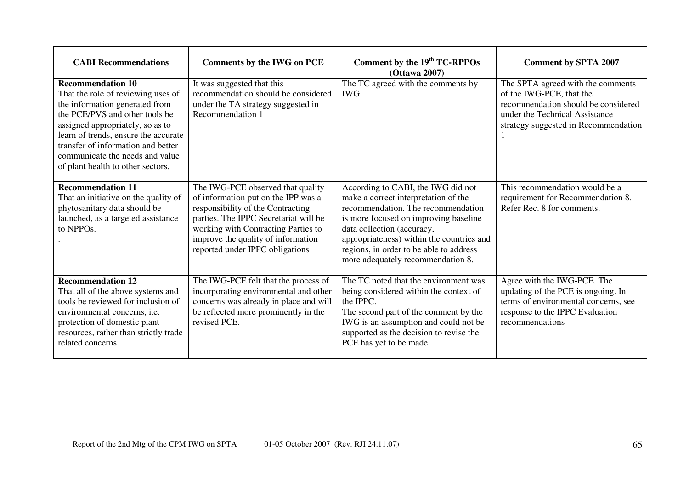| <b>CABI Recommendations</b>                                                                                                                                                                                                                                                                                                  | Comments by the IWG on PCE                                                                                                                                                                                                                                             | Comment by the 19 <sup>th</sup> TC-RPPOs<br>(Ottawa 2007)                                                                                                                                                                                                                                                            | <b>Comment by SPTA 2007</b>                                                                                                                                                    |
|------------------------------------------------------------------------------------------------------------------------------------------------------------------------------------------------------------------------------------------------------------------------------------------------------------------------------|------------------------------------------------------------------------------------------------------------------------------------------------------------------------------------------------------------------------------------------------------------------------|----------------------------------------------------------------------------------------------------------------------------------------------------------------------------------------------------------------------------------------------------------------------------------------------------------------------|--------------------------------------------------------------------------------------------------------------------------------------------------------------------------------|
| <b>Recommendation 10</b><br>That the role of reviewing uses of<br>the information generated from<br>the PCE/PVS and other tools be<br>assigned appropriately, so as to<br>learn of trends, ensure the accurate<br>transfer of information and better<br>communicate the needs and value<br>of plant health to other sectors. | It was suggested that this<br>recommendation should be considered<br>under the TA strategy suggested in<br>Recommendation 1                                                                                                                                            | The TC agreed with the comments by<br><b>IWG</b>                                                                                                                                                                                                                                                                     | The SPTA agreed with the comments<br>of the IWG-PCE, that the<br>recommendation should be considered<br>under the Technical Assistance<br>strategy suggested in Recommendation |
| <b>Recommendation 11</b><br>That an initiative on the quality of<br>phytosanitary data should be<br>launched, as a targeted assistance<br>to NPPOs.                                                                                                                                                                          | The IWG-PCE observed that quality<br>of information put on the IPP was a<br>responsibility of the Contracting<br>parties. The IPPC Secretariat will be<br>working with Contracting Parties to<br>improve the quality of information<br>reported under IPPC obligations | According to CABI, the IWG did not<br>make a correct interpretation of the<br>recommendation. The recommendation<br>is more focused on improving baseline<br>data collection (accuracy,<br>appropriateness) within the countries and<br>regions, in order to be able to address<br>more adequately recommendation 8. | This recommendation would be a<br>requirement for Recommendation 8.<br>Refer Rec. 8 for comments.                                                                              |
| <b>Recommendation 12</b><br>That all of the above systems and<br>tools be reviewed for inclusion of<br>environmental concerns, i.e.<br>protection of domestic plant<br>resources, rather than strictly trade<br>related concerns.                                                                                            | The IWG-PCE felt that the process of<br>incorporating environmental and other<br>concerns was already in place and will<br>be reflected more prominently in the<br>revised PCE.                                                                                        | The TC noted that the environment was<br>being considered within the context of<br>the IPPC.<br>The second part of the comment by the<br>IWG is an assumption and could not be<br>supported as the decision to revise the<br>PCE has yet to be made.                                                                 | Agree with the IWG-PCE. The<br>updating of the PCE is ongoing. In<br>terms of environmental concerns, see<br>response to the IPPC Evaluation<br>recommendations                |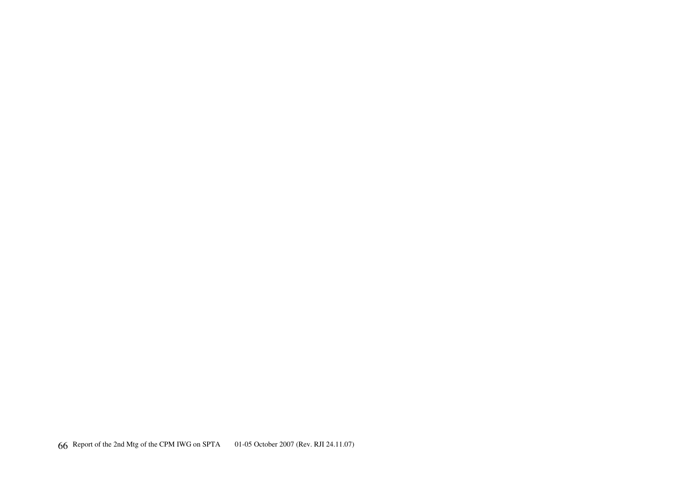Report of the 2nd Mtg of the CPM IWG on SPTA  $\qquad$  01-05 October 2007 (Rev. RJI 24.11.07)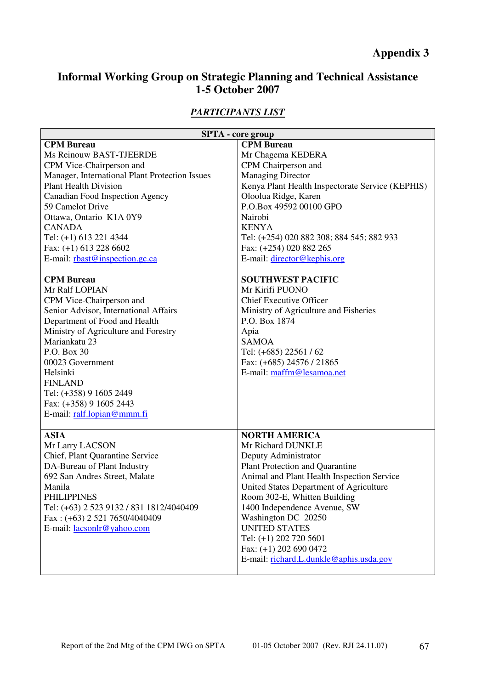## **Appendix 3**

## **Informal Working Group on Strategic Planning and Technical Assistance 1-5 October 2007**

## *PARTICIPANTS LIST*

| <b>SPTA</b> - core group                       |                                                  |  |
|------------------------------------------------|--------------------------------------------------|--|
| <b>CPM Bureau</b>                              | <b>CPM Bureau</b>                                |  |
| Ms Reinouw BAST-TJEERDE                        | Mr Chagema KEDERA                                |  |
| CPM Vice-Chairperson and                       | CPM Chairperson and                              |  |
| Manager, International Plant Protection Issues | <b>Managing Director</b>                         |  |
| <b>Plant Health Division</b>                   | Kenya Plant Health Inspectorate Service (KEPHIS) |  |
| <b>Canadian Food Inspection Agency</b>         | Oloolua Ridge, Karen                             |  |
| 59 Camelot Drive                               | P.O.Box 49592 00100 GPO                          |  |
| Ottawa, Ontario K1A 0Y9                        | Nairobi                                          |  |
| <b>CANADA</b>                                  | <b>KENYA</b>                                     |  |
| Tel: (+1) 613 221 4344                         | Tel: (+254) 020 882 308; 884 545; 882 933        |  |
| Fax: (+1) 613 228 6602                         | Fax: (+254) 020 882 265                          |  |
| E-mail: rbast@inspection.gc.ca                 | E-mail: director@kephis.org                      |  |
| <b>CPM Bureau</b>                              | <b>SOUTHWEST PACIFIC</b>                         |  |
| Mr Ralf LOPIAN                                 | Mr Kirifi PUONO                                  |  |
| CPM Vice-Chairperson and                       | <b>Chief Executive Officer</b>                   |  |
| Senior Advisor, International Affairs          | Ministry of Agriculture and Fisheries            |  |
| Department of Food and Health                  | P.O. Box 1874                                    |  |
| Ministry of Agriculture and Forestry           | Apia                                             |  |
| Mariankatu 23                                  | <b>SAMOA</b>                                     |  |
| P.O. Box 30                                    | Tel: (+685) 22561 / 62                           |  |
| 00023 Government                               | Fax: (+685) 24576 / 21865                        |  |
| Helsinki                                       | E-mail: maffm@lesamoa.net                        |  |
| <b>FINLAND</b>                                 |                                                  |  |
| Tel: (+358) 9 1605 2449                        |                                                  |  |
| Fax: (+358) 9 1605 2443                        |                                                  |  |
| E-mail: ralf.lopian@mmm.fi                     |                                                  |  |
| <b>ASIA</b>                                    | <b>NORTH AMERICA</b>                             |  |
| Mr Larry LACSON                                | Mr Richard DUNKLE                                |  |
| Chief, Plant Quarantine Service                | Deputy Administrator                             |  |
| DA-Bureau of Plant Industry                    | Plant Protection and Quarantine                  |  |
| 692 San Andres Street, Malate                  | Animal and Plant Health Inspection Service       |  |
| Manila                                         | United States Department of Agriculture          |  |
| <b>PHILIPPINES</b>                             | Room 302-E, Whitten Building                     |  |
| Tel: (+63) 2 523 9132 / 831 1812/4040409       | 1400 Independence Avenue, SW                     |  |
| Fax: (+63) 2 521 7650/4040409                  | Washington DC 20250                              |  |
| E-mail: lacsonlr@yahoo.com                     | <b>UNITED STATES</b>                             |  |
|                                                | Tel: (+1) 202 720 5601                           |  |
|                                                | Fax: $(+1)$ 202 690 0472                         |  |
|                                                | E-mail: richard.L.dunkle@aphis.usda.gov          |  |
|                                                |                                                  |  |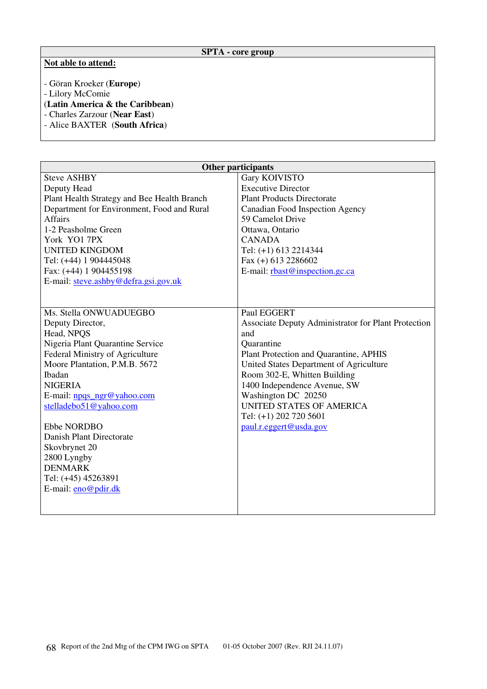## **Not able to attend:**

- Göran Kroeker (**Europe**)
- Lilory McComie

## (**Latin America & the Caribbean**)

- Charles Zarzour (**Near East**)

- Alice BAXTER (**South Africa**)

| Other participants                          |                                                     |  |
|---------------------------------------------|-----------------------------------------------------|--|
| <b>Steve ASHBY</b>                          | <b>Gary KOIVISTO</b>                                |  |
| Deputy Head                                 | <b>Executive Director</b>                           |  |
| Plant Health Strategy and Bee Health Branch | <b>Plant Products Directorate</b>                   |  |
| Department for Environment, Food and Rural  | Canadian Food Inspection Agency                     |  |
| <b>Affairs</b>                              | 59 Camelot Drive                                    |  |
| 1-2 Peasholme Green                         | Ottawa, Ontario                                     |  |
| York YO1 7PX                                | <b>CANADA</b>                                       |  |
| <b>UNITED KINGDOM</b>                       | Tel: (+1) 613 2214344                               |  |
| Tel: (+44) 1 904445048                      | Fax $(+) 613 2286602$                               |  |
| Fax: (+44) 1 904455198                      | E-mail: rbast@inspection.gc.ca                      |  |
| E-mail: steve.ashby@defra.gsi.gov.uk        |                                                     |  |
|                                             |                                                     |  |
|                                             |                                                     |  |
| Ms. Stella ONWUADUEGBO                      | Paul EGGERT                                         |  |
| Deputy Director,                            | Associate Deputy Administrator for Plant Protection |  |
| Head, NPQS                                  | and                                                 |  |
| Nigeria Plant Quarantine Service            | Quarantine                                          |  |
| Federal Ministry of Agriculture             | Plant Protection and Quarantine, APHIS              |  |
| Moore Plantation, P.M.B. 5672               | United States Department of Agriculture             |  |
| Ibadan                                      | Room 302-E, Whitten Building                        |  |
| <b>NIGERIA</b>                              | 1400 Independence Avenue, SW                        |  |
| E-mail: npqs_ngr@yahoo.com                  | Washington DC 20250                                 |  |
| stelladebo51@yahoo.com                      | <b>UNITED STATES OF AMERICA</b>                     |  |
|                                             | Tel: (+1) 202 720 5601                              |  |
| Ebbe NORDBO                                 | paul.r.eggert@usda.gov                              |  |
| Danish Plant Directorate                    |                                                     |  |
| Skovbrynet 20                               |                                                     |  |
| 2800 Lyngby                                 |                                                     |  |
| <b>DENMARK</b>                              |                                                     |  |
| Tel: (+45) 45263891                         |                                                     |  |
| E-mail: eno@pdir.dk                         |                                                     |  |
|                                             |                                                     |  |
|                                             |                                                     |  |